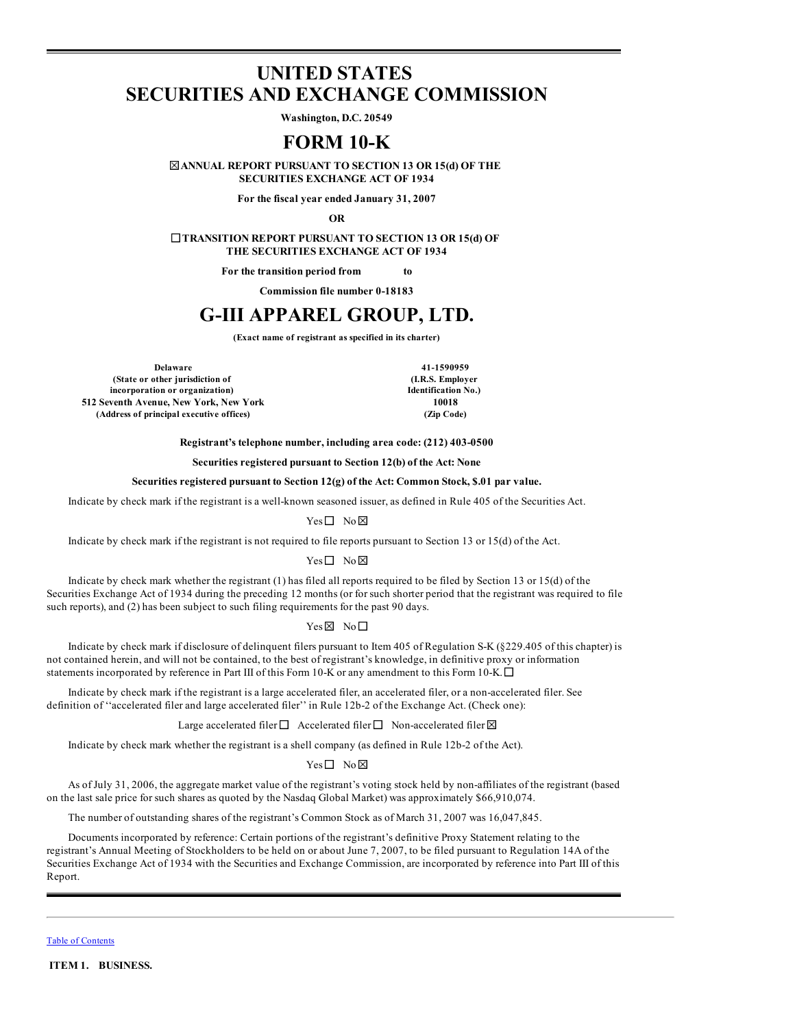# **UNITED STATES SECURITIES AND EXCHANGE COMMISSION**

**Washington, D.C. 20549**

# **FORM 10-K**

**ANNUAL REPORT PURSUANT TO SECTION 13 OR 15(d) OF THE SECURITIES EXCHANGE ACT OF 1934**

**For the fiscal year ended January 31, 2007**

#### **OR**

**TRANSITION REPORT PURSUANT TO SECTION 13 OR 15(d) OF THE SECURITIES EXCHANGE ACT OF 1934**

**For the transition period from to**

**Commission file number 0-18183**

# **G-III APPAREL GROUP, LTD.**

**(Exact name of registrant as specified in its charter)**

**Delaware 41-1590959 (State or other jurisdiction of incorporation or organization) 512 Seventh Avenue, New York, New York 10018 (Address of principal executive offices) (Zip Code)**

**(I.R.S. Employer Identification No.)**

**Registrant's telephone number, including area code: (212) 403-0500**

**Securities registered pursuant to Section 12(b) of the Act: None**

#### **Securities registered pursuant to Section 12(g) of the Act: Common Stock, \$.01 par value.**

Indicate by check mark if the registrant is a well-known seasoned issuer, as defined in Rule 405 of the Securities Act.

# $Yes \Box No \times$

Indicate by check mark if the registrant is not required to file reports pursuant to Section 13 or 15(d) of the Act.

### $Yes \Box No \boxtimes$

Indicate by check mark whether the registrant (1) has filed all reports required to be filed by Section 13 or 15(d) of the Securities Exchange Act of 1934 during the preceding 12 months (or for such shorter period that the registrant was required to file such reports), and (2) has been subject to such filing requirements for the past 90 days.

# Yes ⊠ No

Indicate by check mark if disclosure of delinquent filers pursuant to Item 405 of Regulation S-K (§229.405 of this chapter) is not contained herein, and will not be contained, to the best of registrant's knowledge, in definitive proxy or information statements incorporated by reference in Part III of this Form 10-K or any amendment to this Form 10-K.  $\Box$ 

Indicate by check mark if the registrant is a large accelerated filer, an accelerated filer, or a non-accelerated filer. See definition of ''accelerated filer and large accelerated filer'' in Rule 12b-2 of the Exchange Act. (Check one):

# Large accelerated filer  $\Box$  Accelerated filer  $\Box$  Non-accelerated filer  $\boxtimes$

Indicate by check mark whether the registrant is a shell company (as defined in Rule 12b-2 of the Act).

 $Yes \Box No \boxtimes$ 

As of July 31, 2006, the aggregate market value of the registrant's voting stock held by non-affiliates of the registrant (based on the last sale price for such shares as quoted by the Nasdaq Global Market) was approximately \$66,910,074.

The number of outstanding shares of the registrant's Common Stock as of March 31, 2007 was 16,047,845.

Documents incorporated by reference: Certain portions of the registrant's definitive Proxy Statement relating to the registrant's Annual Meeting of Stockholders to be held on or about June 7, 2007, to be filed pursuant to Regulation 14A of the Securities Exchange Act of 1934 with the Securities and Exchange Commission, are incorporated by reference into Part III of this Report.

Table of [Contents](#page-31-0)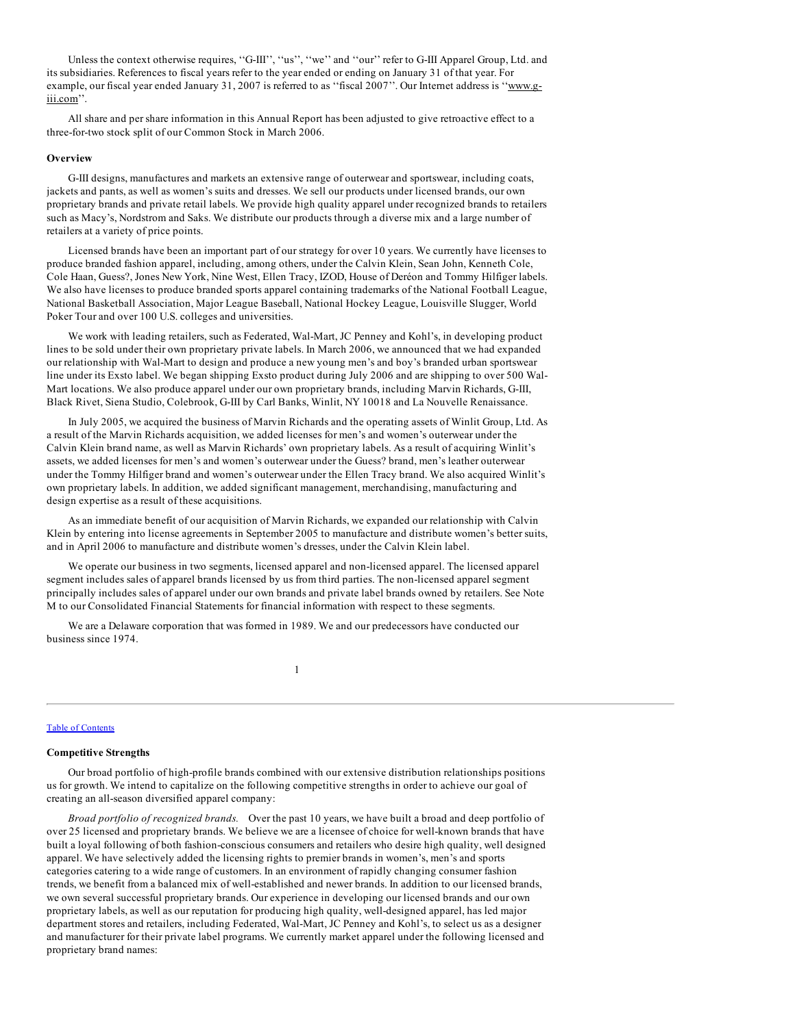Unless the context otherwise requires, "G-III", "us", "we" and "our" refer to G-III Apparel Group, Ltd. and its subsidiaries. References to fiscal years refer to the year ended or ending on January 31 of that year. For example, our fiscal year ended January 31, 2007 is referred to as "fiscal 2007". Our Internet address is "www.giii.com''.

All share and per share information in this Annual Report has been adjusted to give retroactive effect to a three-for-two stock split of our Common Stock in March 2006.

### **Overview**

G-III designs, manufactures and markets an extensive range of outerwear and sportswear, including coats, jackets and pants, as well as women's suits and dresses. We sell our products under licensed brands, our own proprietary brands and private retail labels. We provide high quality apparel under recognized brands to retailers such as Macy's, Nordstrom and Saks. We distribute our products through a diverse mix and a large number of retailers at a variety of price points.

Licensed brands have been an important part of our strategy for over 10 years. We currently have licenses to produce branded fashion apparel, including, among others, under the Calvin Klein, Sean John, Kenneth Cole, Cole Haan, Guess?, Jones New York, Nine West, Ellen Tracy, IZOD, House of Deréon and Tommy Hilfiger labels. We also have licenses to produce branded sports apparel containing trademarks of the National Football League, National Basketball Association, Major League Baseball, National Hockey League, Louisville Slugger, World Poker Tour and over 100 U.S. colleges and universities.

We work with leading retailers, such as Federated, Wal-Mart, JC Penney and Kohl's, in developing product lines to be sold under their own proprietary private labels. In March 2006, we announced that we had expanded our relationship with Wal-Mart to design and produce a new young men's and boy's branded urban sportswear line under its Exsto label. We began shipping Exsto product during July 2006 and are shipping to over 500 Wal-Mart locations. We also produce apparel under our own proprietary brands, including Marvin Richards, G-III, Black Rivet, Siena Studio, Colebrook, G-III by Carl Banks, Winlit, NY 10018 and La Nouvelle Renaissance.

In July 2005, we acquired the business of Marvin Richards and the operating assets of Winlit Group, Ltd. As a result of the Marvin Richards acquisition, we added licenses for men's and women's outerwear under the Calvin Klein brand name, as well as Marvin Richards' own proprietary labels. As a result of acquiring Winlit's assets, we added licenses for men's and women's outerwear under the Guess? brand, men's leather outerwear under the Tommy Hilfiger brand and women's outerwear under the Ellen Tracy brand. We also acquired Winlit's own proprietary labels. In addition, we added significant management, merchandising, manufacturing and design expertise as a result of these acquisitions.

As an immediate benefit of our acquisition of Marvin Richards, we expanded our relationship with Calvin Klein by entering into license agreements in September 2005 to manufacture and distribute women's better suits, and in April 2006 to manufacture and distribute women's dresses, under the Calvin Klein label.

We operate our business in two segments, licensed apparel and non-licensed apparel. The licensed apparel segment includes sales of apparel brands licensed by us from third parties. The non-licensed apparel segment principally includes sales of apparel under our own brands and private label brands owned by retailers. See Note M to our Consolidated Financial Statements for financial information with respect to these segments.

We are a Delaware corporation that was formed in 1989. We and our predecessors have conducted our business since 1974.

1

#### Table of [Contents](#page-31-0)

### **Competitive Strengths**

Our broad portfolio of high-profile brands combined with our extensive distribution relationships positions us for growth. We intend to capitalize on the following competitive strengths in order to achieve our goal of creating an all-season diversified apparel company:

*Broad portfolio of recognized brands.* Over the past 10 years, we have built a broad and deep portfolio of over 25 licensed and proprietary brands. We believe we are a licensee of choice for well-known brands that have built a loyal following of both fashion-conscious consumers and retailers who desire high quality, well designed apparel. We have selectively added the licensing rights to premier brands in women's, men's and sports categories catering to a wide range of customers. In an environment of rapidly changing consumer fashion trends, we benefit from a balanced mix of well-established and newer brands. In addition to our licensed brands, we own several successful proprietary brands. Our experience in developing our licensed brands and our own proprietary labels, as well as our reputation for producing high quality, well-designed apparel, has led major department stores and retailers, including Federated, Wal-Mart, JC Penney and Kohl's, to select us as a designer and manufacturer for their private label programs. We currently market apparel under the following licensed and proprietary brand names: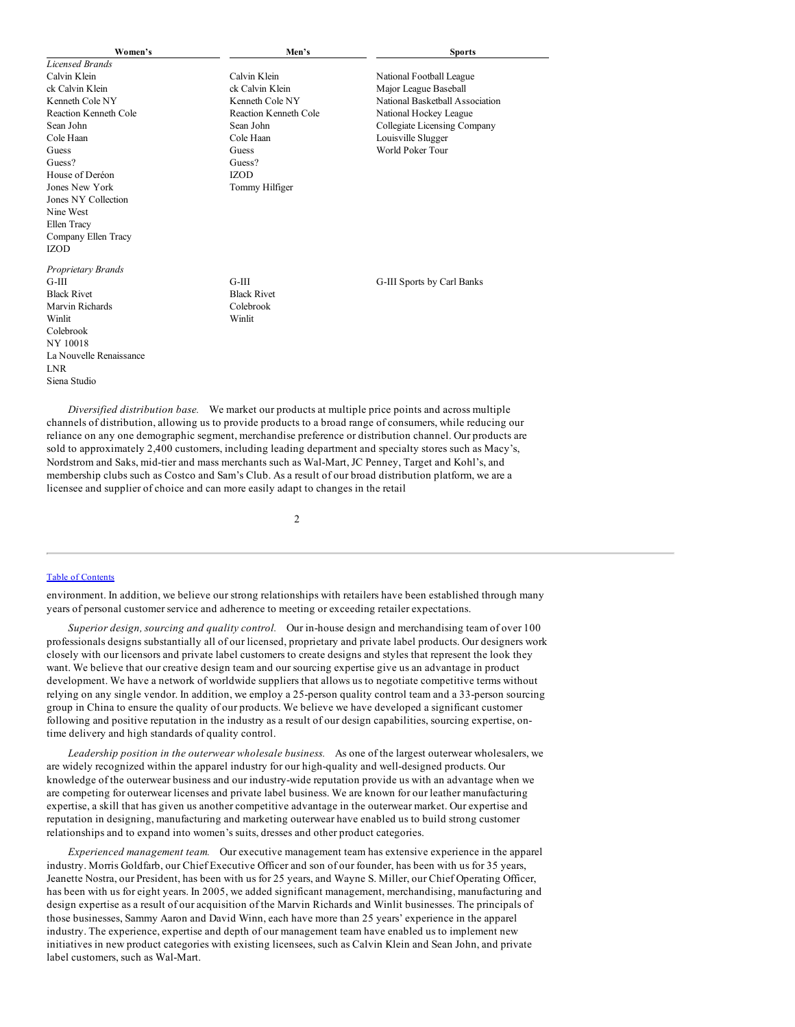**Women's Men's Sports** *Licensed Brands* Calvin Klein Calvin Klein Calvin Klein National Football League ck Calvin Klein ck Calvin Klein Major League Baseball Kenneth Cole NY Kenneth Cole NY National Basketball Association Reaction Kenneth Cole Reaction Kenneth Cole National Hockey League Sean John Sean John Collegiate Licensing Company Cole Haan Cole Haan Louisville Slugger Guess Guess World Poker Tour Guess? Guess? House of Deréon IZOD Jones New York Tommy Hilfiger Jones NY Collection Nine West Ellen Tracy Company Ellen Tracy IZOD *Proprietary Brands* G-III G-III G-III Sports by Carl Banks Black Rivet Black Rivet Marvin Richards Colebrook Winlit Winlit Colebrook NY 10018 La Nouvelle Renaissance LNR Siena Studio

*Diversified distribution base.* We market our products at multiple price points and across multiple channels of distribution, allowing us to provide products to a broad range of consumers, while reducing our reliance on any one demographic segment, merchandise preference or distribution channel. Our products are sold to approximately 2,400 customers, including leading department and specialty stores such as Macy's, Nordstrom and Saks, mid-tier and mass merchants such as Wal-Mart, JC Penney, Target and Kohl's, and membership clubs such as Costco and Sam's Club. As a result of our broad distribution platform, we are a licensee and supplier of choice and can more easily adapt to changes in the retail

 $\mathfrak{Z}$ 

### Table of [Contents](#page-31-0)

environment. In addition, we believe our strong relationships with retailers have been established through many years of personal customer service and adherence to meeting or exceeding retailer expectations.

*Superior design, sourcing and quality control.* Our in-house design and merchandising team of over 100 professionals designs substantially all of our licensed, proprietary and private label products. Our designers work closely with our licensors and private label customers to create designs and styles that represent the look they want. We believe that our creative design team and our sourcing expertise give us an advantage in product development. We have a network of worldwide suppliers that allows us to negotiate competitive terms without relying on any single vendor. In addition, we employ a 25-person quality control team and a 33-person sourcing group in China to ensure the quality of our products. We believe we have developed a significant customer following and positive reputation in the industry as a result of our design capabilities, sourcing expertise, ontime delivery and high standards of quality control.

*Leadership position in the outerwear wholesale business.* As one of the largest outerwear wholesalers, we are widely recognized within the apparel industry for our high-quality and well-designed products. Our knowledge of the outerwear business and our industry-wide reputation provide us with an advantage when we are competing for outerwear licenses and private label business. We are known for our leather manufacturing expertise, a skill that has given us another competitive advantage in the outerwear market. Our expertise and reputation in designing, manufacturing and marketing outerwear have enabled us to build strong customer relationships and to expand into women's suits, dresses and other product categories.

*Experienced management team.* Our executive management team has extensive experience in the apparel industry. Morris Goldfarb, our Chief Executive Officer and son of our founder, has been with us for 35 years, Jeanette Nostra, our President, has been with us for 25 years, and Wayne S. Miller, our Chief Operating Officer, has been with us for eight years. In 2005, we added significant management, merchandising, manufacturing and design expertise as a result of our acquisition of the Marvin Richards and Winlit businesses. The principals of those businesses, Sammy Aaron and David Winn, each have more than 25 years' experience in the apparel industry. The experience, expertise and depth of our management team have enabled us to implement new initiatives in new product categories with existing licensees, such as Calvin Klein and Sean John, and private label customers, such as Wal-Mart.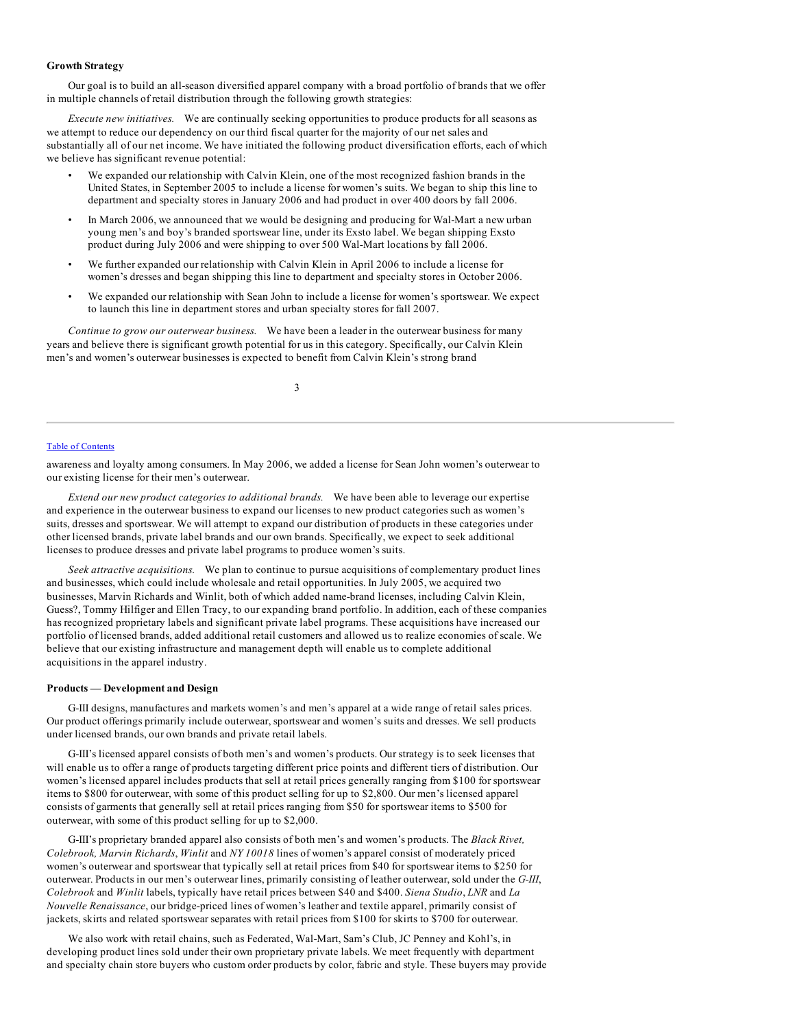### **Growth Strategy**

Our goal is to build an all-season diversified apparel company with a broad portfolio of brands that we offer in multiple channels of retail distribution through the following growth strategies:

*Execute new initiatives.* We are continually seeking opportunities to produce products for all seasons as we attempt to reduce our dependency on our third fiscal quarter for the majority of our net sales and substantially all of our net income. We have initiated the following product diversification efforts, each of which we believe has significant revenue potential:

- We expanded our relationship with Calvin Klein, one of the most recognized fashion brands in the United States, in September 2005 to include a license for women's suits. We began to ship this line to department and specialty stores in January 2006 and had product in over 400 doors by fall 2006.
- In March 2006, we announced that we would be designing and producing for Wal-Mart a new urban young men's and boy's branded sportswear line, under its Exsto label. We began shipping Exsto product during July 2006 and were shipping to over 500 Wal-Mart locations by fall 2006.
- We further expanded our relationship with Calvin Klein in April 2006 to include a license for women's dresses and began shipping this line to department and specialty stores in October 2006.
- We expanded our relationship with Sean John to include a license for women's sportswear. We expect to launch this line in department stores and urban specialty stores for fall 2007.

*Continue to grow our outerwear business.* We have been a leader in the outerwear business for many years and believe there is significant growth potential for us in this category. Specifically, our Calvin Klein men's and women's outerwear businesses is expected to benefit from Calvin Klein's strong brand

3

### Table of [Contents](#page-31-0)

awareness and loyalty among consumers. In May 2006, we added a license for Sean John women's outerwear to our existing license for their men's outerwear.

*Extend our new product categories to additional brands.* We have been able to leverage our expertise and experience in the outerwear business to expand our licenses to new product categories such as women's suits, dresses and sportswear. We will attempt to expand our distribution of products in these categories under other licensed brands, private label brands and our own brands. Specifically, we expect to seek additional licenses to produce dresses and private label programs to produce women's suits.

*Seek attractive acquisitions.* We plan to continue to pursue acquisitions of complementary product lines and businesses, which could include wholesale and retail opportunities. In July 2005, we acquired two businesses, Marvin Richards and Winlit, both of which added name-brand licenses, including Calvin Klein, Guess?, Tommy Hilfiger and Ellen Tracy, to our expanding brand portfolio. In addition, each of these companies has recognized proprietary labels and significant private label programs. These acquisitions have increased our portfolio of licensed brands, added additional retail customers and allowed us to realize economies of scale. We believe that our existing infrastructure and management depth will enable us to complete additional acquisitions in the apparel industry.

#### **Products — Development and Design**

G-III designs, manufactures and markets women's and men's apparel at a wide range of retail sales prices. Our product offerings primarily include outerwear, sportswear and women's suits and dresses. We sell products under licensed brands, our own brands and private retail labels.

G-III's licensed apparel consists of both men's and women's products. Our strategy is to seek licenses that will enable us to offer a range of products targeting different price points and different tiers of distribution. Our women's licensed apparel includes products that sell at retail prices generally ranging from \$100 for sportswear items to \$800 for outerwear, with some of this product selling for up to \$2,800. Our men's licensed apparel consists of garments that generally sell at retail prices ranging from \$50 for sportswear items to \$500 for outerwear, with some of this product selling for up to \$2,000.

G-III's proprietary branded apparel also consists of both men's and women's products. The *Black Rivet, Colebrook, Marvin Richards*, *Winlit* and *NY 10018* lines of women's apparel consist of moderately priced women's outerwear and sportswear that typically sell at retail prices from \$40 for sportswear items to \$250 for outerwear. Products in our men's outerwear lines, primarily consisting of leather outerwear, sold under the *G-III*, *Colebrook* and *Winlit* labels, typically have retail prices between \$40 and \$400. *Siena Studio*, *LNR* and *La Nouvelle Renaissance*, our bridge-priced lines of women's leather and textile apparel, primarily consist of jackets, skirts and related sportswear separates with retail prices from \$100 for skirts to \$700 for outerwear.

We also work with retail chains, such as Federated, Wal-Mart, Sam's Club, JC Penney and Kohl's, in developing product lines sold under their own proprietary private labels. We meet frequently with department and specialty chain store buyers who custom order products by color, fabric and style. These buyers may provide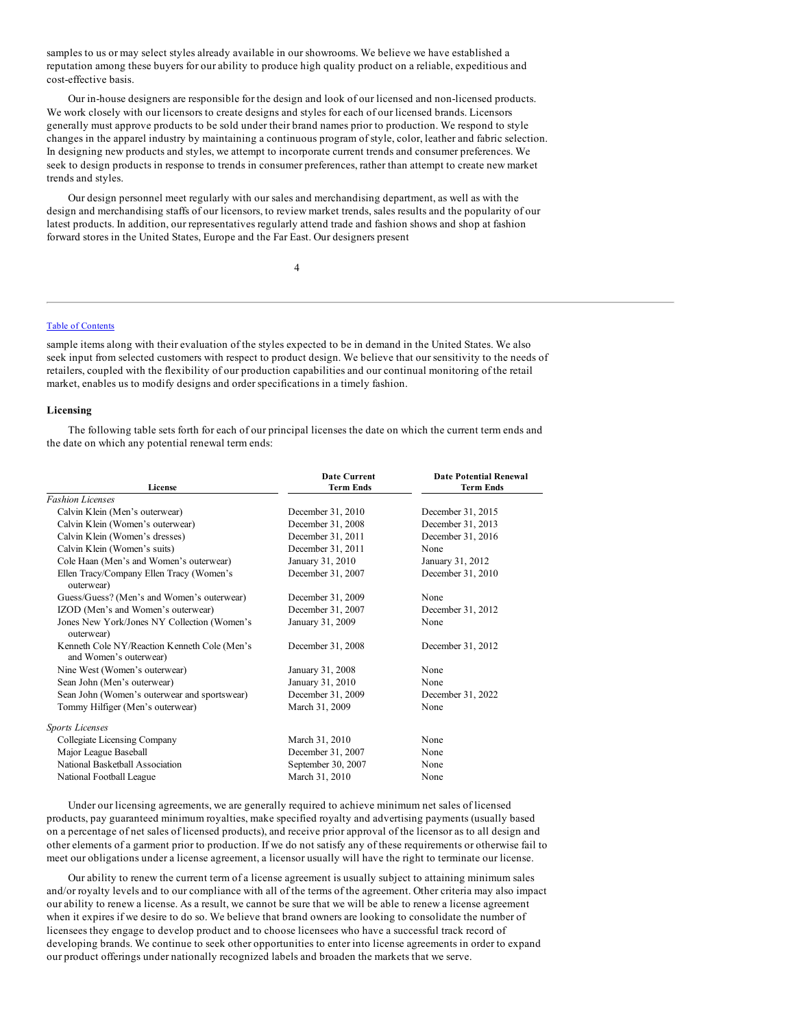samples to us or may select styles already available in our showrooms. We believe we have established a reputation among these buyers for our ability to produce high quality product on a reliable, expeditious and cost-effective basis.

Our in-house designers are responsible for the design and look of our licensed and non-licensed products. We work closely with our licensors to create designs and styles for each of our licensed brands. Licensors generally must approve products to be sold under their brand names prior to production. We respond to style changes in the apparel industry by maintaining a continuous program of style, color, leather and fabric selection. In designing new products and styles, we attempt to incorporate current trends and consumer preferences. We seek to design products in response to trends in consumer preferences, rather than attempt to create new market trends and styles.

Our design personnel meet regularly with our sales and merchandising department, as well as with the design and merchandising staffs of our licensors, to review market trends, sales results and the popularity of our latest products. In addition, our representatives regularly attend trade and fashion shows and shop at fashion forward stores in the United States, Europe and the Far East. Our designers present

4

### Table of [Contents](#page-31-0)

sample items along with their evaluation of the styles expected to be in demand in the United States. We also seek input from selected customers with respect to product design. We believe that our sensitivity to the needs of retailers, coupled with the flexibility of our production capabilities and our continual monitoring of the retail market, enables us to modify designs and order specifications in a timely fashion.

#### **Licensing**

The following table sets forth for each of our principal licenses the date on which the current term ends and the date on which any potential renewal term ends:

| License                                                                | <b>Date Current</b><br><b>Term Ends</b> | <b>Date Potential Renewal</b><br><b>Term Ends</b> |
|------------------------------------------------------------------------|-----------------------------------------|---------------------------------------------------|
| <b>Fashion Licenses</b>                                                |                                         |                                                   |
| Calvin Klein (Men's outerwear)                                         | December 31, 2010                       | December 31, 2015                                 |
| Calvin Klein (Women's outerwear)                                       | December 31, 2008                       | December 31, 2013                                 |
| Calvin Klein (Women's dresses)                                         | December 31, 2011                       | December 31, 2016                                 |
| Calvin Klein (Women's suits)                                           | December 31, 2011                       | None                                              |
| Cole Haan (Men's and Women's outerwear)                                | January 31, 2010                        | January 31, 2012                                  |
| Ellen Tracy/Company Ellen Tracy (Women's<br>outerwear)                 | December 31, 2007                       | December 31, 2010                                 |
| Guess/Guess? (Men's and Women's outerwear)                             | December 31, 2009                       | None                                              |
| IZOD (Men's and Women's outerwear)                                     | December 31, 2007                       | December 31, 2012                                 |
| Jones New York/Jones NY Collection (Women's<br>outerwear)              | January 31, 2009                        | None                                              |
| Kenneth Cole NY/Reaction Kenneth Cole (Men's<br>and Women's outerwear) | December 31, 2008                       | December 31, 2012                                 |
| Nine West (Women's outerwear)                                          | January 31, 2008                        | None                                              |
| Sean John (Men's outerwear)                                            | January 31, 2010                        | None                                              |
| Sean John (Women's outerwear and sportswear)                           | December 31, 2009                       | December 31, 2022                                 |
| Tommy Hilfiger (Men's outerwear)                                       | March 31, 2009                          | None                                              |
| <b>Sports Licenses</b>                                                 |                                         |                                                   |
| Collegiate Licensing Company                                           | March 31, 2010                          | None                                              |
| Major League Baseball                                                  | December 31, 2007                       | None                                              |
| National Basketball Association                                        | September 30, 2007                      | None                                              |
| National Football League                                               | March 31, 2010                          | None                                              |

Under our licensing agreements, we are generally required to achieve minimum net sales of licensed products, pay guaranteed minimum royalties, make specified royalty and advertising payments (usually based on a percentage of net sales of licensed products), and receive prior approval of the licensor as to all design and other elements of a garment prior to production. If we do not satisfy any of these requirements or otherwise fail to meet our obligations under a license agreement, a licensor usually will have the right to terminate our license.

Our ability to renew the current term of a license agreement is usually subject to attaining minimum sales and/or royalty levels and to our compliance with all of the terms of the agreement. Other criteria may also impact our ability to renew a license. As a result, we cannot be sure that we will be able to renew a license agreement when it expires if we desire to do so. We believe that brand owners are looking to consolidate the number of licensees they engage to develop product and to choose licensees who have a successful track record of developing brands. We continue to seek other opportunities to enter into license agreements in order to expand our product offerings under nationally recognized labels and broaden the markets that we serve.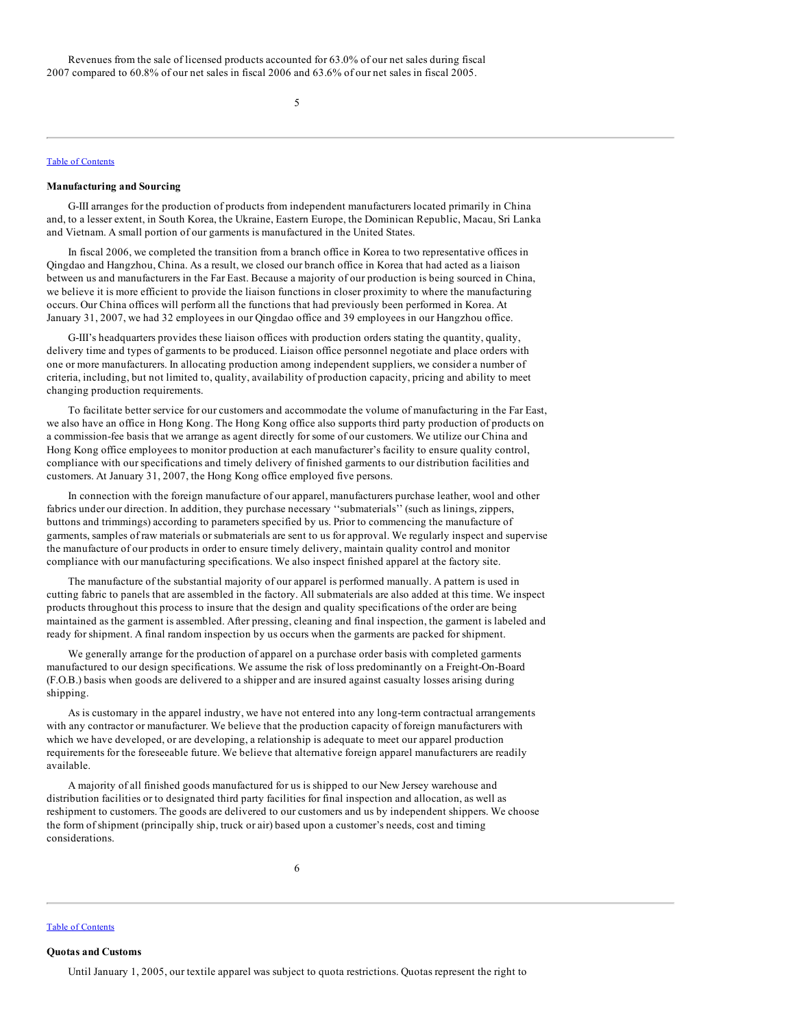Revenues from the sale of licensed products accounted for 63.0% of our net sales during fiscal 2007 compared to 60.8% of our net sales in fiscal 2006 and 63.6% of our net sales in fiscal 2005.

5

### Table of [Contents](#page-31-0)

# **Manufacturing and Sourcing**

G-III arranges for the production of products from independent manufacturers located primarily in China and, to a lesser extent, in South Korea, the Ukraine, Eastern Europe, the Dominican Republic, Macau, Sri Lanka and Vietnam. A small portion of our garments is manufactured in the United States.

In fiscal 2006, we completed the transition from a branch office in Korea to two representative offices in Qingdao and Hangzhou, China. As a result, we closed our branch office in Korea that had acted as a liaison between us and manufacturers in the Far East. Because a majority of our production is being sourced in China, we believe it is more efficient to provide the liaison functions in closer proximity to where the manufacturing occurs. Our China offices will perform all the functions that had previously been performed in Korea. At January 31, 2007, we had 32 employees in our Qingdao office and 39 employees in our Hangzhou office.

G-III's headquarters provides these liaison offices with production orders stating the quantity, quality, delivery time and types of garments to be produced. Liaison office personnel negotiate and place orders with one or more manufacturers. In allocating production among independent suppliers, we consider a number of criteria, including, but not limited to, quality, availability of production capacity, pricing and ability to meet changing production requirements.

To facilitate better service for our customers and accommodate the volume of manufacturing in the Far East, we also have an office in Hong Kong. The Hong Kong office also supports third party production of products on a commission-fee basis that we arrange as agent directly for some of our customers. We utilize our China and Hong Kong office employees to monitor production at each manufacturer's facility to ensure quality control, compliance with our specifications and timely delivery of finished garments to our distribution facilities and customers. At January 31, 2007, the Hong Kong office employed five persons.

In connection with the foreign manufacture of our apparel, manufacturers purchase leather, wool and other fabrics under our direction. In addition, they purchase necessary ''submaterials'' (such as linings, zippers, buttons and trimmings) according to parameters specified by us. Prior to commencing the manufacture of garments, samples of raw materials or submaterials are sent to us for approval. We regularly inspect and supervise the manufacture of our products in order to ensure timely delivery, maintain quality control and monitor compliance with our manufacturing specifications. We also inspect finished apparel at the factory site.

The manufacture of the substantial majority of our apparel is performed manually. A pattern is used in cutting fabric to panels that are assembled in the factory. All submaterials are also added at this time. We inspect products throughout this process to insure that the design and quality specifications of the order are being maintained as the garment is assembled. After pressing, cleaning and final inspection, the garment is labeled and ready for shipment. A final random inspection by us occurs when the garments are packed for shipment.

We generally arrange for the production of apparel on a purchase order basis with completed garments manufactured to our design specifications. We assume the risk of loss predominantly on a Freight-On-Board (F.O.B.) basis when goods are delivered to a shipper and are insured against casualty losses arising during shipping.

As is customary in the apparel industry, we have not entered into any long-term contractual arrangements with any contractor or manufacturer. We believe that the production capacity of foreign manufacturers with which we have developed, or are developing, a relationship is adequate to meet our apparel production requirements for the foreseeable future. We believe that alternative foreign apparel manufacturers are readily available.

A majority of all finished goods manufactured for us is shipped to our New Jersey warehouse and distribution facilities or to designated third party facilities for final inspection and allocation, as well as reshipment to customers. The goods are delivered to our customers and us by independent shippers. We choose the form of shipment (principally ship, truck or air) based upon a customer's needs, cost and timing considerations.

Table of [Contents](#page-31-0)

### **Quotas and Customs**

Until January 1, 2005, our textile apparel was subject to quota restrictions. Quotas represent the right to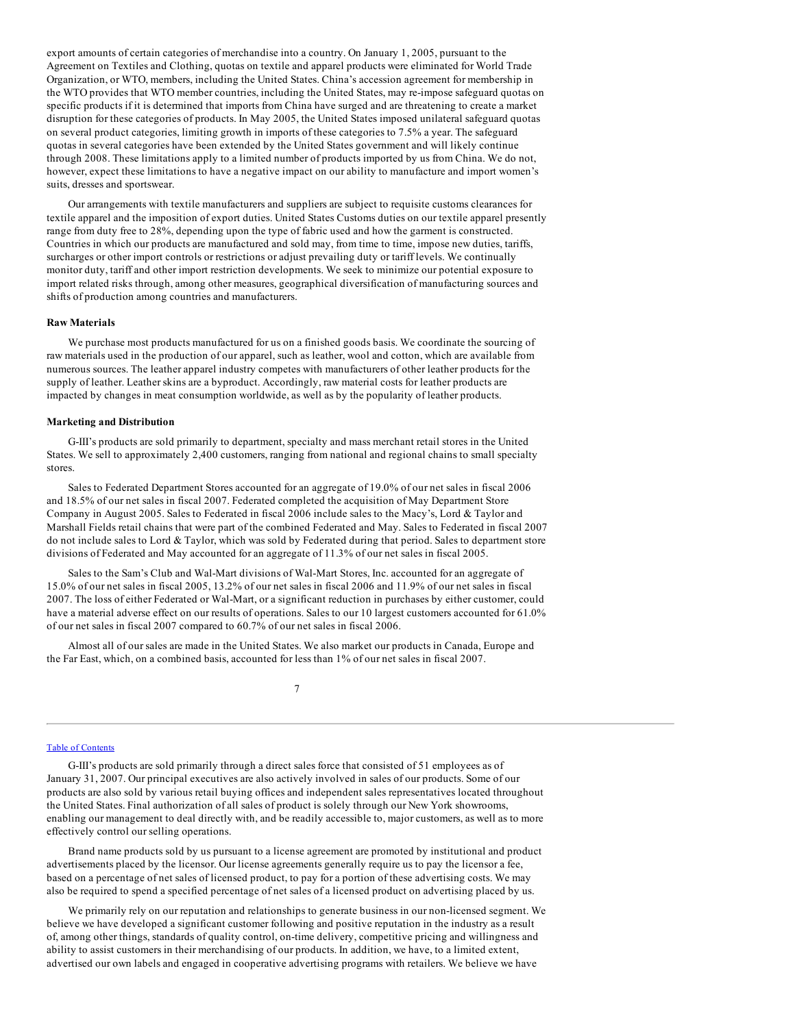export amounts of certain categories of merchandise into a country. On January 1, 2005, pursuant to the Agreement on Textiles and Clothing, quotas on textile and apparel products were eliminated for World Trade Organization, or WTO, members, including the United States. China's accession agreement for membership in the WTO provides that WTO member countries, including the United States, may re-impose safeguard quotas on specific products if it is determined that imports from China have surged and are threatening to create a market disruption for these categories of products. In May 2005, the United States imposed unilateral safeguard quotas on several product categories, limiting growth in imports of these categories to 7.5% a year. The safeguard quotas in several categories have been extended by the United States government and will likely continue through 2008. These limitations apply to a limited number of products imported by us from China. We do not, however, expect these limitations to have a negative impact on our ability to manufacture and import women's suits, dresses and sportswear.

Our arrangements with textile manufacturers and suppliers are subject to requisite customs clearances for textile apparel and the imposition of export duties. United States Customs duties on our textile apparel presently range from duty free to 28%, depending upon the type of fabric used and how the garment is constructed. Countries in which our products are manufactured and sold may, from time to time, impose new duties, tariffs, surcharges or other import controls or restrictions or adjust prevailing duty or tariff levels. We continually monitor duty, tariff and other import restriction developments. We seek to minimize our potential exposure to import related risks through, among other measures, geographical diversification of manufacturing sources and shifts of production among countries and manufacturers.

### **Raw Materials**

We purchase most products manufactured for us on a finished goods basis. We coordinate the sourcing of raw materials used in the production of our apparel, such as leather, wool and cotton, which are available from numerous sources. The leather apparel industry competes with manufacturers of other leather products for the supply of leather. Leather skins are a byproduct. Accordingly, raw material costs for leather products are impacted by changes in meat consumption worldwide, as well as by the popularity of leather products.

# **Marketing and Distribution**

G-III's products are sold primarily to department, specialty and mass merchant retail stores in the United States. We sell to approximately 2,400 customers, ranging from national and regional chains to small specialty stores.

Sales to Federated Department Stores accounted for an aggregate of 19.0% of our net sales in fiscal 2006 and 18.5% of our net sales in fiscal 2007. Federated completed the acquisition of May Department Store Company in August 2005. Sales to Federated in fiscal 2006 include sales to the Macy's, Lord & Taylor and Marshall Fields retail chains that were part of the combined Federated and May. Sales to Federated in fiscal 2007 do not include sales to Lord & Taylor, which was sold by Federated during that period. Sales to department store divisions of Federated and May accounted for an aggregate of 11.3% of our net sales in fiscal 2005.

Sales to the Sam's Club and Wal-Mart divisions of Wal-Mart Stores, Inc. accounted for an aggregate of 15.0% of our net sales in fiscal 2005, 13.2% of our net sales in fiscal 2006 and 11.9% of our net sales in fiscal 2007. The loss of either Federated or Wal-Mart, or a significant reduction in purchases by either customer, could have a material adverse effect on our results of operations. Sales to our 10 largest customers accounted for 61.0% of our net sales in fiscal 2007 compared to 60.7% of our net sales in fiscal 2006.

Almost all of our sales are made in the United States. We also market our products in Canada, Europe and the Far East, which, on a combined basis, accounted for less than 1% of our net sales in fiscal 2007.

### 7

### Table of [Contents](#page-31-0)

G-III's products are sold primarily through a direct sales force that consisted of 51 employees as of January 31, 2007. Our principal executives are also actively involved in sales of our products. Some of our products are also sold by various retail buying offices and independent sales representatives located throughout the United States. Final authorization of all sales of product is solely through our New York showrooms, enabling our management to deal directly with, and be readily accessible to, major customers, as well as to more effectively control our selling operations.

Brand name products sold by us pursuant to a license agreement are promoted by institutional and product advertisements placed by the licensor. Our license agreements generally require us to pay the licensor a fee, based on a percentage of net sales of licensed product, to pay for a portion of these advertising costs. We may also be required to spend a specified percentage of net sales of a licensed product on advertising placed by us.

We primarily rely on our reputation and relationships to generate business in our non-licensed segment. We believe we have developed a significant customer following and positive reputation in the industry as a result of, among other things, standards of quality control, on-time delivery, competitive pricing and willingness and ability to assist customers in their merchandising of our products. In addition, we have, to a limited extent, advertised our own labels and engaged in cooperative advertising programs with retailers. We believe we have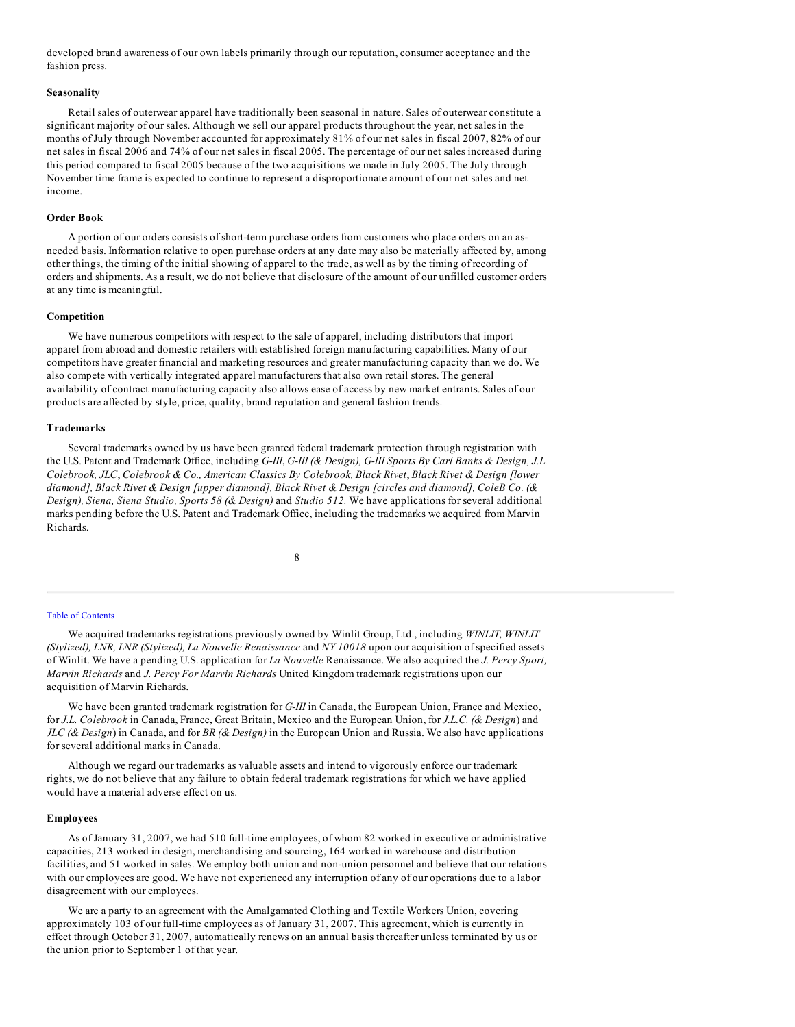developed brand awareness of our own labels primarily through our reputation, consumer acceptance and the fashion press.

### **Seasonality**

Retail sales of outerwear apparel have traditionally been seasonal in nature. Sales of outerwear constitute a significant majority of our sales. Although we sell our apparel products throughout the year, net sales in the months of July through November accounted for approximately 81% of our net sales in fiscal 2007, 82% of our net sales in fiscal 2006 and 74% of our net sales in fiscal 2005. The percentage of our net sales increased during this period compared to fiscal 2005 because of the two acquisitions we made in July 2005. The July through November time frame is expected to continue to represent a disproportionate amount of our net sales and net income.

### **Order Book**

A portion of our orders consists of short-term purchase orders from customers who place orders on an asneeded basis. Information relative to open purchase orders at any date may also be materially affected by, among other things, the timing of the initial showing of apparel to the trade, as well as by the timing of recording of orders and shipments. As a result, we do not believe that disclosure of the amount of our unfilled customer orders at any time is meaningful.

### **Competition**

We have numerous competitors with respect to the sale of apparel, including distributors that import apparel from abroad and domestic retailers with established foreign manufacturing capabilities. Many of our competitors have greater financial and marketing resources and greater manufacturing capacity than we do. We also compete with vertically integrated apparel manufacturers that also own retail stores. The general availability of contract manufacturing capacity also allows ease of access by new market entrants. Sales of our products are affected by style, price, quality, brand reputation and general fashion trends.

### **Trademarks**

Several trademarks owned by us have been granted federal trademark protection through registration with the U.S. Patent and Trademark Office, including *G-III*, *G-III (& Design), G-III Sports By Carl Banks & Design, J.L. Colebrook, JLC*, *Colebrook & Co., American Classics By Colebrook, Black Rivet*, *Black Rivet & Design [lower diamond], Black Rivet & Design [upper diamond], Black Rivet & Design [circles and diamond], ColeB Co. (& Design), Siena, Siena Studio, Sports 58 (& Design)* and *Studio 512.* We have applications for several additional marks pending before the U.S. Patent and Trademark Office, including the trademarks we acquired from Marvin Richards.

8

### Table of [Contents](#page-31-0)

We acquired trademarks registrations previously owned by Winlit Group, Ltd., including *WINLIT, WINLIT (Stylized), LNR, LNR (Stylized), La Nouvelle Renaissance* and *NY 10018* upon our acquisition of specified assets of Winlit. We have a pending U.S. application for *La Nouvelle* Renaissance. We also acquired the *J. Percy Sport, Marvin Richards* and *J. Percy For Marvin Richards* United Kingdom trademark registrations upon our acquisition of Marvin Richards.

We have been granted trademark registration for *G-III* in Canada, the European Union, France and Mexico, for *J.L. Colebrook* in Canada, France, Great Britain, Mexico and the European Union, for *J.L.C. (& Design*) and *JLC (& Design*) in Canada, and for *BR (& Design)* in the European Union and Russia. We also have applications for several additional marks in Canada.

Although we regard our trademarks as valuable assets and intend to vigorously enforce our trademark rights, we do not believe that any failure to obtain federal trademark registrations for which we have applied would have a material adverse effect on us.

### **Employees**

As of January 31, 2007, we had 510 full-time employees, of whom 82 worked in executive or administrative capacities, 213 worked in design, merchandising and sourcing, 164 worked in warehouse and distribution facilities, and 51 worked in sales. We employ both union and non-union personnel and believe that our relations with our employees are good. We have not experienced any interruption of any of our operations due to a labor disagreement with our employees.

We are a party to an agreement with the Amalgamated Clothing and Textile Workers Union, covering approximately 103 of our full-time employees as of January 31, 2007. This agreement, which is currently in effect through October 31, 2007, automatically renews on an annual basis thereafter unless terminated by us or the union prior to September 1 of that year.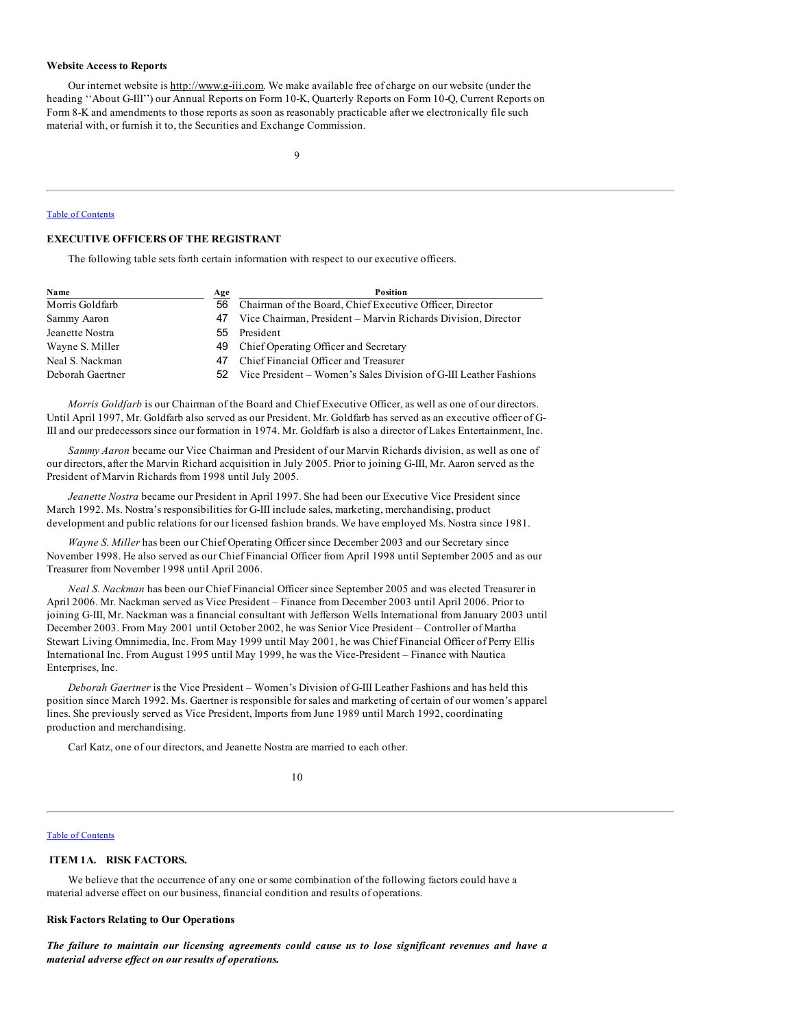### **Website Access to Reports**

Our internet website is http://www.g-iii.com. We make available free of charge on our website (under the heading ''About G-III'') our Annual Reports on Form 10-K, Quarterly Reports on Form 10-Q, Current Reports on Form 8-K and amendments to those reports as soon as reasonably practicable after we electronically file such material with, or furnish it to, the Securities and Exchange Commission.

9

### Table of [Contents](#page-31-0)

# **EXECUTIVE OFFICERS OF THE REGISTRANT**

The following table sets forth certain information with respect to our executive officers.

| Name             | Age | Position                                                          |
|------------------|-----|-------------------------------------------------------------------|
| Morris Goldfarb  | 56  | Chairman of the Board, Chief Executive Officer, Director          |
| Sammy Aaron      | 47  | Vice Chairman, President – Marvin Richards Division, Director     |
| Jeanette Nostra  | 55  | President                                                         |
| Wayne S. Miller  |     | 49 Chief Operating Officer and Secretary                          |
| Neal S. Nackman  | 47  | Chief Financial Officer and Treasurer                             |
| Deborah Gaertner | 52. | Vice President – Women's Sales Division of G-III Leather Fashions |

*Morris Goldfarb* is our Chairman of the Board and Chief Executive Officer, as well as one of our directors. Until April 1997, Mr. Goldfarb also served as our President. Mr. Goldfarb has served as an executive officer of G-III and our predecessors since our formation in 1974. Mr. Goldfarb is also a director of Lakes Entertainment, Inc.

*Sammy Aaron* became our Vice Chairman and President of our Marvin Richards division, as well as one of our directors, after the Marvin Richard acquisition in July 2005. Prior to joining G-III, Mr. Aaron served as the President of Marvin Richards from 1998 until July 2005.

*Jeanette Nostra* became our President in April 1997. She had been our Executive Vice President since March 1992. Ms. Nostra's responsibilities for G-III include sales, marketing, merchandising, product development and public relations for our licensed fashion brands. We have employed Ms. Nostra since 1981.

*Wayne S. Miller* has been our Chief Operating Officer since December 2003 and our Secretary since November 1998. He also served as our Chief Financial Officer from April 1998 until September 2005 and as our Treasurer from November 1998 until April 2006.

*Neal S. Nackman* has been our Chief Financial Officer since September 2005 and was elected Treasurer in April 2006. Mr. Nackman served as Vice President – Finance from December 2003 until April 2006. Prior to joining G-III, Mr. Nackman was a financial consultant with Jefferson Wells International from January 2003 until December 2003. From May 2001 until October 2002, he was Senior Vice President – Controller of Martha Stewart Living Omnimedia, Inc. From May 1999 until May 2001, he was Chief Financial Officer of Perry Ellis International Inc. From August 1995 until May 1999, he was the Vice-President – Finance with Nautica Enterprises, Inc.

*Deborah Gaertner* is the Vice President – Women's Division of G-III Leather Fashions and has held this position since March 1992. Ms. Gaertner is responsible for sales and marketing of certain of our women's apparel lines. She previously served as Vice President, Imports from June 1989 until March 1992, coordinating production and merchandising.

Carl Katz, one of our directors, and Jeanette Nostra are married to each other.

### 10

### Table of [Contents](#page-31-0)

# **ITEM 1A. RISK FACTORS.**

We believe that the occurrence of any one or some combination of the following factors could have a material adverse effect on our business, financial condition and results of operations.

### **Risk Factors Relating to Our Operations**

*The failure to maintain our licensing agreements could cause us to lose significant revenues and have a material adverse ef ect on our results of operations.*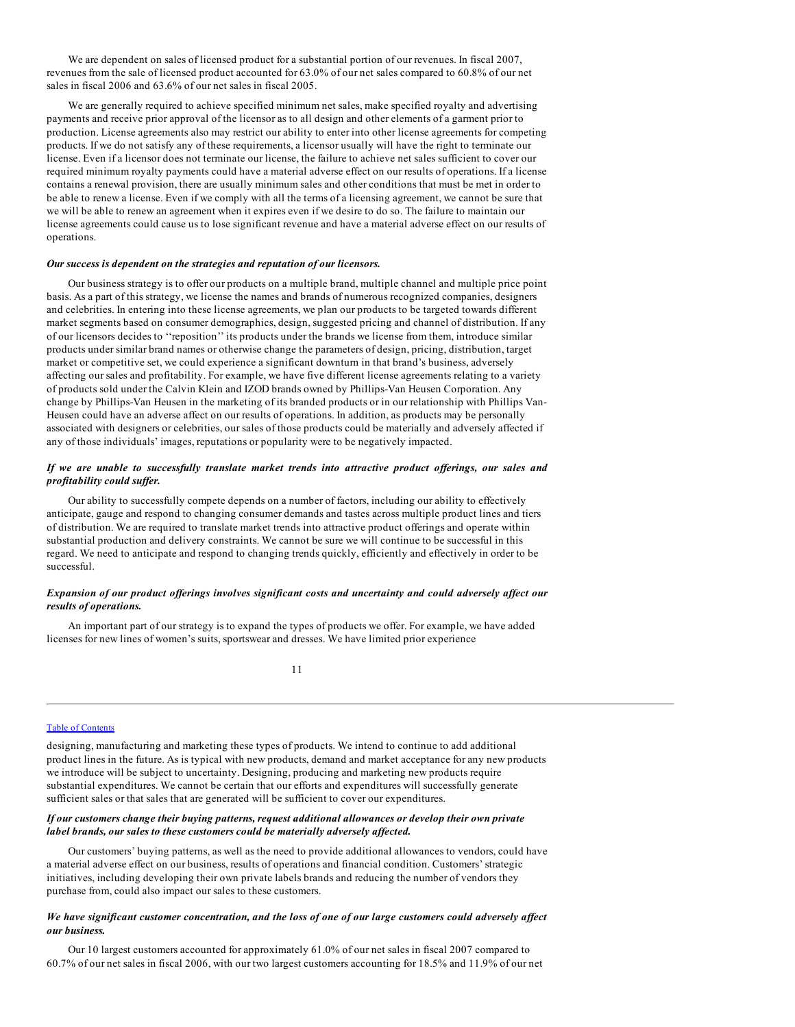We are dependent on sales of licensed product for a substantial portion of our revenues. In fiscal 2007, revenues from the sale of licensed product accounted for 63.0% of our net sales compared to 60.8% of our net sales in fiscal 2006 and 63.6% of our net sales in fiscal 2005.

We are generally required to achieve specified minimum net sales, make specified royalty and advertising payments and receive prior approval of the licensor as to all design and other elements of a garment prior to production. License agreements also may restrict our ability to enter into other license agreements for competing products. If we do not satisfy any of these requirements, a licensor usually will have the right to terminate our license. Even if a licensor does not terminate our license, the failure to achieve net sales sufficient to cover our required minimum royalty payments could have a material adverse effect on our results of operations. If a license contains a renewal provision, there are usually minimum sales and other conditions that must be met in order to be able to renew a license. Even if we comply with all the terms of a licensing agreement, we cannot be sure that we will be able to renew an agreement when it expires even if we desire to do so. The failure to maintain our license agreements could cause us to lose significant revenue and have a material adverse effect on our results of operations.

### *Our success is dependent on the strategies and reputation of our licensors.*

Our business strategy is to offer our products on a multiple brand, multiple channel and multiple price point basis. As a part of this strategy, we license the names and brands of numerous recognized companies, designers and celebrities. In entering into these license agreements, we plan our products to be targeted towards different market segments based on consumer demographics, design, suggested pricing and channel of distribution. If any of our licensors decides to ''reposition'' its products under the brands we license from them, introduce similar products under similar brand names or otherwise change the parameters of design, pricing, distribution, target market or competitive set, we could experience a significant downturn in that brand's business, adversely affecting our sales and profitability. For example, we have five different license agreements relating to a variety of products sold under the Calvin Klein and IZOD brands owned by Phillips-Van Heusen Corporation. Any change by Phillips-Van Heusen in the marketing of its branded products or in our relationship with Phillips Van-Heusen could have an adverse affect on our results of operations. In addition, as products may be personally associated with designers or celebrities, our sales of those products could be materially and adversely affected if any of those individuals' images, reputations or popularity were to be negatively impacted.

### *If we are unable to successfully translate market trends into attractive product of erings, our sales and*  $\frac{1}{2}$ *profitability could* suffer.

Our ability to successfully compete depends on a number of factors, including our ability to effectively anticipate, gauge and respond to changing consumer demands and tastes across multiple product lines and tiers of distribution. We are required to translate market trends into attractive product offerings and operate within substantial production and delivery constraints. We cannot be sure we will continue to be successful in this regard. We need to anticipate and respond to changing trends quickly, efficiently and effectively in order to be successful.

# Expansion of our product offerings involves significant costs and uncertainty and could adversely affect our *results of operations.*

An important part of our strategy is to expand the types of products we offer. For example, we have added licenses for new lines of women's suits, sportswear and dresses. We have limited prior experience

11

### Table of [Contents](#page-31-0)

designing, manufacturing and marketing these types of products. We intend to continue to add additional product lines in the future. As is typical with new products, demand and market acceptance for any new products we introduce will be subject to uncertainty. Designing, producing and marketing new products require substantial expenditures. We cannot be certain that our efforts and expenditures will successfully generate sufficient sales or that sales that are generated will be sufficient to cover our expenditures.

# *If our customers change their buying patterns, request additional allowances or develop their own private label brands, our sales to these customers could be materially adversely af ected.*

Our customers' buying patterns, as well as the need to provide additional allowances to vendors, could have a material adverse effect on our business, results of operations and financial condition. Customers' strategic initiatives, including developing their own private labels brands and reducing the number of vendors they purchase from, could also impact our sales to these customers.

# We have significant customer concentration, and the loss of one of our large customers could adversely affect *our business.*

Our 10 largest customers accounted for approximately 61.0% of our net sales in fiscal 2007 compared to 60.7% of our net sales in fiscal 2006, with our two largest customers accounting for 18.5% and 11.9% of our net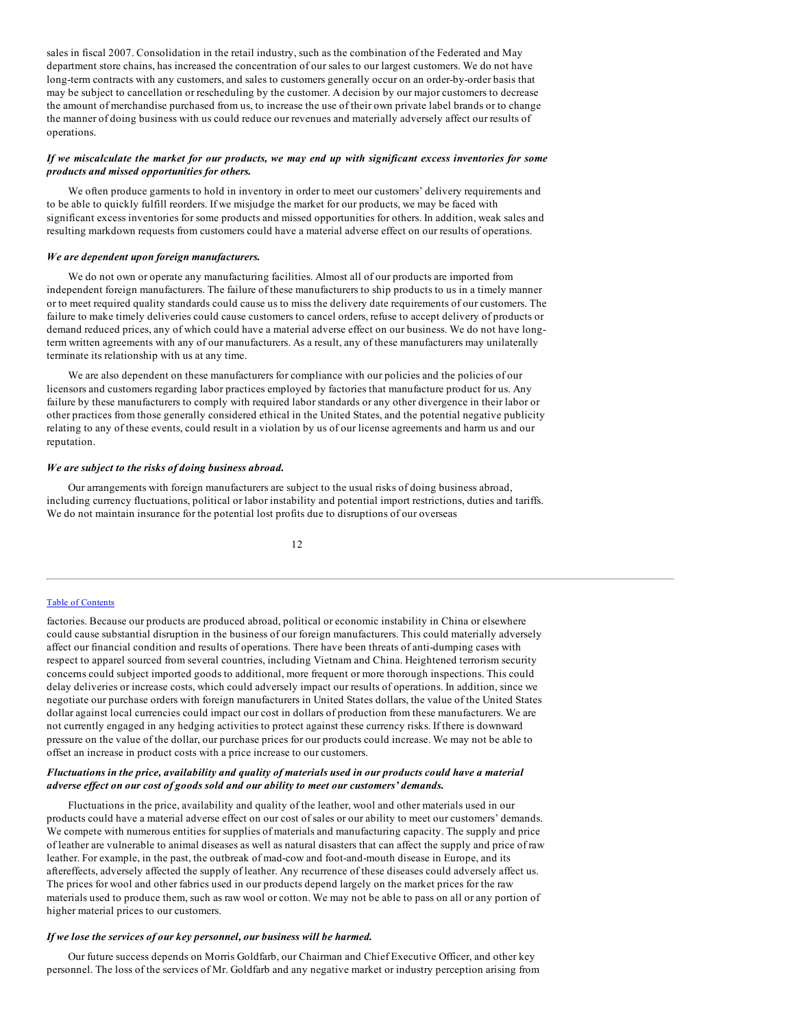sales in fiscal 2007. Consolidation in the retail industry, such as the combination of the Federated and May department store chains, has increased the concentration of our sales to our largest customers. We do not have long-term contracts with any customers, and sales to customers generally occur on an order-by-order basis that may be subject to cancellation or rescheduling by the customer. A decision by our major customers to decrease the amount of merchandise purchased from us, to increase the use of their own private label brands or to change the manner of doing business with us could reduce our revenues and materially adversely affect our results of operations.

# If we miscalculate the market for our products, we may end up with significant excess inventories for some *products and missed opportunities for others.*

We often produce garments to hold in inventory in order to meet our customers' delivery requirements and to be able to quickly fulfill reorders. If we misjudge the market for our products, we may be faced with significant excess inventories for some products and missed opportunities for others. In addition, weak sales and resulting markdown requests from customers could have a material adverse effect on our results of operations.

# *We are dependent upon foreign manufacturers.*

We do not own or operate any manufacturing facilities. Almost all of our products are imported from independent foreign manufacturers. The failure of these manufacturers to ship products to us in a timely manner or to meet required quality standards could cause us to miss the delivery date requirements of our customers. The failure to make timely deliveries could cause customers to cancel orders, refuse to accept delivery of products or demand reduced prices, any of which could have a material adverse effect on our business. We do not have longterm written agreements with any of our manufacturers. As a result, any of these manufacturers may unilaterally terminate its relationship with us at any time.

We are also dependent on these manufacturers for compliance with our policies and the policies of our licensors and customers regarding labor practices employed by factories that manufacture product for us. Any failure by these manufacturers to comply with required labor standards or any other divergence in their labor or other practices from those generally considered ethical in the United States, and the potential negative publicity relating to any of these events, could result in a violation by us of our license agreements and harm us and our reputation.

### *We are subject to the risks of doing business abroad.*

Our arrangements with foreign manufacturers are subject to the usual risks of doing business abroad, including currency fluctuations, political or labor instability and potential import restrictions, duties and tariffs. We do not maintain insurance for the potential lost profits due to disruptions of our overseas

#### Table of [Contents](#page-31-0)

factories. Because our products are produced abroad, political or economic instability in China or elsewhere could cause substantial disruption in the business of our foreign manufacturers. This could materially adversely affect our financial condition and results of operations. There have been threats of anti-dumping cases with respect to apparel sourced from several countries, including Vietnam and China. Heightened terrorism security concerns could subject imported goods to additional, more frequent or more thorough inspections. This could delay deliveries or increase costs, which could adversely impact our results of operations. In addition, since we negotiate our purchase orders with foreign manufacturers in United States dollars, the value of the United States dollar against local currencies could impact our cost in dollars of production from these manufacturers. We are not currently engaged in any hedging activities to protect against these currency risks. If there is downward pressure on the value of the dollar, our purchase prices for our products could increase. We may not be able to offset an increase in product costs with a price increase to our customers.

### Fluctuations in the price, availability and quality of materials used in our products could have a material *adverse ef ect on our cost of goods sold and our ability to meet our customers' demands.*

Fluctuations in the price, availability and quality of the leather, wool and other materials used in our products could have a material adverse effect on our cost of sales or our ability to meet our customers' demands. We compete with numerous entities for supplies of materials and manufacturing capacity. The supply and price of leather are vulnerable to animal diseases as well as natural disasters that can affect the supply and price of raw leather. For example, in the past, the outbreak of mad-cow and foot-and-mouth disease in Europe, and its aftereffects, adversely affected the supply of leather. Any recurrence of these diseases could adversely affect us. The prices for wool and other fabrics used in our products depend largely on the market prices for the raw materials used to produce them, such as raw wool or cotton. We may not be able to pass on all or any portion of higher material prices to our customers.

### *If we lose the services of our key personnel, our business will be harmed.*

Our future success depends on Morris Goldfarb, our Chairman and Chief Executive Officer, and other key personnel. The loss of the services of Mr. Goldfarb and any negative market or industry perception arising from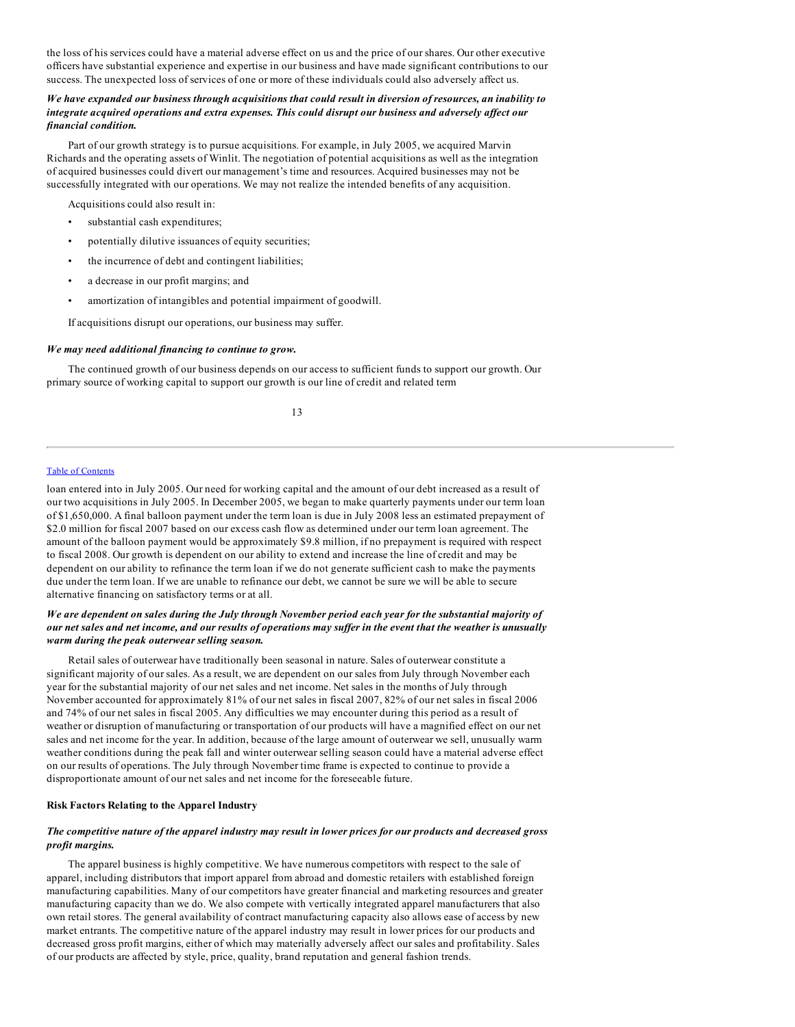the loss of his services could have a material adverse effect on us and the price of our shares. Our other executive officers have substantial experience and expertise in our business and have made significant contributions to our success. The unexpected loss of services of one or more of these individuals could also adversely affect us.

# We have expanded our business through acquisitions that could result in diversion of resources, an inability to *integrate acquired operations and extra expenses. This could disrupt our business and adversely af ect our financial condition.*

Part of our growth strategy is to pursue acquisitions. For example, in July 2005, we acquired Marvin Richards and the operating assets of Winlit. The negotiation of potential acquisitions as well as the integration of acquired businesses could divert our management's time and resources. Acquired businesses may not be successfully integrated with our operations. We may not realize the intended benefits of any acquisition.

Acquisitions could also result in:

- substantial cash expenditures;
- potentially dilutive issuances of equity securities;
- the incurrence of debt and contingent liabilities;
- a decrease in our profit margins; and
- amortization of intangibles and potential impairment of goodwill.

If acquisitions disrupt our operations, our business may suffer.

# *We may need additional financing to continue to grow.*

The continued growth of our business depends on our access to sufficient funds to support our growth. Our primary source of working capital to support our growth is our line of credit and related term

13

### Table of [Contents](#page-31-0)

loan entered into in July 2005. Our need for working capital and the amount of our debt increased as a result of our two acquisitions in July 2005. In December 2005, we began to make quarterly payments under our term loan of \$1,650,000. A final balloon payment under the term loan is due in July 2008 less an estimated prepayment of \$2.0 million for fiscal 2007 based on our excess cash flow as determined under our term loan agreement. The amount of the balloon payment would be approximately \$9.8 million, if no prepayment is required with respect to fiscal 2008. Our growth is dependent on our ability to extend and increase the line of credit and may be dependent on our ability to refinance the term loan if we do not generate sufficient cash to make the payments due under the term loan. If we are unable to refinance our debt, we cannot be sure we will be able to secure alternative financing on satisfactory terms or at all.

# We are dependent on sales during the July through November period each year for the substantial majority of our net sales and net income, and our results of operations may suffer in the event that the weather is unusually *warm during the peak outerwear selling season.*

Retail sales of outerwear have traditionally been seasonal in nature. Sales of outerwear constitute a significant majority of our sales. As a result, we are dependent on our sales from July through November each year for the substantial majority of our net sales and net income. Net sales in the months of July through November accounted for approximately 81% of our net sales in fiscal 2007, 82% of our net sales in fiscal 2006 and 74% of our net sales in fiscal 2005. Any difficulties we may encounter during this period as a result of weather or disruption of manufacturing or transportation of our products will have a magnified effect on our net sales and net income for the year. In addition, because of the large amount of outerwear we sell, unusually warm weather conditions during the peak fall and winter outerwear selling season could have a material adverse effect on our results of operations. The July through November time frame is expected to continue to provide a disproportionate amount of our net sales and net income for the foreseeable future.

# **Risk Factors Relating to the Apparel Industry**

### The competitive nature of the apparel industry may result in lower prices for our products and decreased gross *profit margins.*

The apparel business is highly competitive. We have numerous competitors with respect to the sale of apparel, including distributors that import apparel from abroad and domestic retailers with established foreign manufacturing capabilities. Many of our competitors have greater financial and marketing resources and greater manufacturing capacity than we do. We also compete with vertically integrated apparel manufacturers that also own retail stores. The general availability of contract manufacturing capacity also allows ease of access by new market entrants. The competitive nature of the apparel industry may result in lower prices for our products and decreased gross profit margins, either of which may materially adversely affect our sales and profitability. Sales of our products are affected by style, price, quality, brand reputation and general fashion trends.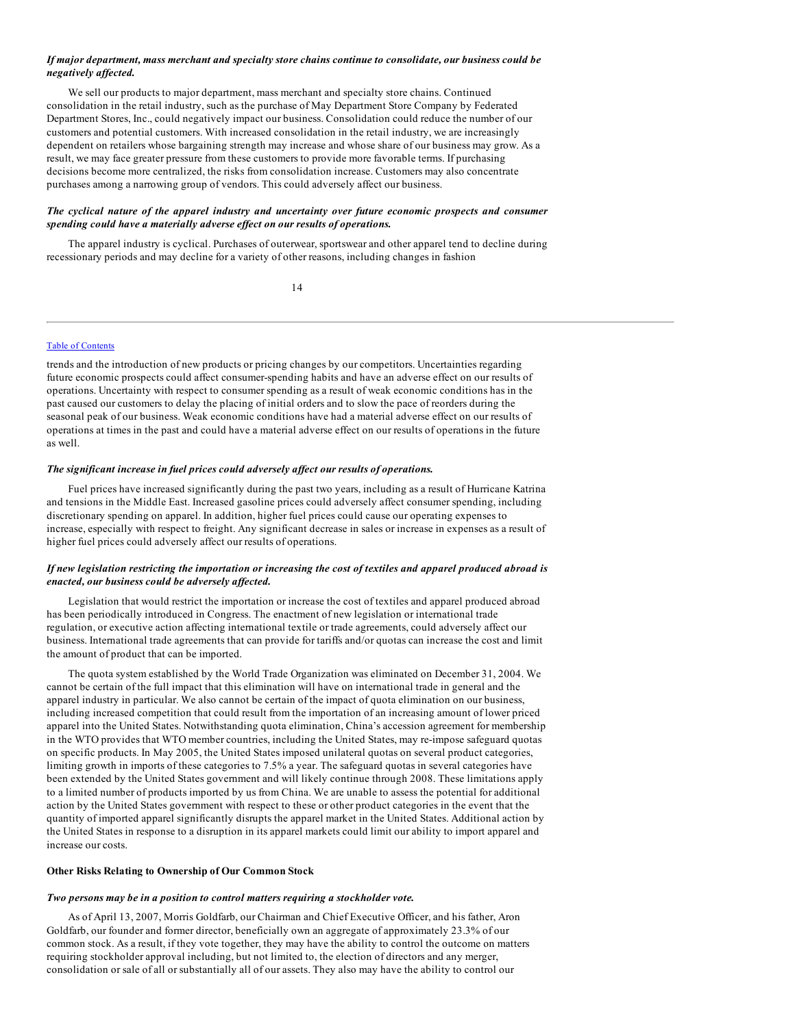### *If major department, mass merchant and specialty store chains continue to consolidate, our business could be negatively af ected.*

We sell our products to major department, mass merchant and specialty store chains. Continued consolidation in the retail industry, such as the purchase of May Department Store Company by Federated Department Stores, Inc., could negatively impact our business. Consolidation could reduce the number of our customers and potential customers. With increased consolidation in the retail industry, we are increasingly dependent on retailers whose bargaining strength may increase and whose share of our business may grow. As a result, we may face greater pressure from these customers to provide more favorable terms. If purchasing decisions become more centralized, the risks from consolidation increase. Customers may also concentrate purchases among a narrowing group of vendors. This could adversely affect our business.

# *The cyclical nature of the apparel industry and uncertainty over future economic prospects and consumer spending could have a materially adverse ef ect on our results of operations.*

The apparel industry is cyclical. Purchases of outerwear, sportswear and other apparel tend to decline during recessionary periods and may decline for a variety of other reasons, including changes in fashion

14

# Table of [Contents](#page-31-0)

trends and the introduction of new products or pricing changes by our competitors. Uncertainties regarding future economic prospects could affect consumer-spending habits and have an adverse effect on our results of operations. Uncertainty with respect to consumer spending as a result of weak economic conditions has in the past caused our customers to delay the placing of initial orders and to slow the pace of reorders during the seasonal peak of our business. Weak economic conditions have had a material adverse effect on our results of operations at times in the past and could have a material adverse effect on our results of operations in the future as well.

### *The significant increase in fuel prices could adversely af ect our results of operations.*

Fuel prices have increased significantly during the past two years, including as a result of Hurricane Katrina and tensions in the Middle East. Increased gasoline prices could adversely affect consumer spending, including discretionary spending on apparel. In addition, higher fuel prices could cause our operating expenses to increase, especially with respect to freight. Any significant decrease in sales or increase in expenses as a result of higher fuel prices could adversely affect our results of operations.

# If new legislation restricting the importation or increasing the cost of textiles and apparel produced abroad is *enacted, our business could be adversely af ected.*

Legislation that would restrict the importation or increase the cost of textiles and apparel produced abroad has been periodically introduced in Congress. The enactment of new legislation or international trade regulation, or executive action affecting international textile or trade agreements, could adversely affect our business. International trade agreements that can provide for tariffs and/or quotas can increase the cost and limit the amount of product that can be imported.

The quota system established by the World Trade Organization was eliminated on December 31, 2004. We cannot be certain of the full impact that this elimination will have on international trade in general and the apparel industry in particular. We also cannot be certain of the impact of quota elimination on our business, including increased competition that could result from the importation of an increasing amount of lower priced apparel into the United States. Notwithstanding quota elimination, China's accession agreement for membership in the WTO provides that WTO member countries, including the United States, may re-impose safeguard quotas on specific products. In May 2005, the United States imposed unilateral quotas on several product categories, limiting growth in imports of these categories to 7.5% a year. The safeguard quotas in several categories have been extended by the United States government and will likely continue through 2008. These limitations apply to a limited number of products imported by us from China. We are unable to assess the potential for additional action by the United States government with respect to these or other product categories in the event that the quantity of imported apparel significantly disrupts the apparel market in the United States. Additional action by the United States in response to a disruption in its apparel markets could limit our ability to import apparel and increase our costs.

### **Other Risks Relating to Ownership of Our Common Stock**

### *Two persons may be in a position to control matters requiring a stockholder vote.*

As of April 13, 2007, Morris Goldfarb, our Chairman and Chief Executive Officer, and his father, Aron Goldfarb, our founder and former director, beneficially own an aggregate of approximately 23.3% of our common stock. As a result, if they vote together, they may have the ability to control the outcome on matters requiring stockholder approval including, but not limited to, the election of directors and any merger, consolidation or sale of all or substantially all of our assets. They also may have the ability to control our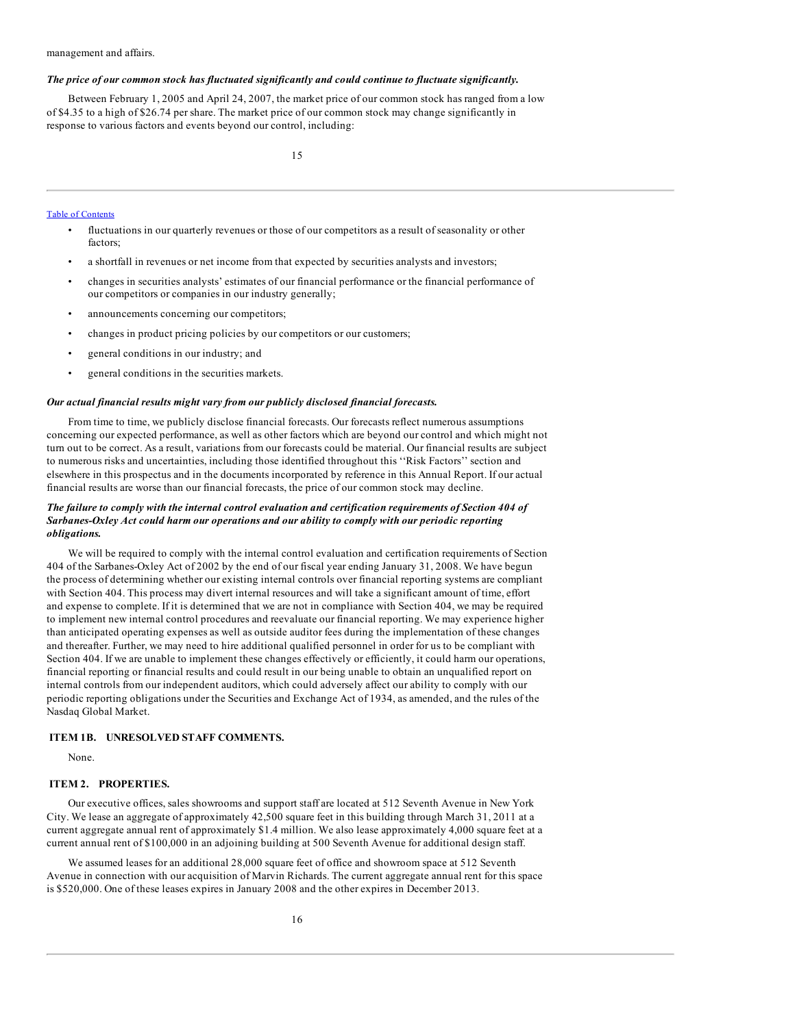### *The price of our common stock has fluctuated significantly and could continue to fluctuate significantly.*

Between February 1, 2005 and April 24, 2007, the market price of our common stock has ranged from a low of \$4.35 to a high of \$26.74 per share. The market price of our common stock may change significantly in response to various factors and events beyond our control, including:

15

#### Table of [Contents](#page-31-0)

- fluctuations in our quarterly revenues or those of our competitors as a result of seasonality or other factors;
- a shortfall in revenues or net income from that expected by securities analysts and investors;
- changes in securities analysts' estimates of our financial performance or the financial performance of our competitors or companies in our industry generally;
- announcements concerning our competitors;
- changes in product pricing policies by our competitors or our customers;
- general conditions in our industry; and
- general conditions in the securities markets.

### *Our actual financial results might vary from our publicly disclosed financial forecasts.*

From time to time, we publicly disclose financial forecasts. Our forecasts reflect numerous assumptions concerning our expected performance, as well as other factors which are beyond our control and which might not turn out to be correct. As a result, variations from our forecasts could be material. Our financial results are subject to numerous risks and uncertainties, including those identified throughout this ''Risk Factors'' section and elsewhere in this prospectus and in the documents incorporated by reference in this Annual Report. If our actual financial results are worse than our financial forecasts, the price of our common stock may decline.

# *The failure to comply with the internal control evaluation and certification requirements of Section 404 of Sarbanes-Oxley Act could harm our operations and our ability to comply with our periodic reporting obligations.*

We will be required to comply with the internal control evaluation and certification requirements of Section 404 of the Sarbanes-Oxley Act of 2002 by the end of our fiscal year ending January 31, 2008. We have begun the process of determining whether our existing internal controls over financial reporting systems are compliant with Section 404. This process may divert internal resources and will take a significant amount of time, effort and expense to complete. If it is determined that we are not in compliance with Section 404, we may be required to implement new internal control procedures and reevaluate our financial reporting. We may experience higher than anticipated operating expenses as well as outside auditor fees during the implementation of these changes and thereafter. Further, we may need to hire additional qualified personnel in order for us to be compliant with Section 404. If we are unable to implement these changes effectively or efficiently, it could harm our operations, financial reporting or financial results and could result in our being unable to obtain an unqualified report on internal controls from our independent auditors, which could adversely affect our ability to comply with our periodic reporting obligations under the Securities and Exchange Act of 1934, as amended, and the rules of the Nasdaq Global Market.

# **ITEM 1B. UNRESOLVED STAFF COMMENTS.**

None.

# **ITEM 2. PROPERTIES.**

Our executive offices, sales showrooms and support staff are located at 512 Seventh Avenue in New York City. We lease an aggregate of approximately 42,500 square feet in this building through March 31, 2011 at a current aggregate annual rent of approximately \$1.4 million. We also lease approximately 4,000 square feet at a current annual rent of \$100,000 in an adjoining building at 500 Seventh Avenue for additional design staff.

We assumed leases for an additional 28,000 square feet of office and showroom space at 512 Seventh Avenue in connection with our acquisition of Marvin Richards. The current aggregate annual rent for this space is \$520,000. One of these leases expires in January 2008 and the other expires in December 2013.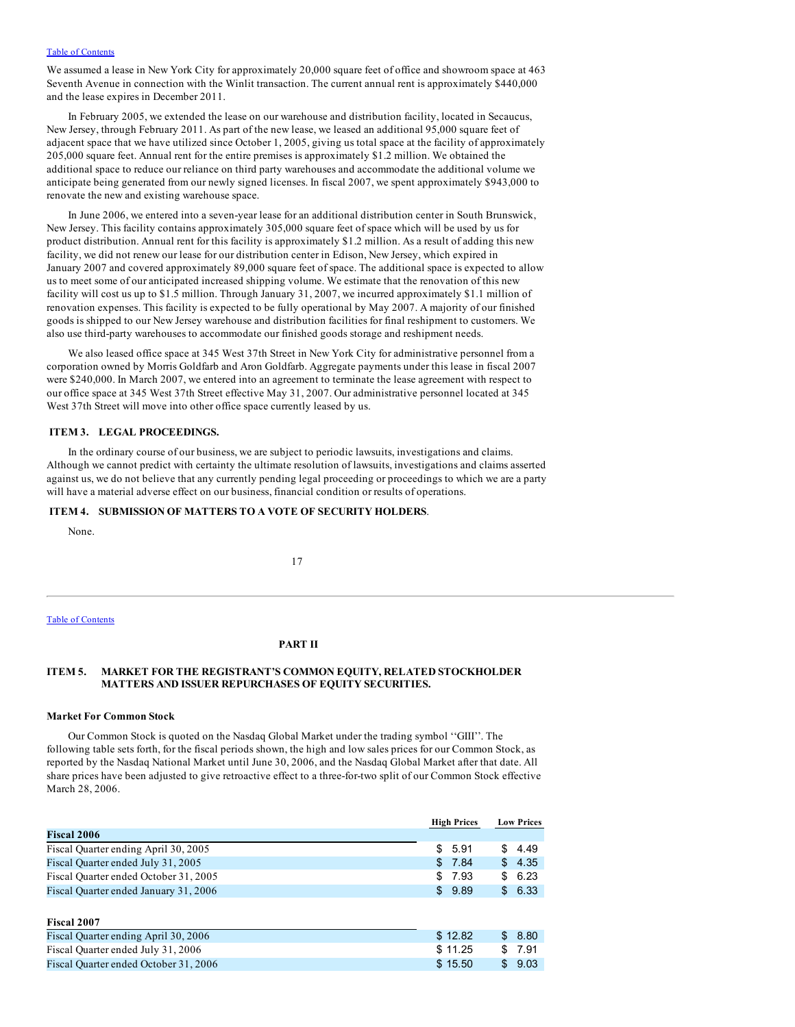### Table of [Contents](#page-31-0)

We assumed a lease in New York City for approximately 20,000 square feet of office and showroom space at 463 Seventh Avenue in connection with the Winlit transaction. The current annual rent is approximately \$440,000 and the lease expires in December 2011.

In February 2005, we extended the lease on our warehouse and distribution facility, located in Secaucus, New Jersey, through February 2011. As part of the new lease, we leased an additional 95,000 square feet of adjacent space that we have utilized since October 1, 2005, giving us total space at the facility of approximately 205,000 square feet. Annual rent for the entire premises is approximately \$1.2 million. We obtained the additional space to reduce our reliance on third party warehouses and accommodate the additional volume we anticipate being generated from our newly signed licenses. In fiscal 2007, we spent approximately \$943,000 to renovate the new and existing warehouse space.

In June 2006, we entered into a seven-year lease for an additional distribution center in South Brunswick, New Jersey. This facility contains approximately 305,000 square feet of space which will be used by us for product distribution. Annual rent for this facility is approximately \$1.2 million. As a result of adding this new facility, we did not renew our lease for our distribution center in Edison, New Jersey, which expired in January 2007 and covered approximately 89,000 square feet of space. The additional space is expected to allow us to meet some of our anticipated increased shipping volume. We estimate that the renovation of this new facility will cost us up to \$1.5 million. Through January 31, 2007, we incurred approximately \$1.1 million of renovation expenses. This facility is expected to be fully operational by May 2007. A majority of our finished goods is shipped to our New Jersey warehouse and distribution facilities for final reshipment to customers. We also use third-party warehouses to accommodate our finished goods storage and reshipment needs.

We also leased office space at 345 West 37th Street in New York City for administrative personnel from a corporation owned by Morris Goldfarb and Aron Goldfarb. Aggregate payments under this lease in fiscal 2007 were \$240,000. In March 2007, we entered into an agreement to terminate the lease agreement with respect to our office space at 345 West 37th Street effective May 31, 2007. Our administrative personnel located at 345 West 37th Street will move into other office space currently leased by us.

### **ITEM 3. LEGAL PROCEEDINGS.**

In the ordinary course of our business, we are subject to periodic lawsuits, investigations and claims. Although we cannot predict with certainty the ultimate resolution of lawsuits, investigations and claims asserted against us, we do not believe that any currently pending legal proceeding or proceedings to which we are a party will have a material adverse effect on our business, financial condition or results of operations.

# **ITEM 4. SUBMISSION OF MATTERS TO A VOTE OF SECURITY HOLDERS**.

None.

17

#### Table of [Contents](#page-31-0)

# **PART II**

# **ITEM 5. MARKET FOR THE REGISTRANT'S COMMON EQUITY, RELATED STOCKHOLDER MATTERS AND ISSUER REPURCHASES OF EQUITY SECURITIES.**

### **Market For Common Stock**

Our Common Stock is quoted on the Nasdaq Global Market under the trading symbol ''GIII''. The following table sets forth, for the fiscal periods shown, the high and low sales prices for our Common Stock, as reported by the Nasdaq National Market until June 30, 2006, and the Nasdaq Global Market after that date. All share prices have been adjusted to give retroactive effect to a three-for-two split of our Common Stock effective March 28, 2006.

|                                       | <b>High Prices</b> | <b>Low Prices</b> |
|---------------------------------------|--------------------|-------------------|
| <b>Fiscal 2006</b>                    |                    |                   |
| Fiscal Quarter ending April 30, 2005  | \$<br>5.91         | \$<br>4.49        |
| Fiscal Quarter ended July 31, 2005    | 7.84<br>\$.        | 4.35<br>\$        |
| Fiscal Quarter ended October 31, 2005 | 7.93<br>\$         | 6.23<br>\$.       |
| Fiscal Quarter ended January 31, 2006 | \$9.89             | 6.33<br>\$        |
|                                       |                    |                   |
| Fiscal 2007                           |                    |                   |
| Fiscal Quarter ending April 30, 2006  | \$12.82            | \$<br>8.80        |
| Fiscal Quarter ended July 31, 2006    | \$11.25            | \$<br>7.91        |
| Fiscal Quarter ended October 31, 2006 | \$15.50            | 9.03<br>\$        |
|                                       |                    |                   |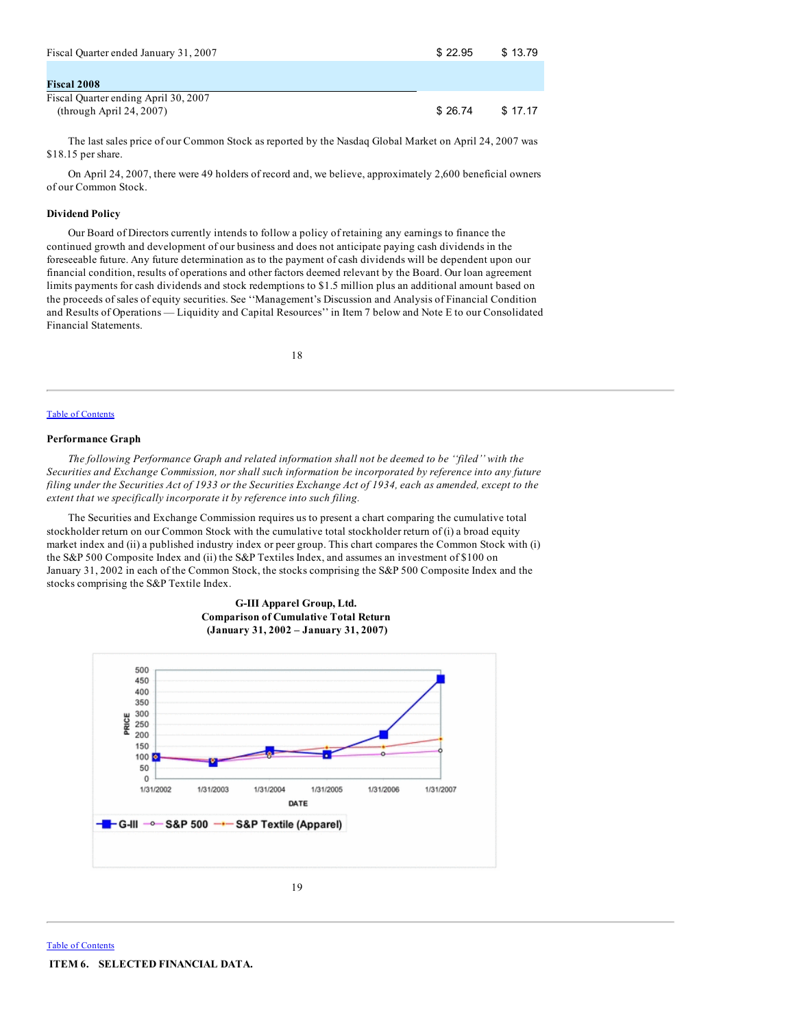| Fiscal Quarter ended January 31, 2007 | \$22.95 | \$13.79 |
|---------------------------------------|---------|---------|
|                                       |         |         |
| <b>Fiscal 2008</b>                    |         |         |
| Fiscal Quarter ending April 30, 2007  |         |         |
| (throught April 24, 2007)             | \$26.74 | \$17.17 |
|                                       |         |         |

The last sales price of our Common Stock as reported by the Nasdaq Global Market on April 24, 2007 was \$18.15 per share.

On April 24, 2007, there were 49 holders of record and, we believe, approximately 2,600 beneficial owners of our Common Stock.

# **Dividend Policy**

Our Board of Directors currently intends to follow a policy of retaining any earnings to finance the continued growth and development of our business and does not anticipate paying cash dividends in the foreseeable future. Any future determination as to the payment of cash dividends will be dependent upon our financial condition, results of operations and other factors deemed relevant by the Board. Our loan agreement limits payments for cash dividends and stock redemptions to \$1.5 million plus an additional amount based on the proceeds of sales of equity securities. See ''Management's Discussion and Analysis of Financial Condition and Results of Operations — Liquidity and Capital Resources'' in Item 7 below and Note E to our Consolidated Financial Statements.

18

### Table of [Contents](#page-31-0)

### **Performance Graph**

*The following Performance Graph and related information shall not be deemed to be ''filed'' with the Securities and Exchange Commission, nor shall such information be incorporated by reference into any future* filing under the Securities Act of 1933 or the Securities Exchange Act of 1934, each as amended, except to the *extent that we specifically incorporate it by reference into such filing.*

The Securities and Exchange Commission requires us to present a chart comparing the cumulative total stockholder return on our Common Stock with the cumulative total stockholder return of (i) a broad equity market index and (ii) a published industry index or peer group. This chart compares the Common Stock with (i) the S&P 500 Composite Index and (ii) the S&P Textiles Index, and assumes an investment of \$100 on January 31, 2002 in each of the Common Stock, the stocks comprising the S&P 500 Composite Index and the stocks comprising the S&P Textile Index.



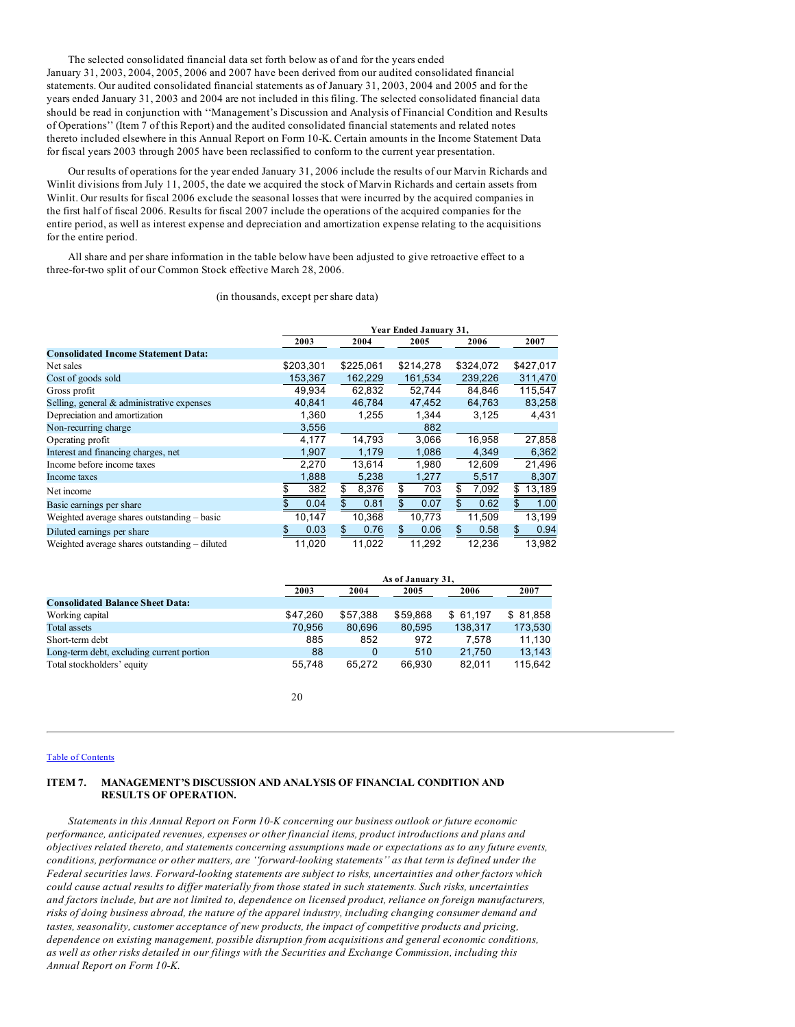The selected consolidated financial data set forth below as of and for the years ended January 31, 2003, 2004, 2005, 2006 and 2007 have been derived from our audited consolidated financial statements. Our audited consolidated financial statements as of January 31, 2003, 2004 and 2005 and for the years ended January 31, 2003 and 2004 are not included in this filing. The selected consolidated financial data should be read in conjunction with ''Management's Discussion and Analysis of Financial Condition and Results of Operations'' (Item 7 of this Report) and the audited consolidated financial statements and related notes thereto included elsewhere in this Annual Report on Form 10-K. Certain amounts in the Income Statement Data for fiscal years 2003 through 2005 have been reclassified to conform to the current year presentation.

Our results of operations for the year ended January 31, 2006 include the results of our Marvin Richards and Winlit divisions from July 11, 2005, the date we acquired the stock of Marvin Richards and certain assets from Winlit. Our results for fiscal 2006 exclude the seasonal losses that were incurred by the acquired companies in the first half of fiscal 2006. Results for fiscal 2007 include the operations of the acquired companies for the entire period, as well as interest expense and depreciation and amortization expense relating to the acquisitions for the entire period.

All share and per share information in the table below have been adjusted to give retroactive effect to a three-for-two split of our Common Stock effective March 28, 2006.

# (in thousands, except per share data)

|                                               |            | Year Ended January 31, |                        |             |              |
|-----------------------------------------------|------------|------------------------|------------------------|-------------|--------------|
|                                               | 2003       | 2004                   | 2005                   | 2006        | 2007         |
| <b>Consolidated Income Statement Data:</b>    |            |                        |                        |             |              |
| Net sales                                     | \$203.301  | \$225,061              | \$214,278              | \$324,072   | \$427,017    |
| Cost of goods sold                            | 153,367    | 162,229                | 161,534                | 239,226     | 311,470      |
| Gross profit                                  | 49.934     | 62.832                 | 52,744                 | 84.846      | 115,547      |
| Selling, general & administrative expenses    | 40.841     | 46.784                 | 47.452                 | 64.763      | 83,258       |
| Depreciation and amortization                 | 1,360      | 1,255                  | 1,344                  | 3,125       | 4,431        |
| Non-recurring charge                          | 3,556      |                        | 882                    |             |              |
| Operating profit                              | 4,177      | 14.793                 | 3,066                  | 16,958      | 27,858       |
| Interest and financing charges, net           | 1,907      | 1,179                  | 1,086                  | 4,349       | 6,362        |
| Income before income taxes                    | 2,270      | 13.614                 | 1.980                  | 12.609      | 21,496       |
| Income taxes                                  | 1,888      | 5,238                  | 1,277                  | 5,517       | 8,307        |
| Net income                                    | 382        | \$<br>8,376            | \$<br>703              | \$<br>7,092 | \$<br>13,189 |
| Basic earnings per share                      | 0.04       | \$.<br>0.81            | $\mathfrak{L}$<br>0.07 | \$<br>0.62  | \$<br>1.00   |
| Weighted average shares outstanding – basic   | 10.147     | 10.368                 | 10.773                 | 11.509      | 13.199       |
| Diluted earnings per share                    | 0.03<br>\$ | 0.76<br>\$             | \$<br>0.06             | \$<br>0.58  | \$<br>0.94   |
| Weighted average shares outstanding – diluted | 11,020     | 11.022                 | 11,292                 | 12,236      | 13,982       |

|                                           |          | As of January 31, |          |          |          |
|-------------------------------------------|----------|-------------------|----------|----------|----------|
|                                           | 2003     | 2004              | 2005     | 2006     | 2007     |
| <b>Consolidated Balance Sheet Data:</b>   |          |                   |          |          |          |
| Working capital                           | \$47.260 | \$57.388          | \$59.868 | \$61.197 | \$81.858 |
| Total assets                              | 70.956   | 80.696            | 80.595   | 138.317  | 173,530  |
| Short-term debt                           | 885      | 852               | 972      | 7.578    | 11.130   |
| Long-term debt, excluding current portion | 88       | 0                 | 510      | 21.750   | 13.143   |
| Total stockholders' equity                | 55.748   | 65.272            | 66.930   | 82.011   | 115.642  |

20

#### Table of [Contents](#page-31-0)

# **ITEM 7. MANAGEMENT'S DISCUSSION AND ANALYSIS OF FINANCIAL CONDITION AND RESULTS OF OPERATION.**

*Statements in this Annual Report on Form 10-K concerning our business outlook or future economic performance, anticipated revenues, expenses or other financial items, product introductions and plans and objectives related thereto, and statements concerning assumptions made or expectations as to any future events, conditions, performance or other matters, are ''forward-looking statements'' as that term is defined under the Federal securities laws. Forward-looking statements are subject to risks, uncertainties and other factors which* could cause actual results to differ materially from those stated in such statements. Such risks, uncertainties *and factors include, but are not limited to, dependence on licensed product, reliance on foreign manufacturers, risks of doing business abroad, the nature of the apparel industry, including changing consumer demand and tastes, seasonality, customer acceptance of new products, the impact of competitive products and pricing, dependence on existing management, possible disruption from acquisitions and general economic conditions,* as well as other risks detailed in our filings with the Securities and Exchange Commission, including this *Annual Report on Form 10-K.*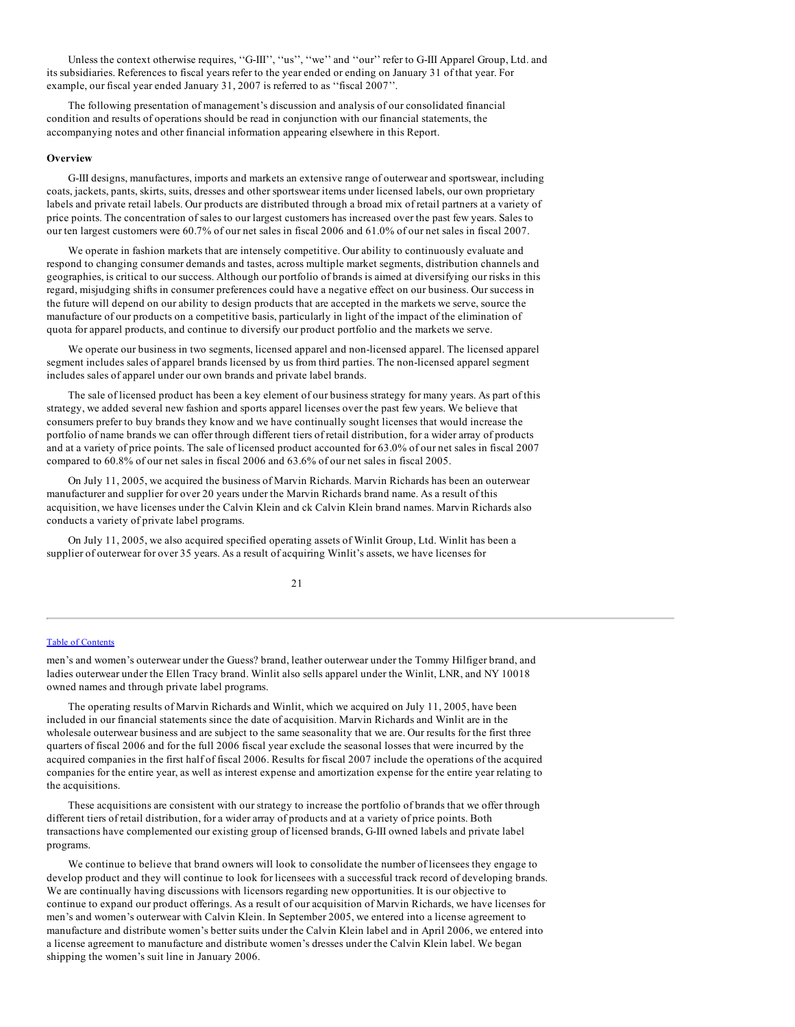Unless the context otherwise requires, "G-III", "us", "we" and "our" refer to G-III Apparel Group, Ltd. and its subsidiaries. References to fiscal years refer to the year ended or ending on January 31 of that year. For example, our fiscal year ended January 31, 2007 is referred to as ''fiscal 2007''.

The following presentation of management's discussion and analysis of our consolidated financial condition and results of operations should be read in conjunction with our financial statements, the accompanying notes and other financial information appearing elsewhere in this Report.

### **Overview**

G-III designs, manufactures, imports and markets an extensive range of outerwear and sportswear, including coats, jackets, pants, skirts, suits, dresses and other sportswear items under licensed labels, our own proprietary labels and private retail labels. Our products are distributed through a broad mix of retail partners at a variety of price points. The concentration of sales to our largest customers has increased over the past few years. Sales to our ten largest customers were 60.7% of our net sales in fiscal 2006 and 61.0% of our net sales in fiscal 2007.

We operate in fashion markets that are intensely competitive. Our ability to continuously evaluate and respond to changing consumer demands and tastes, across multiple market segments, distribution channels and geographies, is critical to our success. Although our portfolio of brands is aimed at diversifying our risks in this regard, misjudging shifts in consumer preferences could have a negative effect on our business. Our success in the future will depend on our ability to design products that are accepted in the markets we serve, source the manufacture of our products on a competitive basis, particularly in light of the impact of the elimination of quota for apparel products, and continue to diversify our product portfolio and the markets we serve.

We operate our business in two segments, licensed apparel and non-licensed apparel. The licensed apparel segment includes sales of apparel brands licensed by us from third parties. The non-licensed apparel segment includes sales of apparel under our own brands and private label brands.

The sale of licensed product has been a key element of our business strategy for many years. As part of this strategy, we added several new fashion and sports apparel licenses over the past few years. We believe that consumers prefer to buy brands they know and we have continually sought licenses that would increase the portfolio of name brands we can offer through different tiers of retail distribution, for a wider array of products and at a variety of price points. The sale of licensed product accounted for 63.0% of our net sales in fiscal 2007 compared to 60.8% of our net sales in fiscal 2006 and 63.6% of our net sales in fiscal 2005.

On July 11, 2005, we acquired the business of Marvin Richards. Marvin Richards has been an outerwear manufacturer and supplier for over 20 years under the Marvin Richards brand name. As a result of this acquisition, we have licenses under the Calvin Klein and ck Calvin Klein brand names. Marvin Richards also conducts a variety of private label programs.

On July 11, 2005, we also acquired specified operating assets of Winlit Group, Ltd. Winlit has been a supplier of outerwear for over 35 years. As a result of acquiring Winlit's assets, we have licenses for

# $21$

### Table of [Contents](#page-31-0)

men's and women's outerwear under the Guess? brand, leather outerwear under the Tommy Hilfiger brand, and ladies outerwear under the Ellen Tracy brand. Winlit also sells apparel under the Winlit, LNR, and NY 10018 owned names and through private label programs.

The operating results of Marvin Richards and Winlit, which we acquired on July 11, 2005, have been included in our financial statements since the date of acquisition. Marvin Richards and Winlit are in the wholesale outerwear business and are subject to the same seasonality that we are. Our results for the first three quarters of fiscal 2006 and for the full 2006 fiscal year exclude the seasonal losses that were incurred by the acquired companies in the first half of fiscal 2006. Results for fiscal 2007 include the operations of the acquired companies for the entire year, as well as interest expense and amortization expense for the entire year relating to the acquisitions.

These acquisitions are consistent with our strategy to increase the portfolio of brands that we offer through different tiers of retail distribution, for a wider array of products and at a variety of price points. Both transactions have complemented our existing group of licensed brands, G-III owned labels and private label programs.

We continue to believe that brand owners will look to consolidate the number of licensees they engage to develop product and they will continue to look for licensees with a successful track record of developing brands. We are continually having discussions with licensors regarding new opportunities. It is our objective to continue to expand our product offerings. As a result of our acquisition of Marvin Richards, we have licenses for men's and women's outerwear with Calvin Klein. In September 2005, we entered into a license agreement to manufacture and distribute women's better suits under the Calvin Klein label and in April 2006, we entered into a license agreement to manufacture and distribute women's dresses under the Calvin Klein label. We began shipping the women's suit line in January 2006.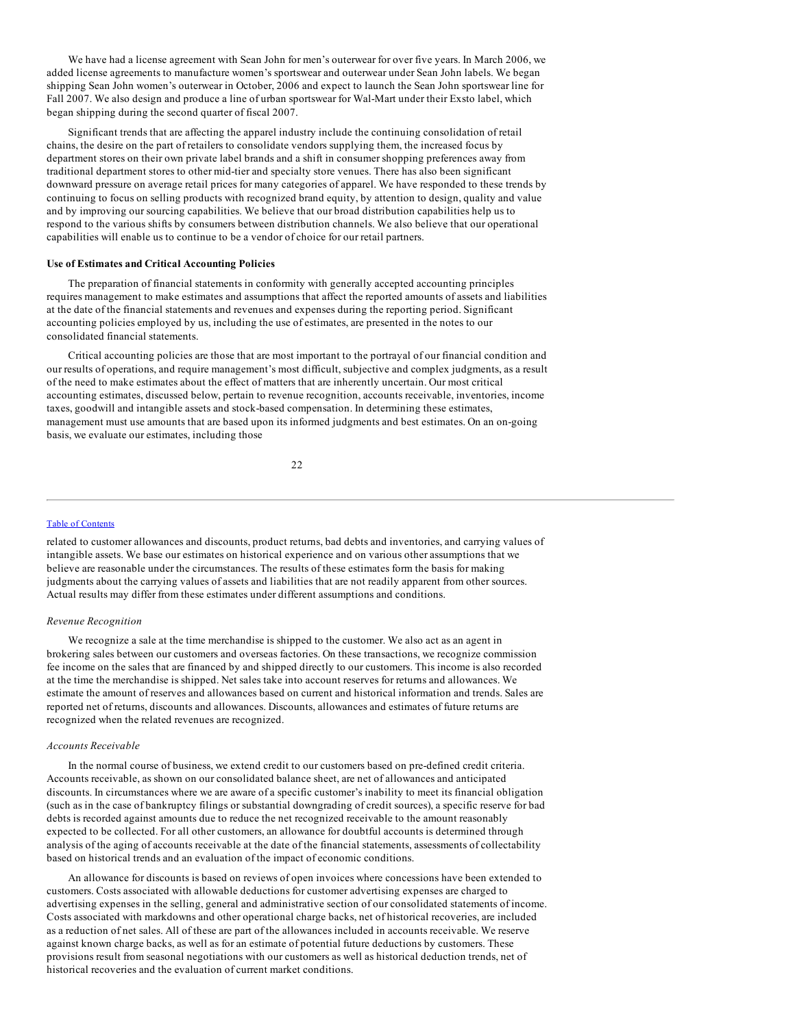We have had a license agreement with Sean John for men's outerwear for over five years. In March 2006, we added license agreements to manufacture women's sportswear and outerwear under Sean John labels. We began shipping Sean John women's outerwear in October, 2006 and expect to launch the Sean John sportswear line for Fall 2007. We also design and produce a line of urban sportswear for Wal-Mart under their Exsto label, which began shipping during the second quarter of fiscal 2007.

Significant trends that are affecting the apparel industry include the continuing consolidation of retail chains, the desire on the part of retailers to consolidate vendors supplying them, the increased focus by department stores on their own private label brands and a shift in consumer shopping preferences away from traditional department stores to other mid-tier and specialty store venues. There has also been significant downward pressure on average retail prices for many categories of apparel. We have responded to these trends by continuing to focus on selling products with recognized brand equity, by attention to design, quality and value and by improving our sourcing capabilities. We believe that our broad distribution capabilities help us to respond to the various shifts by consumers between distribution channels. We also believe that our operational capabilities will enable us to continue to be a vendor of choice for our retail partners.

# **Use of Estimates and Critical Accounting Policies**

The preparation of financial statements in conformity with generally accepted accounting principles requires management to make estimates and assumptions that affect the reported amounts of assets and liabilities at the date of the financial statements and revenues and expenses during the reporting period. Significant accounting policies employed by us, including the use of estimates, are presented in the notes to our consolidated financial statements.

Critical accounting policies are those that are most important to the portrayal of our financial condition and our results of operations, and require management's most difficult, subjective and complex judgments, as a result of the need to make estimates about the effect of matters that are inherently uncertain. Our most critical accounting estimates, discussed below, pertain to revenue recognition, accounts receivable, inventories, income taxes, goodwill and intangible assets and stock-based compensation. In determining these estimates, management must use amounts that are based upon its informed judgments and best estimates. On an on-going basis, we evaluate our estimates, including those

22

### Table of [Contents](#page-31-0)

related to customer allowances and discounts, product returns, bad debts and inventories, and carrying values of intangible assets. We base our estimates on historical experience and on various other assumptions that we believe are reasonable under the circumstances. The results of these estimates form the basis for making judgments about the carrying values of assets and liabilities that are not readily apparent from other sources. Actual results may differ from these estimates under different assumptions and conditions.

### *Revenue Recognition*

We recognize a sale at the time merchandise is shipped to the customer. We also act as an agent in brokering sales between our customers and overseas factories. On these transactions, we recognize commission fee income on the sales that are financed by and shipped directly to our customers. This income is also recorded at the time the merchandise is shipped. Net sales take into account reserves for returns and allowances. We estimate the amount of reserves and allowances based on current and historical information and trends. Sales are reported net of returns, discounts and allowances. Discounts, allowances and estimates of future returns are recognized when the related revenues are recognized.

#### *Accounts Receivable*

In the normal course of business, we extend credit to our customers based on pre-defined credit criteria. Accounts receivable, as shown on our consolidated balance sheet, are net of allowances and anticipated discounts. In circumstances where we are aware of a specific customer's inability to meet its financial obligation (such as in the case of bankruptcy filings or substantial downgrading of credit sources), a specific reserve for bad debts is recorded against amounts due to reduce the net recognized receivable to the amount reasonably expected to be collected. For all other customers, an allowance for doubtful accounts is determined through analysis of the aging of accounts receivable at the date of the financial statements, assessments of collectability based on historical trends and an evaluation of the impact of economic conditions.

An allowance for discounts is based on reviews of open invoices where concessions have been extended to customers. Costs associated with allowable deductions for customer advertising expenses are charged to advertising expenses in the selling, general and administrative section of our consolidated statements of income. Costs associated with markdowns and other operational charge backs, net of historical recoveries, are included as a reduction of net sales. All of these are part of the allowances included in accounts receivable. We reserve against known charge backs, as well as for an estimate of potential future deductions by customers. These provisions result from seasonal negotiations with our customers as well as historical deduction trends, net of historical recoveries and the evaluation of current market conditions.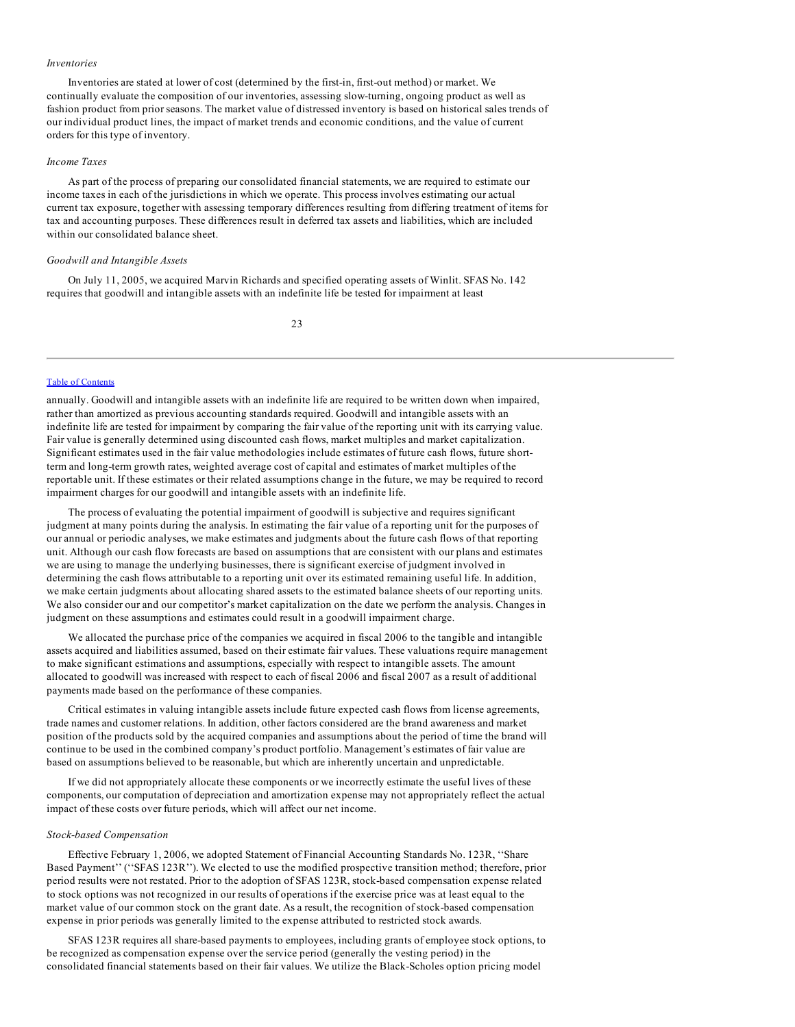# *Inventories*

Inventories are stated at lower of cost (determined by the first-in, first-out method) or market. We continually evaluate the composition of our inventories, assessing slow-turning, ongoing product as well as fashion product from prior seasons. The market value of distressed inventory is based on historical sales trends of our individual product lines, the impact of market trends and economic conditions, and the value of current orders for this type of inventory.

### *Income Taxes*

As part of the process of preparing our consolidated financial statements, we are required to estimate our income taxes in each of the jurisdictions in which we operate. This process involves estimating our actual current tax exposure, together with assessing temporary differences resulting from differing treatment of items for tax and accounting purposes. These differences result in deferred tax assets and liabilities, which are included within our consolidated balance sheet.

### *Goodwill and Intangible Assets*

On July 11, 2005, we acquired Marvin Richards and specified operating assets of Winlit. SFAS No. 142 requires that goodwill and intangible assets with an indefinite life be tested for impairment at least

### 23

### Table of [Contents](#page-31-0)

annually. Goodwill and intangible assets with an indefinite life are required to be written down when impaired, rather than amortized as previous accounting standards required. Goodwill and intangible assets with an indefinite life are tested for impairment by comparing the fair value of the reporting unit with its carrying value. Fair value is generally determined using discounted cash flows, market multiples and market capitalization. Significant estimates used in the fair value methodologies include estimates of future cash flows, future shortterm and long-term growth rates, weighted average cost of capital and estimates of market multiples of the reportable unit. If these estimates or their related assumptions change in the future, we may be required to record impairment charges for our goodwill and intangible assets with an indefinite life.

The process of evaluating the potential impairment of goodwill is subjective and requires significant judgment at many points during the analysis. In estimating the fair value of a reporting unit for the purposes of our annual or periodic analyses, we make estimates and judgments about the future cash flows of that reporting unit. Although our cash flow forecasts are based on assumptions that are consistent with our plans and estimates we are using to manage the underlying businesses, there is significant exercise of judgment involved in determining the cash flows attributable to a reporting unit over its estimated remaining useful life. In addition, we make certain judgments about allocating shared assets to the estimated balance sheets of our reporting units. We also consider our and our competitor's market capitalization on the date we perform the analysis. Changes in judgment on these assumptions and estimates could result in a goodwill impairment charge.

We allocated the purchase price of the companies we acquired in fiscal 2006 to the tangible and intangible assets acquired and liabilities assumed, based on their estimate fair values. These valuations require management to make significant estimations and assumptions, especially with respect to intangible assets. The amount allocated to goodwill was increased with respect to each of fiscal 2006 and fiscal 2007 as a result of additional payments made based on the performance of these companies.

Critical estimates in valuing intangible assets include future expected cash flows from license agreements, trade names and customer relations. In addition, other factors considered are the brand awareness and market position of the products sold by the acquired companies and assumptions about the period of time the brand will continue to be used in the combined company's product portfolio. Management's estimates of fair value are based on assumptions believed to be reasonable, but which are inherently uncertain and unpredictable.

If we did not appropriately allocate these components or we incorrectly estimate the useful lives of these components, our computation of depreciation and amortization expense may not appropriately reflect the actual impact of these costs over future periods, which will affect our net income.

### *Stock-based Compensation*

Effective February 1, 2006, we adopted Statement of Financial Accounting Standards No. 123R, ''Share Based Payment'' (''SFAS 123R''). We elected to use the modified prospective transition method; therefore, prior period results were not restated. Prior to the adoption of SFAS 123R, stock-based compensation expense related to stock options was not recognized in our results of operations if the exercise price was at least equal to the market value of our common stock on the grant date. As a result, the recognition of stock-based compensation expense in prior periods was generally limited to the expense attributed to restricted stock awards.

SFAS 123R requires all share-based payments to employees, including grants of employee stock options, to be recognized as compensation expense over the service period (generally the vesting period) in the consolidated financial statements based on their fair values. We utilize the Black-Scholes option pricing model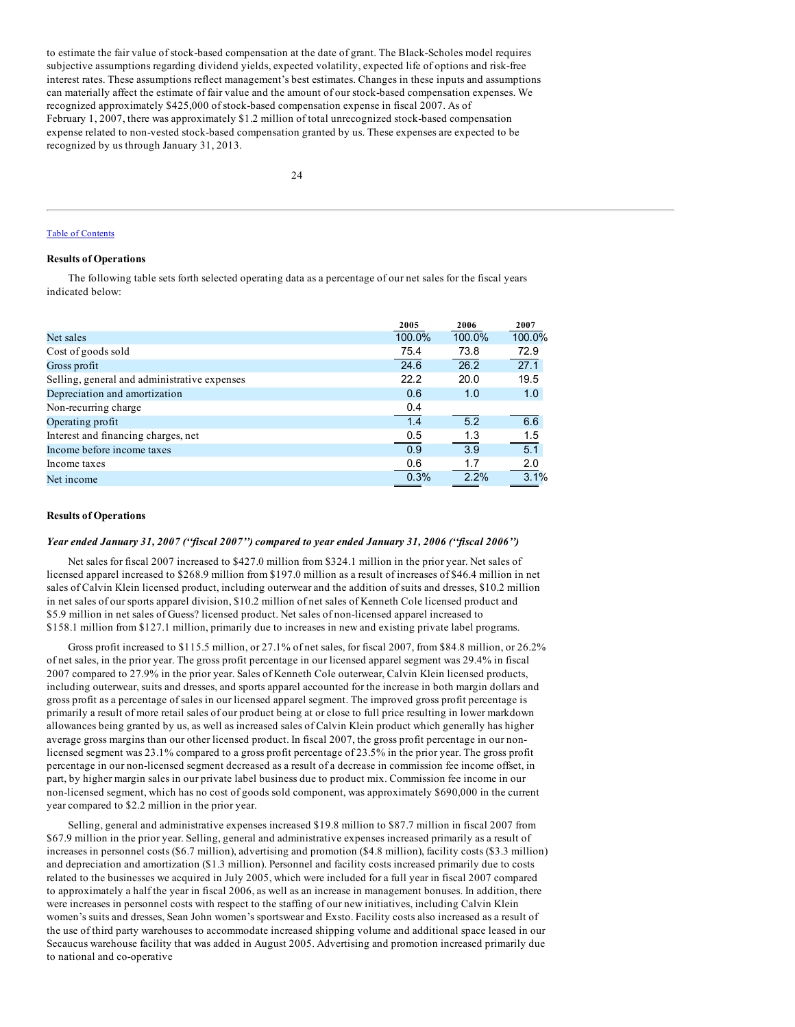to estimate the fair value of stock-based compensation at the date of grant. The Black-Scholes model requires subjective assumptions regarding dividend yields, expected volatility, expected life of options and risk-free interest rates. These assumptions reflect management's best estimates. Changes in these inputs and assumptions can materially affect the estimate of fair value and the amount of our stock-based compensation expenses. We recognized approximately \$425,000 of stock-based compensation expense in fiscal 2007. As of February 1, 2007, there was approximately \$1.2 million of total unrecognized stock-based compensation expense related to non-vested stock-based compensation granted by us. These expenses are expected to be recognized by us through January 31, 2013.

 $24$ 

# Table of [Contents](#page-31-0)

# **Results of Operations**

The following table sets forth selected operating data as a percentage of our net sales for the fiscal years indicated below:

|                                              | 2005   | 2006   | 2007   |
|----------------------------------------------|--------|--------|--------|
| Net sales                                    | 100.0% | 100.0% | 100.0% |
| Cost of goods sold                           | 75.4   | 73.8   | 72.9   |
| Gross profit                                 | 24.6   | 26.2   | 27.1   |
| Selling, general and administrative expenses | 22.2   | 20.0   | 19.5   |
| Depreciation and amortization                | 0.6    | 1.0    | 1.0    |
| Non-recurring charge                         | 0.4    |        |        |
| Operating profit                             | 1.4    | 5.2    | 6.6    |
| Interest and financing charges, net          | 0.5    | 1.3    | 1.5    |
| Income before income taxes                   | 0.9    | 3.9    | 5.1    |
| Income taxes                                 | 0.6    | 1.7    | 2.0    |
| Net income                                   | 0.3%   | 2.2%   | 3.1%   |

### **Results of Operations**

# *Year ended January 31, 2007 (''fiscal 2007'') compared to year ended January 31, 2006 (''fiscal 2006'')*

Net sales for fiscal 2007 increased to \$427.0 million from \$324.1 million in the prior year. Net sales of licensed apparel increased to \$268.9 million from \$197.0 million as a result of increases of \$46.4 million in net sales of Calvin Klein licensed product, including outerwear and the addition of suits and dresses, \$10.2 million in net sales of our sports apparel division, \$10.2 million of net sales of Kenneth Cole licensed product and \$5.9 million in net sales of Guess? licensed product. Net sales of non-licensed apparel increased to \$158.1 million from \$127.1 million, primarily due to increases in new and existing private label programs.

Gross profit increased to \$115.5 million, or 27.1% of net sales, for fiscal 2007, from \$84.8 million, or 26.2% of net sales, in the prior year. The gross profit percentage in our licensed apparel segment was 29.4% in fiscal 2007 compared to 27.9% in the prior year. Sales of Kenneth Cole outerwear, Calvin Klein licensed products, including outerwear, suits and dresses, and sports apparel accounted for the increase in both margin dollars and gross profit as a percentage of sales in our licensed apparel segment. The improved gross profit percentage is primarily a result of more retail sales of our product being at or close to full price resulting in lower markdown allowances being granted by us, as well as increased sales of Calvin Klein product which generally has higher average gross margins than our other licensed product. In fiscal 2007, the gross profit percentage in our nonlicensed segment was 23.1% compared to a gross profit percentage of 23.5% in the prior year. The gross profit percentage in our non-licensed segment decreased as a result of a decrease in commission fee income offset, in part, by higher margin sales in our private label business due to product mix. Commission fee income in our non-licensed segment, which has no cost of goods sold component, was approximately \$690,000 in the current year compared to \$2.2 million in the prior year.

Selling, general and administrative expenses increased \$19.8 million to \$87.7 million in fiscal 2007 from \$67.9 million in the prior year. Selling, general and administrative expenses increased primarily as a result of increases in personnel costs (\$6.7 million), advertising and promotion (\$4.8 million), facility costs (\$3.3 million) and depreciation and amortization (\$1.3 million). Personnel and facility costs increased primarily due to costs related to the businesses we acquired in July 2005, which were included for a full year in fiscal 2007 compared to approximately a half the year in fiscal 2006, as well as an increase in management bonuses. In addition, there were increases in personnel costs with respect to the staffing of our new initiatives, including Calvin Klein women's suits and dresses, Sean John women's sportswear and Exsto. Facility costs also increased as a result of the use of third party warehouses to accommodate increased shipping volume and additional space leased in our Secaucus warehouse facility that was added in August 2005. Advertising and promotion increased primarily due to national and co-operative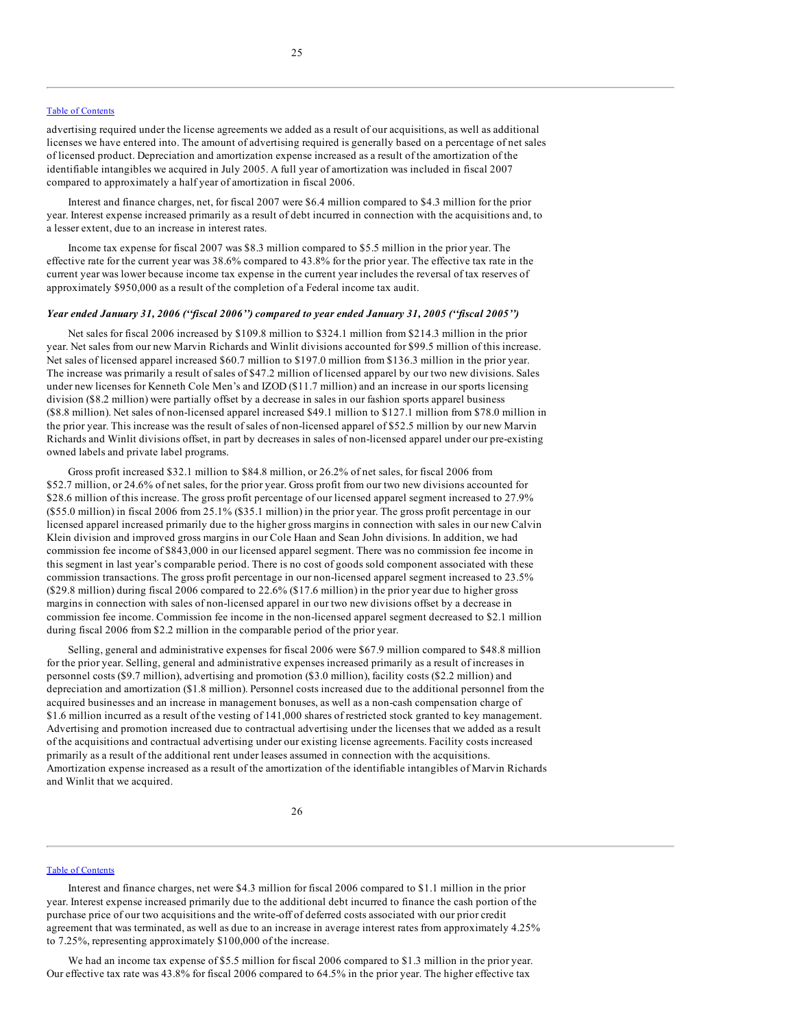#### Table of [Contents](#page-31-0)

advertising required under the license agreements we added as a result of our acquisitions, as well as additional licenses we have entered into. The amount of advertising required is generally based on a percentage of net sales of licensed product. Depreciation and amortization expense increased as a result of the amortization of the identifiable intangibles we acquired in July 2005. A full year of amortization was included in fiscal 2007 compared to approximately a half year of amortization in fiscal 2006.

Interest and finance charges, net, for fiscal 2007 were \$6.4 million compared to \$4.3 million for the prior year. Interest expense increased primarily as a result of debt incurred in connection with the acquisitions and, to a lesser extent, due to an increase in interest rates.

Income tax expense for fiscal 2007 was \$8.3 million compared to \$5.5 million in the prior year. The effective rate for the current year was 38.6% compared to 43.8% for the prior year. The effective tax rate in the current year was lower because income tax expense in the current year includes the reversal of tax reserves of approximately \$950,000 as a result of the completion of a Federal income tax audit.

### *Year ended January 31, 2006 (''fiscal 2006'') compared to year ended January 31, 2005 (''fiscal 2005'')*

Net sales for fiscal 2006 increased by \$109.8 million to \$324.1 million from \$214.3 million in the prior year. Net sales from our new Marvin Richards and Winlit divisions accounted for \$99.5 million of this increase. Net sales of licensed apparel increased \$60.7 million to \$197.0 million from \$136.3 million in the prior year. The increase was primarily a result of sales of \$47.2 million of licensed apparel by our two new divisions. Sales under new licenses for Kenneth Cole Men's and IZOD (\$11.7 million) and an increase in our sports licensing division (\$8.2 million) were partially offset by a decrease in sales in our fashion sports apparel business (\$8.8 million). Net sales of non-licensed apparel increased \$49.1 million to \$127.1 million from \$78.0 million in the prior year. This increase was the result of sales of non-licensed apparel of \$52.5 million by our new Marvin Richards and Winlit divisions offset, in part by decreases in sales of non-licensed apparel under our pre-existing owned labels and private label programs.

Gross profit increased \$32.1 million to \$84.8 million, or 26.2% of net sales, for fiscal 2006 from \$52.7 million, or 24.6% of net sales, for the prior year. Gross profit from our two new divisions accounted for \$28.6 million of this increase. The gross profit percentage of our licensed apparel segment increased to 27.9% (\$55.0 million) in fiscal 2006 from 25.1% (\$35.1 million) in the prior year. The gross profit percentage in our licensed apparel increased primarily due to the higher gross margins in connection with sales in our new Calvin Klein division and improved gross margins in our Cole Haan and Sean John divisions. In addition, we had commission fee income of \$843,000 in our licensed apparel segment. There was no commission fee income in this segment in last year's comparable period. There is no cost of goods sold component associated with these commission transactions. The gross profit percentage in our non-licensed apparel segment increased to 23.5% (\$29.8 million) during fiscal 2006 compared to 22.6% (\$17.6 million) in the prior year due to higher gross margins in connection with sales of non-licensed apparel in our two new divisions offset by a decrease in commission fee income. Commission fee income in the non-licensed apparel segment decreased to \$2.1 million during fiscal 2006 from \$2.2 million in the comparable period of the prior year.

Selling, general and administrative expenses for fiscal 2006 were \$67.9 million compared to \$48.8 million for the prior year. Selling, general and administrative expenses increased primarily as a result of increases in personnel costs (\$9.7 million), advertising and promotion (\$3.0 million), facility costs (\$2.2 million) and depreciation and amortization (\$1.8 million). Personnel costs increased due to the additional personnel from the acquired businesses and an increase in management bonuses, as well as a non-cash compensation charge of \$1.6 million incurred as a result of the vesting of 141,000 shares of restricted stock granted to key management. Advertising and promotion increased due to contractual advertising under the licenses that we added as a result of the acquisitions and contractual advertising under our existing license agreements. Facility costs increased primarily as a result of the additional rent under leases assumed in connection with the acquisitions. Amortization expense increased as a result of the amortization of the identifiable intangibles of Marvin Richards and Winlit that we acquired.

#### Table of [Contents](#page-31-0)

Interest and finance charges, net were \$4.3 million for fiscal 2006 compared to \$1.1 million in the prior year. Interest expense increased primarily due to the additional debt incurred to finance the cash portion of the purchase price of our two acquisitions and the write-off of deferred costs associated with our prior credit agreement that was terminated, as well as due to an increase in average interest rates from approximately 4.25% to 7.25%, representing approximately \$100,000 of the increase.

We had an income tax expense of \$5.5 million for fiscal 2006 compared to \$1.3 million in the prior year. Our effective tax rate was 43.8% for fiscal 2006 compared to 64.5% in the prior year. The higher effective tax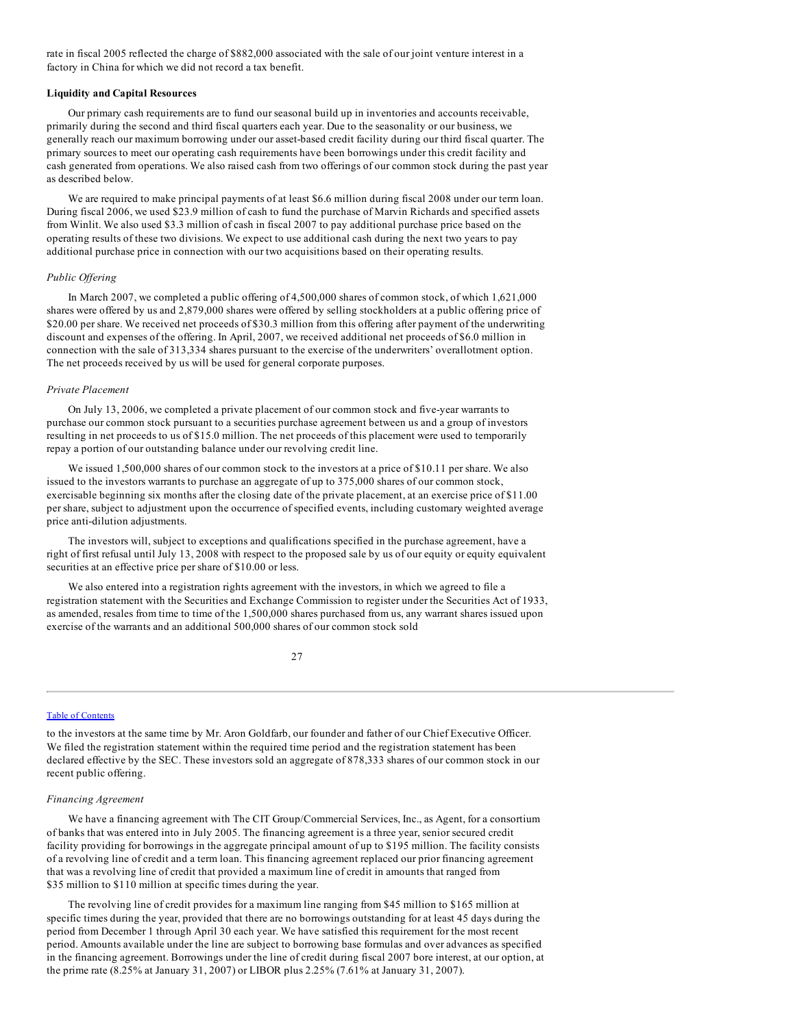rate in fiscal 2005 reflected the charge of \$882,000 associated with the sale of our joint venture interest in a factory in China for which we did not record a tax benefit.

### **Liquidity and Capital Resources**

Our primary cash requirements are to fund our seasonal build up in inventories and accounts receivable, primarily during the second and third fiscal quarters each year. Due to the seasonality or our business, we generally reach our maximum borrowing under our asset-based credit facility during our third fiscal quarter. The primary sources to meet our operating cash requirements have been borrowings under this credit facility and cash generated from operations. We also raised cash from two offerings of our common stock during the past year as described below.

We are required to make principal payments of at least \$6.6 million during fiscal 2008 under our term loan. During fiscal 2006, we used \$23.9 million of cash to fund the purchase of Marvin Richards and specified assets from Winlit. We also used \$3.3 million of cash in fiscal 2007 to pay additional purchase price based on the operating results of these two divisions. We expect to use additional cash during the next two years to pay additional purchase price in connection with our two acquisitions based on their operating results.

### *Public Of ering*

In March 2007, we completed a public offering of 4,500,000 shares of common stock, of which 1,621,000 shares were offered by us and 2,879,000 shares were offered by selling stockholders at a public offering price of \$20.00 per share. We received net proceeds of \$30.3 million from this offering after payment of the underwriting discount and expenses of the offering. In April, 2007, we received additional net proceeds of \$6.0 million in connection with the sale of 313,334 shares pursuant to the exercise of the underwriters' overallotment option. The net proceeds received by us will be used for general corporate purposes.

### *Private Placement*

On July 13, 2006, we completed a private placement of our common stock and five-year warrants to purchase our common stock pursuant to a securities purchase agreement between us and a group of investors resulting in net proceeds to us of \$15.0 million. The net proceeds of this placement were used to temporarily repay a portion of our outstanding balance under our revolving credit line.

We issued 1,500,000 shares of our common stock to the investors at a price of \$10.11 per share. We also issued to the investors warrants to purchase an aggregate of up to 375,000 shares of our common stock, exercisable beginning six months after the closing date of the private placement, at an exercise price of \$11.00 per share, subject to adjustment upon the occurrence of specified events, including customary weighted average price anti-dilution adjustments.

The investors will, subject to exceptions and qualifications specified in the purchase agreement, have a right of first refusal until July 13, 2008 with respect to the proposed sale by us of our equity or equity equivalent securities at an effective price per share of \$10.00 or less.

We also entered into a registration rights agreement with the investors, in which we agreed to file a registration statement with the Securities and Exchange Commission to register under the Securities Act of 1933, as amended, resales from time to time of the 1,500,000 shares purchased from us, any warrant shares issued upon exercise of the warrants and an additional 500,000 shares of our common stock sold

 $27$ 

### Table of [Contents](#page-31-0)

to the investors at the same time by Mr. Aron Goldfarb, our founder and father of our Chief Executive Officer. We filed the registration statement within the required time period and the registration statement has been declared effective by the SEC. These investors sold an aggregate of 878,333 shares of our common stock in our recent public offering.

### *Financing Agreement*

We have a financing agreement with The CIT Group/Commercial Services, Inc., as Agent, for a consortium of banks that was entered into in July 2005. The financing agreement is a three year, senior secured credit facility providing for borrowings in the aggregate principal amount of up to \$195 million. The facility consists of a revolving line of credit and a term loan. This financing agreement replaced our prior financing agreement that was a revolving line of credit that provided a maximum line of credit in amounts that ranged from \$35 million to \$110 million at specific times during the year.

The revolving line of credit provides for a maximum line ranging from \$45 million to \$165 million at specific times during the year, provided that there are no borrowings outstanding for at least 45 days during the period from December 1 through April 30 each year. We have satisfied this requirement for the most recent period. Amounts available under the line are subject to borrowing base formulas and over advances as specified in the financing agreement. Borrowings under the line of credit during fiscal 2007 bore interest, at our option, at the prime rate (8.25% at January 31, 2007) or LIBOR plus 2.25% (7.61% at January 31, 2007).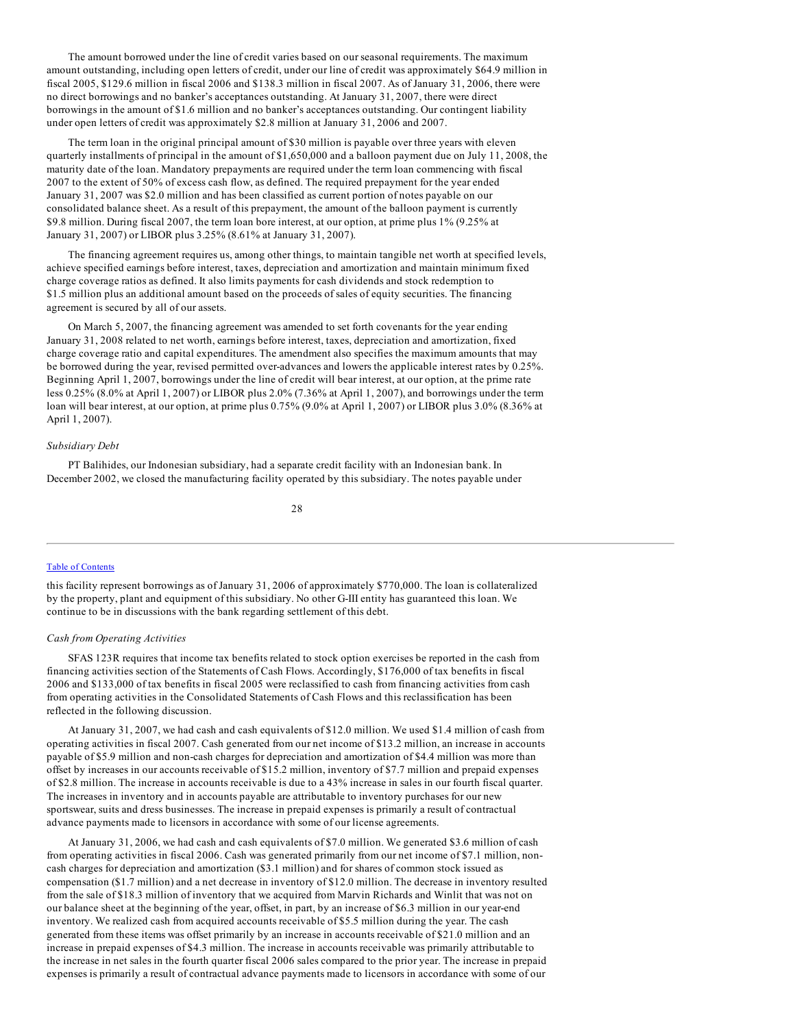The amount borrowed under the line of credit varies based on our seasonal requirements. The maximum amount outstanding, including open letters of credit, under our line of credit was approximately \$64.9 million in fiscal 2005, \$129.6 million in fiscal 2006 and \$138.3 million in fiscal 2007. As of January 31, 2006, there were no direct borrowings and no banker's acceptances outstanding. At January 31, 2007, there were direct borrowings in the amount of \$1.6 million and no banker's acceptances outstanding. Our contingent liability under open letters of credit was approximately \$2.8 million at January 31, 2006 and 2007.

The term loan in the original principal amount of \$30 million is payable over three years with eleven quarterly installments of principal in the amount of \$1,650,000 and a balloon payment due on July 11, 2008, the maturity date of the loan. Mandatory prepayments are required under the term loan commencing with fiscal 2007 to the extent of 50% of excess cash flow, as defined. The required prepayment for the year ended January 31, 2007 was \$2.0 million and has been classified as current portion of notes payable on our consolidated balance sheet. As a result of this prepayment, the amount of the balloon payment is currently \$9.8 million. During fiscal 2007, the term loan bore interest, at our option, at prime plus 1% (9.25% at January 31, 2007) or LIBOR plus 3.25% (8.61% at January 31, 2007).

The financing agreement requires us, among other things, to maintain tangible net worth at specified levels, achieve specified earnings before interest, taxes, depreciation and amortization and maintain minimum fixed charge coverage ratios as defined. It also limits payments for cash dividends and stock redemption to \$1.5 million plus an additional amount based on the proceeds of sales of equity securities. The financing agreement is secured by all of our assets.

On March 5, 2007, the financing agreement was amended to set forth covenants for the year ending January 31, 2008 related to net worth, earnings before interest, taxes, depreciation and amortization, fixed charge coverage ratio and capital expenditures. The amendment also specifies the maximum amounts that may be borrowed during the year, revised permitted over-advances and lowers the applicable interest rates by 0.25%. Beginning April 1, 2007, borrowings under the line of credit will bear interest, at our option, at the prime rate less 0.25% (8.0% at April 1, 2007) or LIBOR plus 2.0% (7.36% at April 1, 2007), and borrowings under the term loan will bear interest, at our option, at prime plus 0.75% (9.0% at April 1, 2007) or LIBOR plus 3.0% (8.36% at April 1, 2007).

### *Subsidiary Debt*

PT Balihides, our Indonesian subsidiary, had a separate credit facility with an Indonesian bank. In December 2002, we closed the manufacturing facility operated by this subsidiary. The notes payable under

 $28$ 

### Table of [Contents](#page-31-0)

this facility represent borrowings as of January 31, 2006 of approximately \$770,000. The loan is collateralized by the property, plant and equipment of this subsidiary. No other G-III entity has guaranteed this loan. We continue to be in discussions with the bank regarding settlement of this debt.

### *Cash from Operating Activities*

SFAS 123R requires that income tax benefits related to stock option exercises be reported in the cash from financing activities section of the Statements of Cash Flows. Accordingly, \$176,000 of tax benefits in fiscal 2006 and \$133,000 of tax benefits in fiscal 2005 were reclassified to cash from financing activities from cash from operating activities in the Consolidated Statements of Cash Flows and this reclassification has been reflected in the following discussion.

At January 31, 2007, we had cash and cash equivalents of \$12.0 million. We used \$1.4 million of cash from operating activities in fiscal 2007. Cash generated from our net income of \$13.2 million, an increase in accounts payable of \$5.9 million and non-cash charges for depreciation and amortization of \$4.4 million was more than offset by increases in our accounts receivable of \$15.2 million, inventory of \$7.7 million and prepaid expenses of \$2.8 million. The increase in accounts receivable is due to a 43% increase in sales in our fourth fiscal quarter. The increases in inventory and in accounts payable are attributable to inventory purchases for our new sportswear, suits and dress businesses. The increase in prepaid expenses is primarily a result of contractual advance payments made to licensors in accordance with some of our license agreements.

At January 31, 2006, we had cash and cash equivalents of \$7.0 million. We generated \$3.6 million of cash from operating activities in fiscal 2006. Cash was generated primarily from our net income of \$7.1 million, noncash charges for depreciation and amortization (\$3.1 million) and for shares of common stock issued as compensation (\$1.7 million) and a net decrease in inventory of \$12.0 million. The decrease in inventory resulted from the sale of \$18.3 million of inventory that we acquired from Marvin Richards and Winlit that was not on our balance sheet at the beginning of the year, offset, in part, by an increase of \$6.3 million in our year-end inventory. We realized cash from acquired accounts receivable of \$5.5 million during the year. The cash generated from these items was offset primarily by an increase in accounts receivable of \$21.0 million and an increase in prepaid expenses of \$4.3 million. The increase in accounts receivable was primarily attributable to the increase in net sales in the fourth quarter fiscal 2006 sales compared to the prior year. The increase in prepaid expenses is primarily a result of contractual advance payments made to licensors in accordance with some of our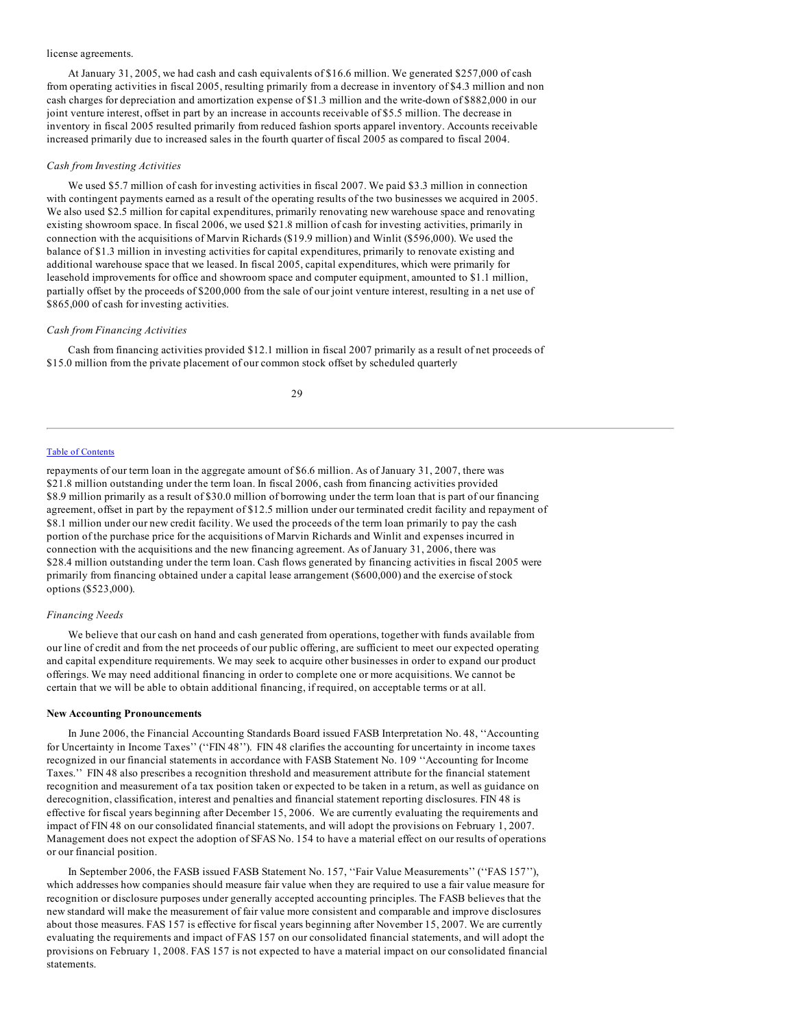#### license agreements.

At January 31, 2005, we had cash and cash equivalents of \$16.6 million. We generated \$257,000 of cash from operating activities in fiscal 2005, resulting primarily from a decrease in inventory of \$4.3 million and non cash charges for depreciation and amortization expense of \$1.3 million and the write-down of \$882,000 in our joint venture interest, offset in part by an increase in accounts receivable of \$5.5 million. The decrease in inventory in fiscal 2005 resulted primarily from reduced fashion sports apparel inventory. Accounts receivable increased primarily due to increased sales in the fourth quarter of fiscal 2005 as compared to fiscal 2004.

### *Cash from Investing Activities*

We used \$5.7 million of cash for investing activities in fiscal 2007. We paid \$3.3 million in connection with contingent payments earned as a result of the operating results of the two businesses we acquired in 2005. We also used \$2.5 million for capital expenditures, primarily renovating new warehouse space and renovating existing showroom space. In fiscal 2006, we used \$21.8 million of cash for investing activities, primarily in connection with the acquisitions of Marvin Richards (\$19.9 million) and Winlit (\$596,000). We used the balance of \$1.3 million in investing activities for capital expenditures, primarily to renovate existing and additional warehouse space that we leased. In fiscal 2005, capital expenditures, which were primarily for leasehold improvements for office and showroom space and computer equipment, amounted to \$1.1 million, partially offset by the proceeds of \$200,000 from the sale of our joint venture interest, resulting in a net use of \$865,000 of cash for investing activities.

#### *Cash from Financing Activities*

Cash from financing activities provided \$12.1 million in fiscal 2007 primarily as a result of net proceeds of \$15.0 million from the private placement of our common stock offset by scheduled quarterly

29

#### Table of [Contents](#page-31-0)

repayments of our term loan in the aggregate amount of \$6.6 million. As of January 31, 2007, there was \$21.8 million outstanding under the term loan. In fiscal 2006, cash from financing activities provided \$8.9 million primarily as a result of \$30.0 million of borrowing under the term loan that is part of our financing agreement, offset in part by the repayment of \$12.5 million under our terminated credit facility and repayment of \$8.1 million under our new credit facility. We used the proceeds of the term loan primarily to pay the cash portion of the purchase price for the acquisitions of Marvin Richards and Winlit and expenses incurred in connection with the acquisitions and the new financing agreement. As of January 31, 2006, there was \$28.4 million outstanding under the term loan. Cash flows generated by financing activities in fiscal 2005 were primarily from financing obtained under a capital lease arrangement (\$600,000) and the exercise of stock options (\$523,000).

#### *Financing Needs*

We believe that our cash on hand and cash generated from operations, together with funds available from our line of credit and from the net proceeds of our public offering, are sufficient to meet our expected operating and capital expenditure requirements. We may seek to acquire other businesses in order to expand our product offerings. We may need additional financing in order to complete one or more acquisitions. We cannot be certain that we will be able to obtain additional financing, if required, on acceptable terms or at all.

#### **New Accounting Pronouncements**

In June 2006, the Financial Accounting Standards Board issued FASB Interpretation No. 48, ''Accounting for Uncertainty in Income Taxes'' (''FIN 48''). FIN 48 clarifies the accounting for uncertainty in income taxes recognized in our financial statements in accordance with FASB Statement No. 109 ''Accounting for Income Taxes.'' FIN 48 also prescribes a recognition threshold and measurement attribute for the financial statement recognition and measurement of a tax position taken or expected to be taken in a return, as well as guidance on derecognition, classification, interest and penalties and financial statement reporting disclosures. FIN 48 is effective for fiscal years beginning after December 15, 2006. We are currently evaluating the requirements and impact of FIN 48 on our consolidated financial statements, and will adopt the provisions on February 1, 2007. Management does not expect the adoption of SFAS No. 154 to have a material effect on our results of operations or our financial position.

In September 2006, the FASB issued FASB Statement No. 157, ''Fair Value Measurements'' (''FAS 157''), which addresses how companies should measure fair value when they are required to use a fair value measure for recognition or disclosure purposes under generally accepted accounting principles. The FASB believes that the new standard will make the measurement of fair value more consistent and comparable and improve disclosures about those measures. FAS 157 is effective for fiscal years beginning after November 15, 2007. We are currently evaluating the requirements and impact of FAS 157 on our consolidated financial statements, and will adopt the provisions on February 1, 2008. FAS 157 is not expected to have a material impact on our consolidated financial statements.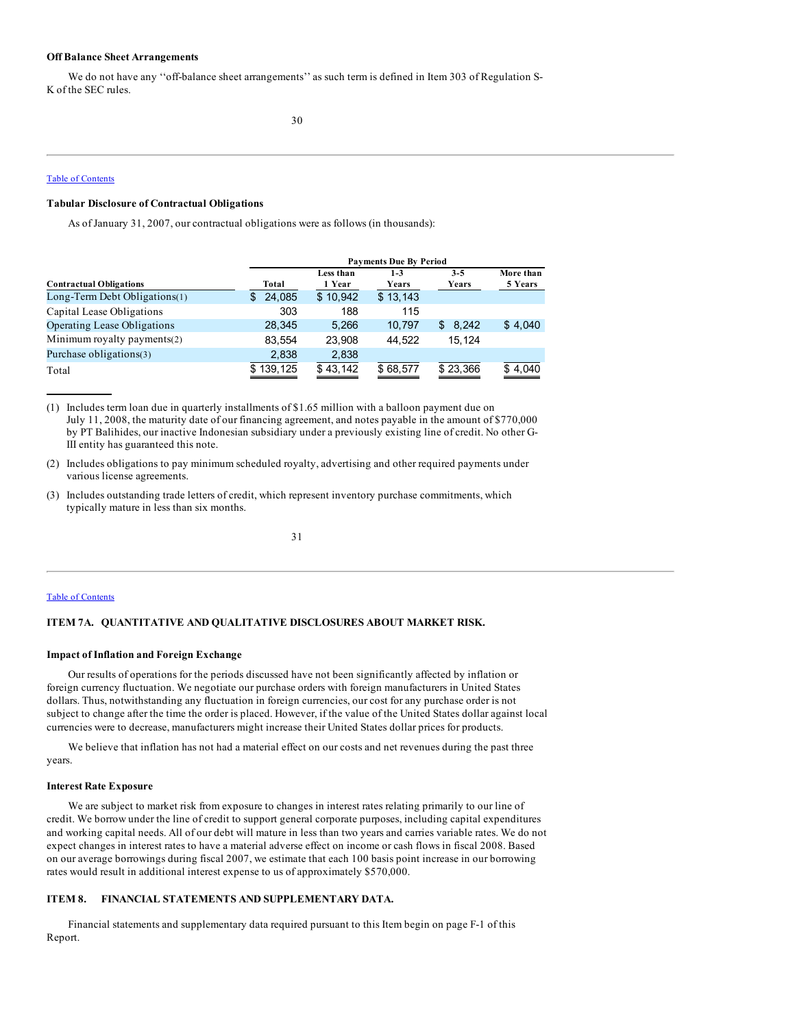### **Off Balance Sheet Arrangements**

We do not have any ''off-balance sheet arrangements'' as such term is defined in Item 303 of Regulation S-K of the SEC rules.

### Table of [Contents](#page-31-0)

# **Tabular Disclosure of Contractual Obligations**

As of January 31, 2007, our contractual obligations were as follows (in thousands):

|                                    |           | <b>Payments Due By Period</b> |                  |                  |                      |
|------------------------------------|-----------|-------------------------------|------------------|------------------|----------------------|
| <b>Contractual Obligations</b>     | Total     | Less than<br>1 Year           | $1 - 3$<br>Years | $3 - 5$<br>Years | More than<br>5 Years |
| Long-Term Debt Obligations(1)      | 24.085    | \$10.942                      | \$13.143         |                  |                      |
| Capital Lease Obligations          | 303       | 188                           | 115              |                  |                      |
| <b>Operating Lease Obligations</b> | 28.345    | 5.266                         | 10.797           | 8.242<br>\$.     | \$4.040              |
| Minimum royalty payments(2)        | 83.554    | 23.908                        | 44.522           | 15.124           |                      |
| Purchase obligations(3)            | 2,838     | 2,838                         |                  |                  |                      |
| Total                              | \$139,125 | \$43.142                      | \$68,577         | \$23,366         | \$4,040              |

(1) Includes term loan due in quarterly installments of \$1.65 million with a balloon payment due on July 11, 2008, the maturity date of our financing agreement, and notes payable in the amount of \$770,000 by PT Balihides, our inactive Indonesian subsidiary under a previously existing line of credit. No other G-III entity has guaranteed this note.

(2) Includes obligations to pay minimum scheduled royalty, advertising and other required payments under various license agreements.

(3) Includes outstanding trade letters of credit, which represent inventory purchase commitments, which typically mature in less than six months.

31

# Table of [Contents](#page-31-0)

### **ITEM 7A. QUANTITATIVE AND QUALITATIVE DISCLOSURES ABOUT MARKET RISK.**

### **Impact of Inflation and Foreign Exchange**

Our results of operations for the periods discussed have not been significantly affected by inflation or foreign currency fluctuation. We negotiate our purchase orders with foreign manufacturers in United States dollars. Thus, notwithstanding any fluctuation in foreign currencies, our cost for any purchase order is not subject to change after the time the order is placed. However, if the value of the United States dollar against local currencies were to decrease, manufacturers might increase their United States dollar prices for products.

We believe that inflation has not had a material effect on our costs and net revenues during the past three years.

#### **Interest Rate Exposure**

We are subject to market risk from exposure to changes in interest rates relating primarily to our line of credit. We borrow under the line of credit to support general corporate purposes, including capital expenditures and working capital needs. All of our debt will mature in less than two years and carries variable rates. We do not expect changes in interest rates to have a material adverse effect on income or cash flows in fiscal 2008. Based on our average borrowings during fiscal 2007, we estimate that each 100 basis point increase in our borrowing rates would result in additional interest expense to us of approximately \$570,000.

### **ITEM 8. FINANCIAL STATEMENTS AND SUPPLEMENTARY DATA.**

Financial statements and supplementary data required pursuant to this Item begin on page F-1 of this Report.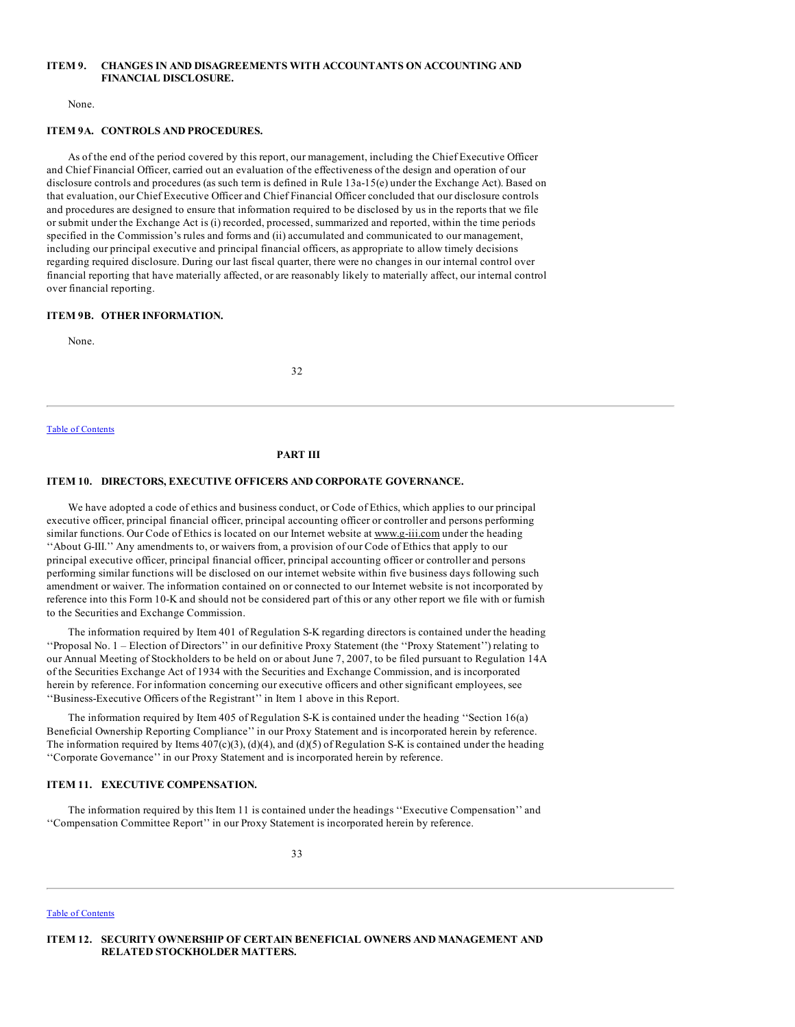# **ITEM 9. CHANGES IN AND DISAGREEMENTS WITH ACCOUNTANTS ON ACCOUNTING AND FINANCIAL DISCLOSURE.**

None.

# **ITEM 9A. CONTROLS AND PROCEDURES.**

As of the end of the period covered by this report, our management, including the Chief Executive Officer and Chief Financial Officer, carried out an evaluation of the effectiveness of the design and operation of our disclosure controls and procedures (as such term is defined in Rule 13a-15(e) under the Exchange Act). Based on that evaluation, our Chief Executive Officer and Chief Financial Officer concluded that our disclosure controls and procedures are designed to ensure that information required to be disclosed by us in the reports that we file or submit under the Exchange Act is (i) recorded, processed, summarized and reported, within the time periods specified in the Commission's rules and forms and (ii) accumulated and communicated to our management, including our principal executive and principal financial officers, as appropriate to allow timely decisions regarding required disclosure. During our last fiscal quarter, there were no changes in our internal control over financial reporting that have materially affected, or are reasonably likely to materially affect, our internal control over financial reporting.

# **ITEM 9B. OTHER INFORMATION.**

None.

32

Table of [Contents](#page-31-0)

### **PART III**

### **ITEM 10. DIRECTORS, EXECUTIVE OFFICERS AND CORPORATE GOVERNANCE.**

We have adopted a code of ethics and business conduct, or Code of Ethics, which applies to our principal executive officer, principal financial officer, principal accounting officer or controller and persons performing similar functions. Our Code of Ethics is located on our Internet website at www.g-iii.com under the heading ''About G-III.'' Any amendments to, or waivers from, a provision of our Code of Ethics that apply to our principal executive officer, principal financial officer, principal accounting officer or controller and persons performing similar functions will be disclosed on our internet website within five business days following such amendment or waiver. The information contained on or connected to our Internet website is not incorporated by reference into this Form 10-K and should not be considered part of this or any other report we file with or furnish to the Securities and Exchange Commission.

The information required by Item 401 of Regulation S-K regarding directors is contained under the heading ''Proposal No. 1 – Election of Directors'' in our definitive Proxy Statement (the ''Proxy Statement'') relating to our Annual Meeting of Stockholders to be held on or about June 7, 2007, to be filed pursuant to Regulation 14A of the Securities Exchange Act of 1934 with the Securities and Exchange Commission, and is incorporated herein by reference. For information concerning our executive officers and other significant employees, see ''Business-Executive Officers of the Registrant'' in Item 1 above in this Report.

The information required by Item 405 of Regulation S-K is contained under the heading ''Section 16(a) Beneficial Ownership Reporting Compliance'' in our Proxy Statement and is incorporated herein by reference. The information required by Items  $407(c)(3)$ , (d)(4), and (d)(5) of Regulation S-K is contained under the heading ''Corporate Governance'' in our Proxy Statement and is incorporated herein by reference.

# **ITEM 11. EXECUTIVE COMPENSATION.**

The information required by this Item 11 is contained under the headings ''Executive Compensation'' and ''Compensation Committee Report'' in our Proxy Statement is incorporated herein by reference.

33

### Table of [Contents](#page-31-0)

**ITEM 12. SECURITY OWNERSHIP OF CERTAIN BENEFICIAL OWNERS AND MANAGEMENT AND RELATED STOCKHOLDER MATTERS.**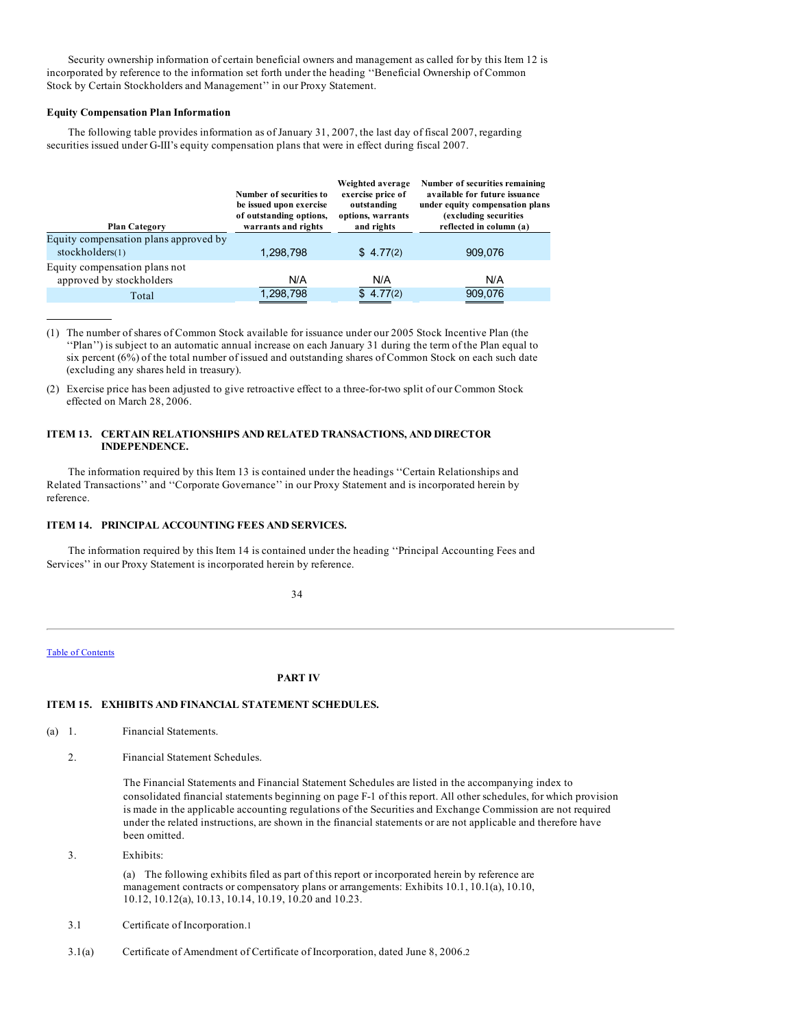Security ownership information of certain beneficial owners and management as called for by this Item 12 is incorporated by reference to the information set forth under the heading ''Beneficial Ownership of Common Stock by Certain Stockholders and Management'' in our Proxy Statement.

### **Equity Compensation Plan Information**

The following table provides information as of January 31, 2007, the last day of fiscal 2007, regarding securities issued under G-III's equity compensation plans that were in effect during fiscal 2007.

| <b>Plan Category</b>                  | Number of securities to<br>be issued upon exercise<br>of outstanding options,<br>warrants and rights | Weighted average<br>exercise price of<br>outstanding<br>options, warrants<br>and rights | Number of securities remaining<br>available for future issuance<br>under equity compensation plans<br>(excluding securities<br>reflected in column (a) |
|---------------------------------------|------------------------------------------------------------------------------------------------------|-----------------------------------------------------------------------------------------|--------------------------------------------------------------------------------------------------------------------------------------------------------|
| Equity compensation plans approved by |                                                                                                      |                                                                                         |                                                                                                                                                        |
| stockholders(1)                       | 1.298.798                                                                                            | \$4.77(2)                                                                               | 909,076                                                                                                                                                |
| Equity compensation plans not         |                                                                                                      |                                                                                         |                                                                                                                                                        |
| approved by stockholders              | N/A                                                                                                  | N/A                                                                                     | N/A                                                                                                                                                    |
| Total                                 | .298.798                                                                                             | 4.77(2)                                                                                 | 909,076                                                                                                                                                |

(1) The number of shares of Common Stock available for issuance under our 2005 Stock Incentive Plan (the ''Plan'') is subject to an automatic annual increase on each January 31 during the term of the Plan equal to six percent (6%) of the total number of issued and outstanding shares of Common Stock on each such date (excluding any shares held in treasury).

(2) Exercise price has been adjusted to give retroactive effect to a three-for-two split of our Common Stock effected on March 28, 2006.

### **ITEM 13. CERTAIN RELATIONSHIPS AND RELATED TRANSACTIONS, AND DIRECTOR INDEPENDENCE.**

The information required by this Item 13 is contained under the headings ''Certain Relationships and Related Transactions'' and ''Corporate Governance'' in our Proxy Statement and is incorporated herein by reference.

# **ITEM 14. PRINCIPAL ACCOUNTING FEES AND SERVICES.**

The information required by this Item 14 is contained under the heading ''Principal Accounting Fees and Services'' in our Proxy Statement is incorporated herein by reference.

34

Table of [Contents](#page-31-0)

# **PART IV**

# **ITEM 15. EXHIBITS AND FINANCIAL STATEMENT SCHEDULES.**

- (a) 1. Financial Statements.
	- 2. Financial Statement Schedules.

The Financial Statements and Financial Statement Schedules are listed in the accompanying index to consolidated financial statements beginning on page F-1 of this report. All other schedules, for which provision is made in the applicable accounting regulations of the Securities and Exchange Commission are not required under the related instructions, are shown in the financial statements or are not applicable and therefore have been omitted.

3. Exhibits:

(a) The following exhibits filed as part of this report or incorporated herein by reference are management contracts or compensatory plans or arrangements: Exhibits 10.1, 10.1(a), 10.10, 10.12, 10.12(a), 10.13, 10.14, 10.19, 10.20 and 10.23.

- 3.1 Certificate of Incorporation.1
- 3.1(a) Certificate of Amendment of Certificate of Incorporation, dated June 8, 2006.2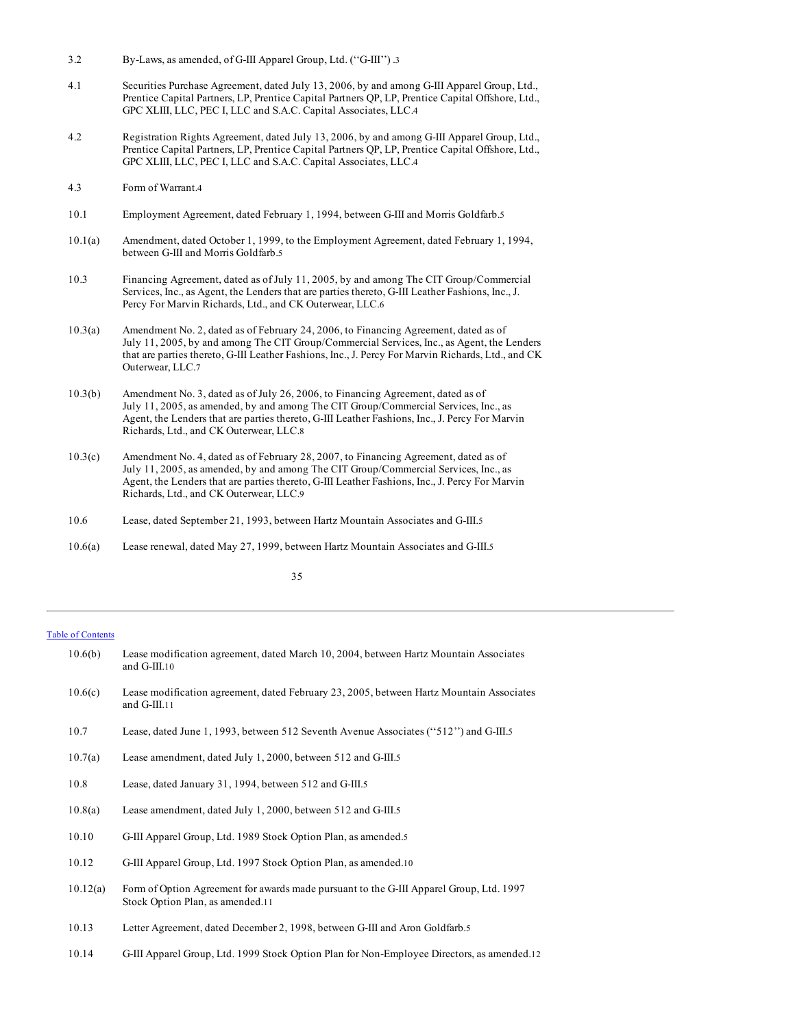- 3.2 By-Laws, as amended, of G-III Apparel Group, Ltd. (''G-III'') .3
- 4.1 Securities Purchase Agreement, dated July 13, 2006, by and among G-III Apparel Group, Ltd., Prentice Capital Partners, LP, Prentice Capital Partners QP, LP, Prentice Capital Offshore, Ltd., GPC XLIII, LLC, PEC I, LLC and S.A.C. Capital Associates, LLC.4
- 4.2 Registration Rights Agreement, dated July 13, 2006, by and among G-III Apparel Group, Ltd., Prentice Capital Partners, LP, Prentice Capital Partners QP, LP, Prentice Capital Offshore, Ltd., GPC XLIII, LLC, PEC I, LLC and S.A.C. Capital Associates, LLC.4
- 4.3 Form of Warrant.4
- 10.1 Employment Agreement, dated February 1, 1994, between G-III and Morris Goldfarb.5
- 10.1(a) Amendment, dated October 1, 1999, to the Employment Agreement, dated February 1, 1994, between G-III and Morris Goldfarb.5
- 10.3 Financing Agreement, dated as of July 11, 2005, by and among The CIT Group/Commercial Services, Inc., as Agent, the Lenders that are parties thereto, G-III Leather Fashions, Inc., J. Percy For Marvin Richards, Ltd., and CK Outerwear, LLC.6
- 10.3(a) Amendment No. 2, dated as of February 24, 2006, to Financing Agreement, dated as of July 11, 2005, by and among The CIT Group/Commercial Services, Inc., as Agent, the Lenders that are parties thereto, G-III Leather Fashions, Inc., J. Percy For Marvin Richards, Ltd., and CK Outerwear, LLC.7
- 10.3(b) Amendment No. 3, dated as of July 26, 2006, to Financing Agreement, dated as of July 11, 2005, as amended, by and among The CIT Group/Commercial Services, Inc., as Agent, the Lenders that are parties thereto, G-III Leather Fashions, Inc., J. Percy For Marvin Richards, Ltd., and CK Outerwear, LLC.8
- 10.3(c) Amendment No. 4, dated as of February 28, 2007, to Financing Agreement, dated as of July 11, 2005, as amended, by and among The CIT Group/Commercial Services, Inc., as Agent, the Lenders that are parties thereto, G-III Leather Fashions, Inc., J. Percy For Marvin Richards, Ltd., and CK Outerwear, LLC.9
- 10.6 Lease, dated September 21, 1993, between Hartz Mountain Associates and G-III.5
- 10.6(a) Lease renewal, dated May 27, 1999, between Hartz Mountain Associates and G-III.5

35

#### Table of [Contents](#page-31-0)

| 10.6(b)  | Lease modification agreement, dated March 10, 2004, between Hartz Mountain Associates<br>and G-III.10                       |
|----------|-----------------------------------------------------------------------------------------------------------------------------|
| 10.6(c)  | Lease modification agreement, dated February 23, 2005, between Hartz Mountain Associates<br>and G-III.11                    |
| 10.7     | Lease, dated June 1, 1993, between 512 Seventh Avenue Associates ("512") and G-III.5                                        |
| 10.7(a)  | Lease amendment, dated July 1, 2000, between 512 and G-III.5                                                                |
| 10.8     | Lease, dated January 31, 1994, between 512 and G-III.5                                                                      |
| 10.8(a)  | Lease amendment, dated July 1, 2000, between 512 and G-III.5                                                                |
| 10.10    | G-III Apparel Group, Ltd. 1989 Stock Option Plan, as amended.5                                                              |
| 10.12    | G-III Apparel Group, Ltd. 1997 Stock Option Plan, as amended. 10                                                            |
| 10.12(a) | Form of Option Agreement for awards made pursuant to the G-III Apparel Group, Ltd. 1997<br>Stock Option Plan, as amended.11 |
| 10.13    | Letter Agreement, dated December 2, 1998, between G-III and Aron Goldfarb.5                                                 |

10.14 G-III Apparel Group, Ltd. 1999 Stock Option Plan for Non-Employee Directors, as amended.12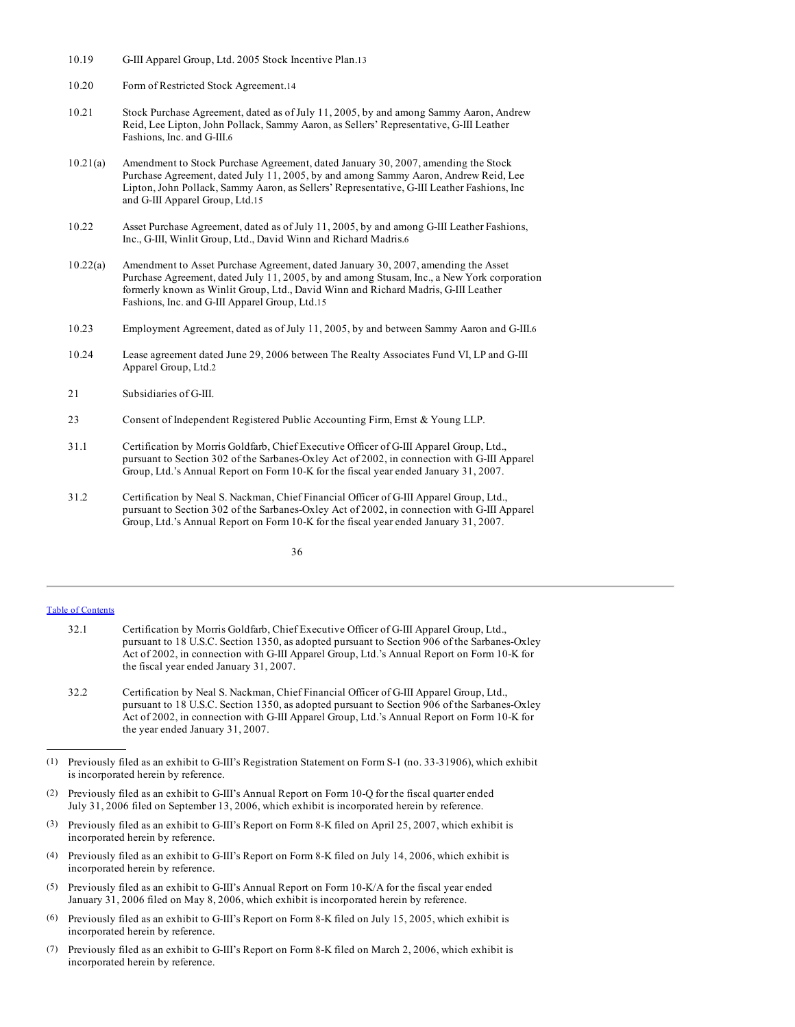10.19 G-III Apparel Group, Ltd. 2005 Stock Incentive Plan.13

10.20 Form of Restricted Stock Agreement.14

- 10.21 Stock Purchase Agreement, dated as of July 11, 2005, by and among Sammy Aaron, Andrew Reid, Lee Lipton, John Pollack, Sammy Aaron, as Sellers' Representative, G-III Leather Fashions, Inc. and G-III.6
- 10.21(a) Amendment to Stock Purchase Agreement, dated January 30, 2007, amending the Stock Purchase Agreement, dated July 11, 2005, by and among Sammy Aaron, Andrew Reid, Lee Lipton, John Pollack, Sammy Aaron, as Sellers' Representative, G-III Leather Fashions, Inc and G-III Apparel Group, Ltd.15
- 10.22 Asset Purchase Agreement, dated as of July 11, 2005, by and among G-III Leather Fashions, Inc., G-III, Winlit Group, Ltd., David Winn and Richard Madris.6
- 10.22(a) Amendment to Asset Purchase Agreement, dated January 30, 2007, amending the Asset Purchase Agreement, dated July 11, 2005, by and among Stusam, Inc., a New York corporation formerly known as Winlit Group, Ltd., David Winn and Richard Madris, G-III Leather Fashions, Inc. and G-III Apparel Group, Ltd.15
- 10.23 Employment Agreement, dated as of July 11, 2005, by and between Sammy Aaron and G-III.6
- 10.24 Lease agreement dated June 29, 2006 between The Realty Associates Fund VI, LP and G-III Apparel Group, Ltd.2
- 21 Subsidiaries of G-III.
- 23 Consent of Independent Registered Public Accounting Firm, Ernst & Young LLP.
- 31.1 Certification by Morris Goldfarb, Chief Executive Officer of G-III Apparel Group, Ltd., pursuant to Section 302 of the Sarbanes-Oxley Act of 2002, in connection with G-III Apparel Group, Ltd.'s Annual Report on Form 10-K for the fiscal year ended January 31, 2007.
- 31.2 Certification by Neal S. Nackman, Chief Financial Officer of G-III Apparel Group, Ltd., pursuant to Section 302 of the Sarbanes-Oxley Act of 2002, in connection with G-III Apparel Group, Ltd.'s Annual Report on Form 10-K for the fiscal year ended January 31, 2007.

36

#### Table of [Contents](#page-31-0)

- 32.1 Certification by Morris Goldfarb, Chief Executive Officer of G-III Apparel Group, Ltd., pursuant to 18 U.S.C. Section 1350, as adopted pursuant to Section 906 of the Sarbanes-Oxley Act of 2002, in connection with G-III Apparel Group, Ltd.'s Annual Report on Form 10-K for the fiscal year ended January 31, 2007.
- 32.2 Certification by Neal S. Nackman, Chief Financial Officer of G-III Apparel Group, Ltd., pursuant to 18 U.S.C. Section 1350, as adopted pursuant to Section 906 of the Sarbanes-Oxley Act of 2002, in connection with G-III Apparel Group, Ltd.'s Annual Report on Form 10-K for the year ended January 31, 2007.
- (1) Previously filed as an exhibit to G-III's Registration Statement on Form S-1 (no. 33-31906), which exhibit is incorporated herein by reference.
- (2) Previously filed as an exhibit to G-III's Annual Report on Form 10-Q for the fiscal quarter ended July 31, 2006 filed on September 13, 2006, which exhibit is incorporated herein by reference.
- (3) Previously filed as an exhibit to G-III's Report on Form 8-K filed on April 25, 2007, which exhibit is incorporated herein by reference.
- (4) Previously filed as an exhibit to G-III's Report on Form 8-K filed on July 14, 2006, which exhibit is incorporated herein by reference.
- (5) Previously filed as an exhibit to G-III's Annual Report on Form 10-K/A for the fiscal year ended January 31, 2006 filed on May 8, 2006, which exhibit is incorporated herein by reference.
- (6) Previously filed as an exhibit to G-III's Report on Form 8-K filed on July 15, 2005, which exhibit is incorporated herein by reference.
- (7) Previously filed as an exhibit to G-III's Report on Form 8-K filed on March 2, 2006, which exhibit is incorporated herein by reference.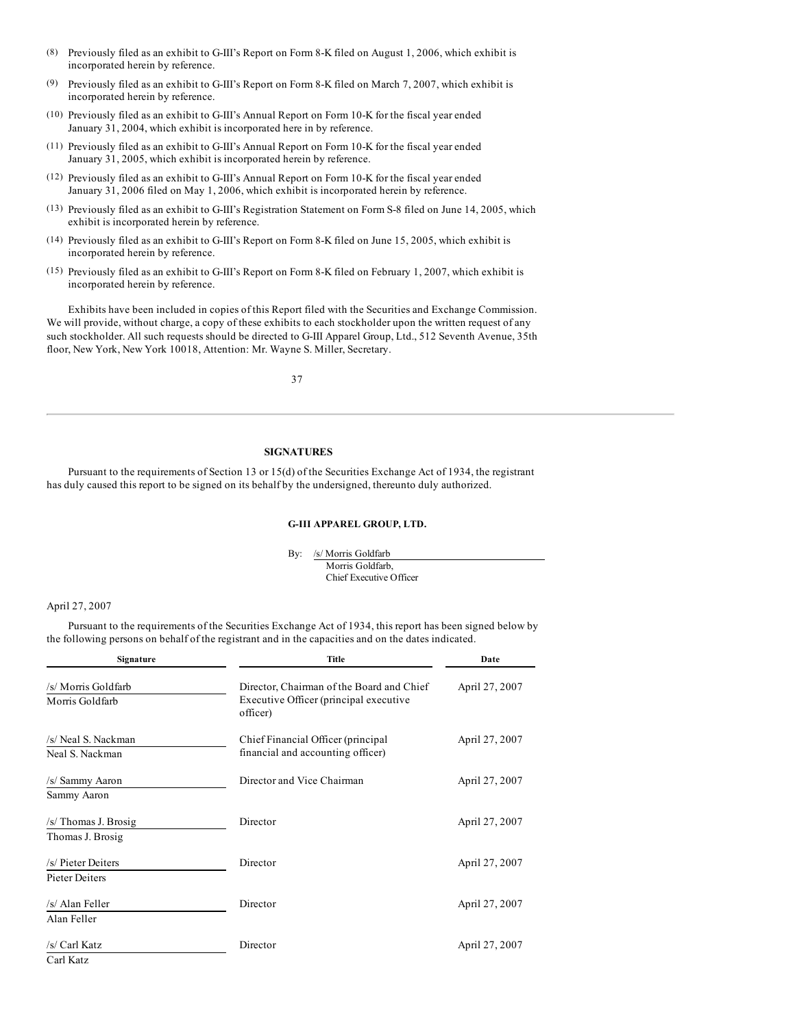- (8) Previously filed as an exhibit to G-III's Report on Form 8-K filed on August 1, 2006, which exhibit is incorporated herein by reference.
- (9) Previously filed as an exhibit to G-III's Report on Form 8-K filed on March 7, 2007, which exhibit is incorporated herein by reference.
- (10) Previously filed as an exhibit to G-III's Annual Report on Form 10-K for the fiscal year ended January 31, 2004, which exhibit is incorporated here in by reference.
- (11) Previously filed as an exhibit to G-III's Annual Report on Form 10-K for the fiscal year ended January 31, 2005, which exhibit is incorporated herein by reference.
- (12) Previously filed as an exhibit to G-III's Annual Report on Form 10-K for the fiscal year ended January 31, 2006 filed on May 1, 2006, which exhibit is incorporated herein by reference.
- (13) Previously filed as an exhibit to G-III's Registration Statement on Form S-8 filed on June 14, 2005, which exhibit is incorporated herein by reference.
- (14) Previously filed as an exhibit to G-III's Report on Form 8-K filed on June 15, 2005, which exhibit is incorporated herein by reference.
- (15) Previously filed as an exhibit to G-III's Report on Form 8-K filed on February 1, 2007, which exhibit is incorporated herein by reference.

Exhibits have been included in copies of this Report filed with the Securities and Exchange Commission. We will provide, without charge, a copy of these exhibits to each stockholder upon the written request of any such stockholder. All such requests should be directed to G-III Apparel Group, Ltd., 512 Seventh Avenue, 35th floor, New York, New York 10018, Attention: Mr. Wayne S. Miller, Secretary.

37

# **SIGNATURES**

Pursuant to the requirements of Section 13 or 15(d) of the Securities Exchange Act of 1934, the registrant has duly caused this report to be signed on its behalf by the undersigned, thereunto duly authorized.

### **G-III APPAREL GROUP, LTD.**

By: /s/ Morris Goldfarb Morris Goldfarb, Chief Executive Officer

# April 27, 2007

Pursuant to the requirements of the Securities Exchange Act of 1934, this report has been signed below by the following persons on behalf of the registrant and in the capacities and on the dates indicated.

| Signature                                | <b>Title</b>                                                                                    | Date           |
|------------------------------------------|-------------------------------------------------------------------------------------------------|----------------|
| /s/ Morris Goldfarb<br>Morris Goldfarb   | Director, Chairman of the Board and Chief<br>Executive Officer (principal executive<br>officer) | April 27, 2007 |
| /s/ Neal S. Nackman<br>Neal S. Nackman   | Chief Financial Officer (principal<br>financial and accounting officer)                         | April 27, 2007 |
| /s/ Sammy Aaron<br>Sammy Aaron           | Director and Vice Chairman                                                                      | April 27, 2007 |
| /s/ Thomas J. Brosig<br>Thomas J. Brosig | Director                                                                                        | April 27, 2007 |
| /s/ Pieter Deiters<br>Pieter Deiters     | Director                                                                                        | April 27, 2007 |
| /s/ Alan Feller<br>Alan Feller           | Director                                                                                        | April 27, 2007 |
| /s/ Carl Katz<br>Carl Katz               | Director                                                                                        | April 27, 2007 |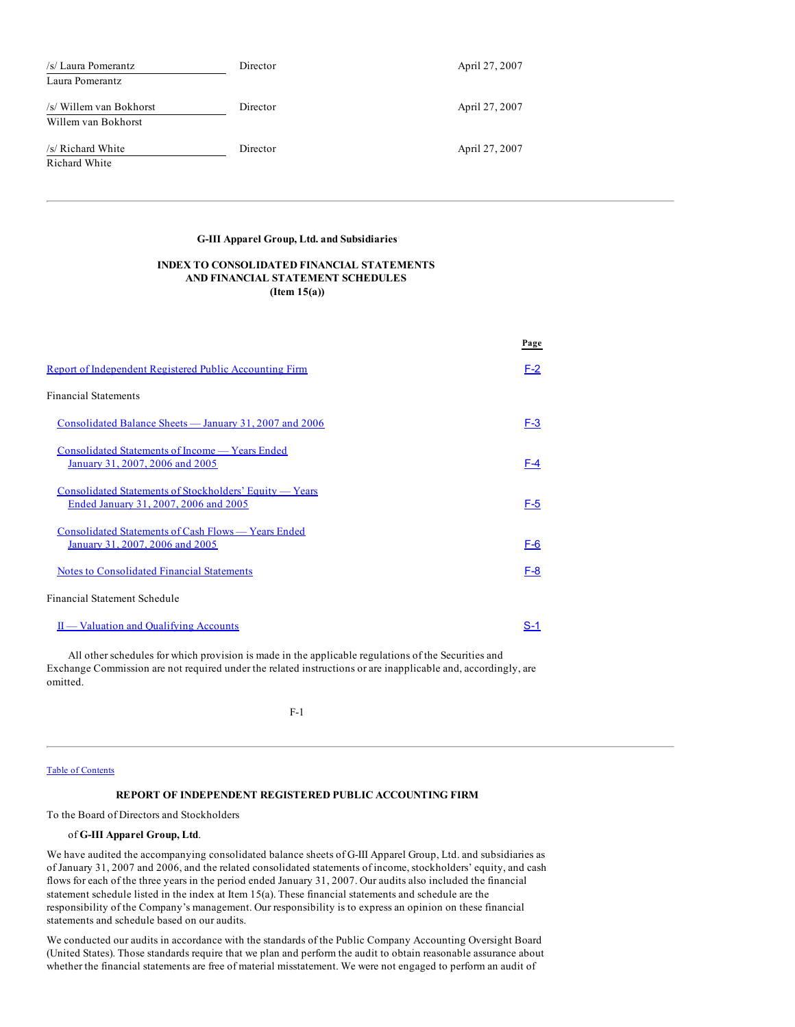<span id="page-31-0"></span>

| /s/ Laura Pomerantz                            | Director | April 27, 2007 |
|------------------------------------------------|----------|----------------|
| Laura Pomerantz                                |          |                |
| /s/ Willem van Bokhorst<br>Willem van Bokhorst | Director | April 27, 2007 |
| /s/ Richard White<br>Richard White             | Director | April 27, 2007 |

### **G-III Apparel Group, Ltd. and Subsidiaries**

# **INDEX TO CONSOLIDATED FINANCIAL STATEMENTS AND FINANCIAL STATEMENT SCHEDULES (Item 15(a))**

|                                                                                                  | Page  |
|--------------------------------------------------------------------------------------------------|-------|
| Report of Independent Registered Public Accounting Firm                                          | $F-2$ |
| <b>Financial Statements</b>                                                                      |       |
| Consolidated Balance Sheets — January 31, 2007 and 2006                                          | $F-3$ |
| Consolidated Statements of Income — Years Ended<br>January 31, 2007, 2006 and 2005               | $F-4$ |
| Consolidated Statements of Stockholders' Equity — Years<br>Ended January 31, 2007, 2006 and 2005 | $F-5$ |
| Consolidated Statements of Cash Flows — Years Ended<br>January 31, 2007, 2006 and 2005           | $F-6$ |
| Notes to Consolidated Financial Statements                                                       | $F-8$ |
| Financial Statement Schedule                                                                     |       |
| $II$ — Valuation and Qualifying Accounts                                                         | $S-1$ |

All other schedules for which provision is made in the applicable regulations of the Securities and Exchange Commission are not required under the related instructions or are inapplicable and, accordingly, are omitted.

F-1

# Table of Contents

# **REPORT OF INDEPENDENT REGISTERED PUBLIC ACCOUNTING FIRM**

To the Board of Directors and Stockholders

### of **G-III Apparel Group, Ltd**.

We have audited the accompanying consolidated balance sheets of G-III Apparel Group, Ltd. and subsidiaries as of January 31, 2007 and 2006, and the related consolidated statements of income, stockholders' equity, and cash flows for each of the three years in the period ended January 31, 2007. Our audits also included the financial statement schedule listed in the index at Item 15(a). These financial statements and schedule are the responsibility of the Company's management. Our responsibility is to express an opinion on these financial statements and schedule based on our audits.

We conducted our audits in accordance with the standards of the Public Company Accounting Oversight Board (United States). Those standards require that we plan and perform the audit to obtain reasonable assurance about whether the financial statements are free of material misstatement. We were not engaged to perform an audit of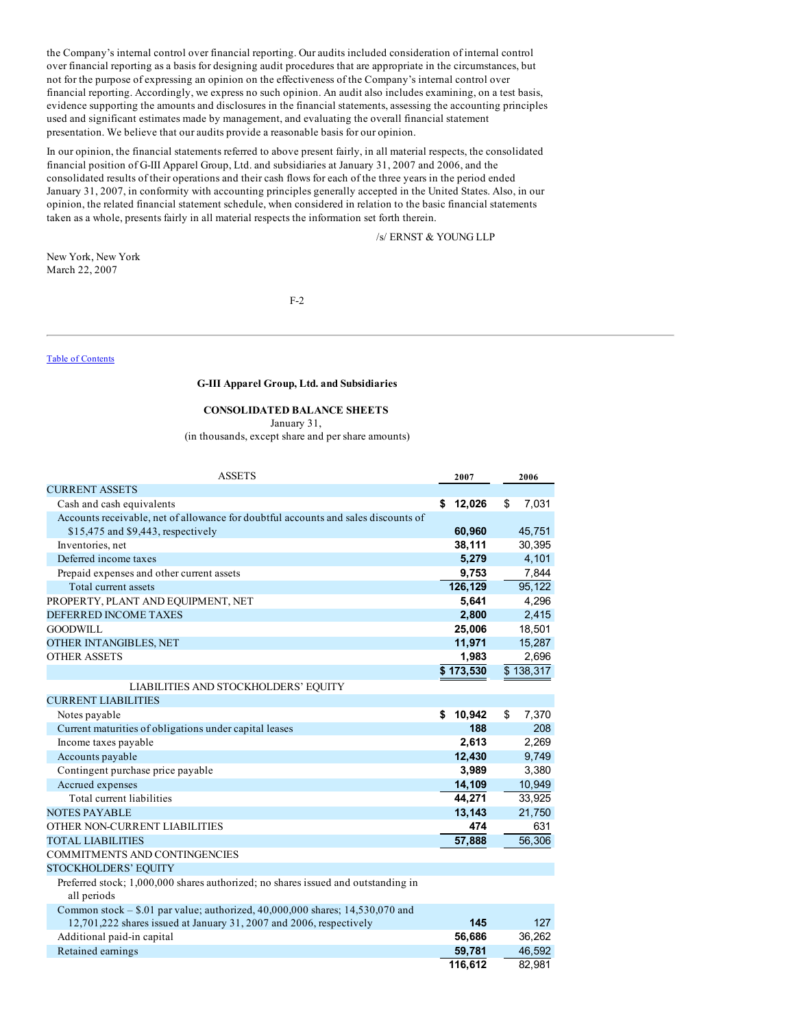<span id="page-32-0"></span>the Company's internal control over financial reporting. Our audits included consideration of internal control over financial reporting as a basis for designing audit procedures that are appropriate in the circumstances, but not for the purpose of expressing an opinion on the effectiveness of the Company's internal control over financial reporting. Accordingly, we express no such opinion. An audit also includes examining, on a test basis, evidence supporting the amounts and disclosures in the financial statements, assessing the accounting principles used and significant estimates made by management, and evaluating the overall financial statement presentation. We believe that our audits provide a reasonable basis for our opinion.

In our opinion, the financial statements referred to above present fairly, in all material respects, the consolidated financial position of G-III Apparel Group, Ltd. and subsidiaries at January 31, 2007 and 2006, and the consolidated results of their operations and their cash flows for each of the three years in the period ended January 31, 2007, in conformity with accounting principles generally accepted in the United States. Also, in our opinion, the related financial statement schedule, when considered in relation to the basic financial statements taken as a whole, presents fairly in all material respects the information set forth therein.

/s/ ERNST & YOUNG LLP

New York, New York March 22, 2007

F-2

### Table of [Contents](#page-31-0)

# **G-III Apparel Group, Ltd. and Subsidiaries**

# **CONSOLIDATED BALANCE SHEETS**

January 31,

(in thousands, except share and per share amounts)

| <b>ASSETS</b>                                                                      | 2007         | 2006        |
|------------------------------------------------------------------------------------|--------------|-------------|
| <b>CURRENT ASSETS</b>                                                              |              |             |
| Cash and cash equivalents                                                          | \$12,026     | \$<br>7,031 |
| Accounts receivable, net of allowance for doubtful accounts and sales discounts of |              |             |
| \$15,475 and \$9,443, respectively                                                 | 60,960       | 45,751      |
| Inventories, net                                                                   | 38,111       | 30,395      |
| Deferred income taxes                                                              | 5,279        | 4,101       |
| Prepaid expenses and other current assets                                          | 9,753        | 7,844       |
| Total current assets                                                               | 126,129      | 95,122      |
| PROPERTY, PLANT AND EQUIPMENT, NET                                                 | 5.641        | 4.296       |
| DEFERRED INCOME TAXES                                                              | 2,800        | 2,415       |
| <b>GOODWILL</b>                                                                    | 25,006       | 18,501      |
| OTHER INTANGIBLES, NET                                                             | 11,971       | 15,287      |
| <b>OTHER ASSETS</b>                                                                | 1,983        | 2,696       |
|                                                                                    | \$173,530    | \$138,317   |
| LIABILITIES AND STOCKHOLDERS' EQUITY                                               |              |             |
| <b>CURRENT LIABILITIES</b>                                                         |              |             |
| Notes payable                                                                      | \$<br>10,942 | \$<br>7,370 |
| Current maturities of obligations under capital leases                             | 188          | 208         |
| Income taxes payable                                                               | 2,613        | 2,269       |
| Accounts payable                                                                   | 12,430       | 9,749       |
| Contingent purchase price payable                                                  | 3,989        | 3,380       |
| Accrued expenses                                                                   | 14,109       | 10,949      |
| Total current liabilities                                                          | 44,271       | 33,925      |
| <b>NOTES PAYABLE</b>                                                               | 13,143       | 21,750      |
| OTHER NON-CURRENT LIABILITIES                                                      | 474          | 631         |
| <b>TOTAL LIABILITIES</b>                                                           | 57,888       | 56,306      |
| <b>COMMITMENTS AND CONTINGENCIES</b>                                               |              |             |
| <b>STOCKHOLDERS' EQUITY</b>                                                        |              |             |
| Preferred stock; 1,000,000 shares authorized; no shares issued and outstanding in  |              |             |
| all periods                                                                        |              |             |
| Common stock $-$ \$.01 par value; authorized, 40,000,000 shares; 14,530,070 and    |              |             |
| 12,701,222 shares issued at January 31, 2007 and 2006, respectively                | 145          | 127         |
| Additional paid-in capital                                                         | 56,686       | 36,262      |
| Retained earnings                                                                  | 59,781       | 46,592      |
|                                                                                    | 116,612      | 82,981      |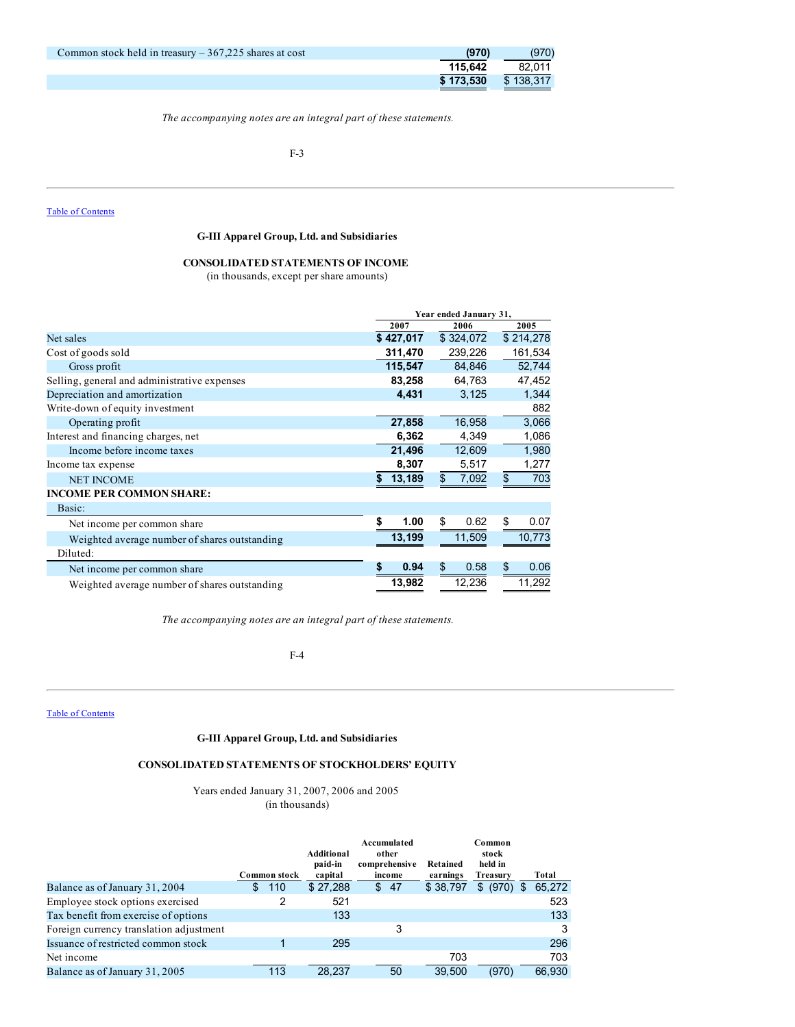| (970)     | (970)     |
|-----------|-----------|
| 115.642   | 82.011    |
| \$173,530 | \$138.317 |

<span id="page-33-0"></span>*The accompanying notes are an integral part of these statements.*

F-3

# Table of [Contents](#page-31-0)

# **G-III Apparel Group, Ltd. and Subsidiaries**

# **CONSOLIDATED STATEMENTS OF INCOME**

(in thousands, except per share amounts)

|                                               |              | Year ended January 31,  |            |  |  |  |
|-----------------------------------------------|--------------|-------------------------|------------|--|--|--|
|                                               | 2007         | 2006                    | 2005       |  |  |  |
| Net sales                                     | \$427,017    | \$324,072               | \$214,278  |  |  |  |
| Cost of goods sold                            | 311,470      | 239,226                 | 161,534    |  |  |  |
| Gross profit                                  | 115,547      | 84,846                  | 52,744     |  |  |  |
| Selling, general and administrative expenses  | 83,258       | 64,763                  | 47,452     |  |  |  |
| Depreciation and amortization                 | 4,431        | 3,125                   | 1,344      |  |  |  |
| Write-down of equity investment               |              |                         | 882        |  |  |  |
| Operating profit                              | 27,858       | 16,958                  | 3,066      |  |  |  |
| Interest and financing charges, net           | 6,362        | 4,349                   | 1,086      |  |  |  |
| Income before income taxes                    | 21,496       | 12,609                  | 1,980      |  |  |  |
| Income tax expense                            | 8,307        | 5,517                   | 1,277      |  |  |  |
| <b>NET INCOME</b>                             | 13,189<br>\$ | $\mathfrak{L}$<br>7,092 | \$<br>703  |  |  |  |
| <b>INCOME PER COMMON SHARE:</b>               |              |                         |            |  |  |  |
| Basic:                                        |              |                         |            |  |  |  |
| Net income per common share                   | 1.00         | \$<br>0.62              | \$<br>0.07 |  |  |  |
| Weighted average number of shares outstanding | 13,199       | 11,509                  | 10,773     |  |  |  |
| Diluted:                                      |              |                         |            |  |  |  |
| Net income per common share                   | 0.94         | \$<br>0.58              | 0.06       |  |  |  |
| Weighted average number of shares outstanding | 13.982       | 12.236                  | 11,292     |  |  |  |

*The accompanying notes are an integral part of these statements.*

F-4

# Table of [Contents](#page-31-0)

# **G-III Apparel Group, Ltd. and Subsidiaries**

# **CONSOLIDATED STATEMENTS OF STOCKHOLDERS' EQUITY**

Years ended January 31, 2007, 2006 and 2005 (in thousands)

|                                         | <b>Common stock</b> | Additional<br>paid-in<br>capital | Accumulated<br>other<br>comprehensive<br>income | Retained<br>earnings | Common<br>stock<br>held in<br>Treasury |     | Total  |
|-----------------------------------------|---------------------|----------------------------------|-------------------------------------------------|----------------------|----------------------------------------|-----|--------|
| Balance as of January 31, 2004          | \$<br>110           | \$27,288                         | \$<br>-47                                       | \$38,797             | (970)<br>$\mathbf{s}$                  | \$. | 65,272 |
| Employee stock options exercised        | 2                   | 521                              |                                                 |                      |                                        |     | 523    |
| Tax benefit from exercise of options    |                     | 133                              |                                                 |                      |                                        |     | 133    |
| Foreign currency translation adjustment |                     |                                  | 3                                               |                      |                                        |     | 3      |
| Issuance of restricted common stock     |                     | 295                              |                                                 |                      |                                        |     | 296    |
| Net income                              |                     |                                  |                                                 | 703                  |                                        |     | 703    |
| Balance as of January 31, 2005          | 113                 | 28.237                           | 50                                              | 39.500               | (970)                                  |     | 66.930 |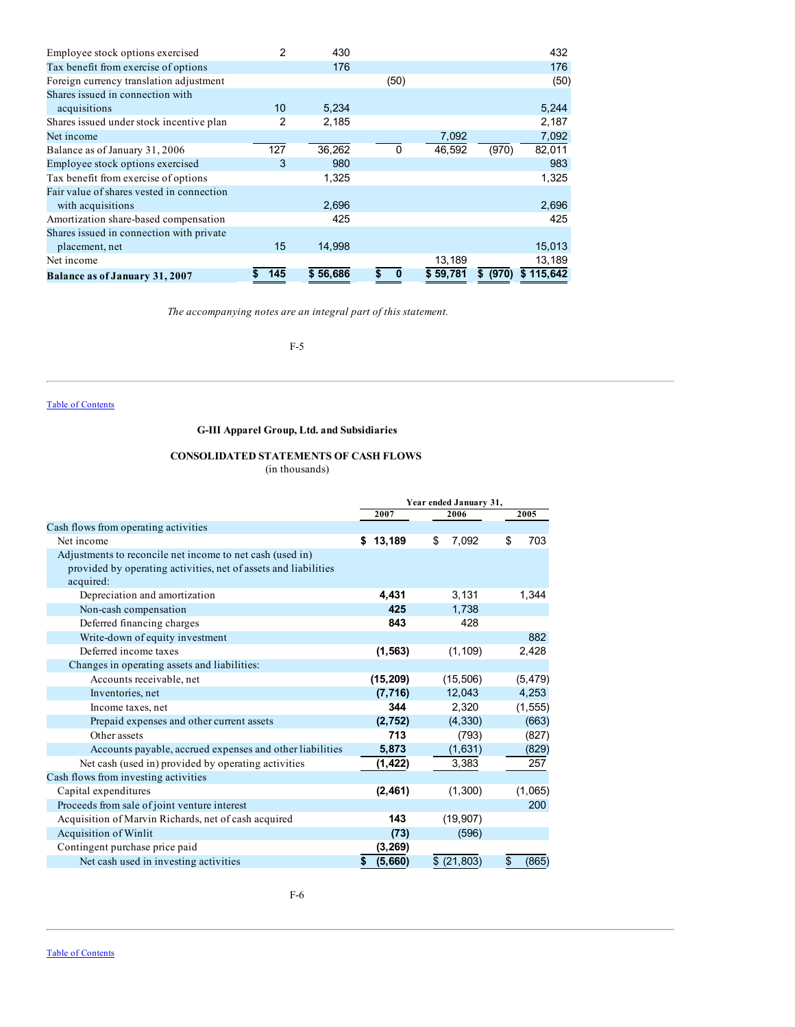<span id="page-34-0"></span>

| <b>Balance as of January 31, 2007</b>     | 145             | \$56,686 | U    | \$59,781 | (970) | \$115,642 |
|-------------------------------------------|-----------------|----------|------|----------|-------|-----------|
| Net income                                |                 |          |      | 13,189   |       | 13,189    |
| placement, net                            | 15              | 14.998   |      |          |       | 15,013    |
| Shares issued in connection with private  |                 |          |      |          |       |           |
| Amortization share-based compensation     |                 | 425      |      |          |       | 425       |
| with acquisitions                         |                 | 2,696    |      |          |       | 2,696     |
| Fair value of shares vested in connection |                 |          |      |          |       |           |
| Tax benefit from exercise of options      |                 | 1,325    |      |          |       | 1,325     |
| Employee stock options exercised          | 3               | 980      |      |          |       | 983       |
| Balance as of January 31, 2006            | 127             | 36,262   | 0    | 46,592   | (970) | 82,011    |
| Net income                                |                 |          |      | 7,092    |       | 7,092     |
| Shares issued under stock incentive plan  | 2               | 2,185    |      |          |       | 2,187     |
| acquisitions                              | 10 <sup>1</sup> | 5,234    |      |          |       | 5,244     |
| Shares issued in connection with          |                 |          |      |          |       |           |
| Foreign currency translation adjustment   |                 |          | (50) |          |       | (50)      |
| Tax benefit from exercise of options      |                 | 176      |      |          |       | 176       |
| Employee stock options exercised          | $\overline{2}$  | 430      |      |          |       | 432       |

*The accompanying notes are an integral part of this statement.*

F-5

# Table of [Contents](#page-31-0)

# **G-III Apparel Group, Ltd. and Subsidiaries**

# **CONSOLIDATED STATEMENTS OF CASH FLOWS**

(in thousands)

|                                                                 | Year ended January 31, |           |    |             |    |          |
|-----------------------------------------------------------------|------------------------|-----------|----|-------------|----|----------|
|                                                                 |                        | 2007      |    | 2006        |    | 2005     |
| Cash flows from operating activities                            |                        |           |    |             |    |          |
| Net income                                                      |                        | \$13,189  | \$ | 7,092       | \$ | 703      |
| Adjustments to reconcile net income to net cash (used in)       |                        |           |    |             |    |          |
| provided by operating activities, net of assets and liabilities |                        |           |    |             |    |          |
| acquired:                                                       |                        |           |    |             |    |          |
| Depreciation and amortization                                   |                        | 4,431     |    | 3,131       |    | 1,344    |
| Non-cash compensation                                           |                        | 425       |    | 1,738       |    |          |
| Deferred financing charges                                      |                        | 843       |    | 428         |    |          |
| Write-down of equity investment                                 |                        |           |    |             |    | 882      |
| Deferred income taxes                                           |                        | (1, 563)  |    | (1, 109)    |    | 2,428    |
| Changes in operating assets and liabilities:                    |                        |           |    |             |    |          |
| Accounts receivable, net                                        |                        | (15, 209) |    | (15, 506)   |    | (5, 479) |
| Inventories, net                                                |                        | (7, 716)  |    | 12,043      |    | 4,253    |
| Income taxes, net                                               |                        | 344       |    | 2,320       |    | (1, 555) |
| Prepaid expenses and other current assets                       |                        | (2, 752)  |    | (4, 330)    |    | (663)    |
| Other assets                                                    |                        | 713       |    | (793)       |    | (827)    |
| Accounts payable, accrued expenses and other liabilities        |                        | 5,873     |    | (1,631)     |    | (829)    |
| Net cash (used in) provided by operating activities             |                        | (1,422)   |    | 3,383       |    | 257      |
| Cash flows from investing activities                            |                        |           |    |             |    |          |
| Capital expenditures                                            |                        | (2, 461)  |    | (1,300)     |    | (1,065)  |
| Proceeds from sale of joint venture interest                    |                        |           |    |             |    | 200      |
| Acquisition of Marvin Richards, net of cash acquired            |                        | 143       |    | (19, 907)   |    |          |
| <b>Acquisition of Winlit</b>                                    |                        | (73)      |    | (596)       |    |          |
| Contingent purchase price paid                                  |                        | (3, 269)  |    |             |    |          |
| Net cash used in investing activities                           | \$                     | (5,660)   |    | \$ (21,803) | \$ | (865)    |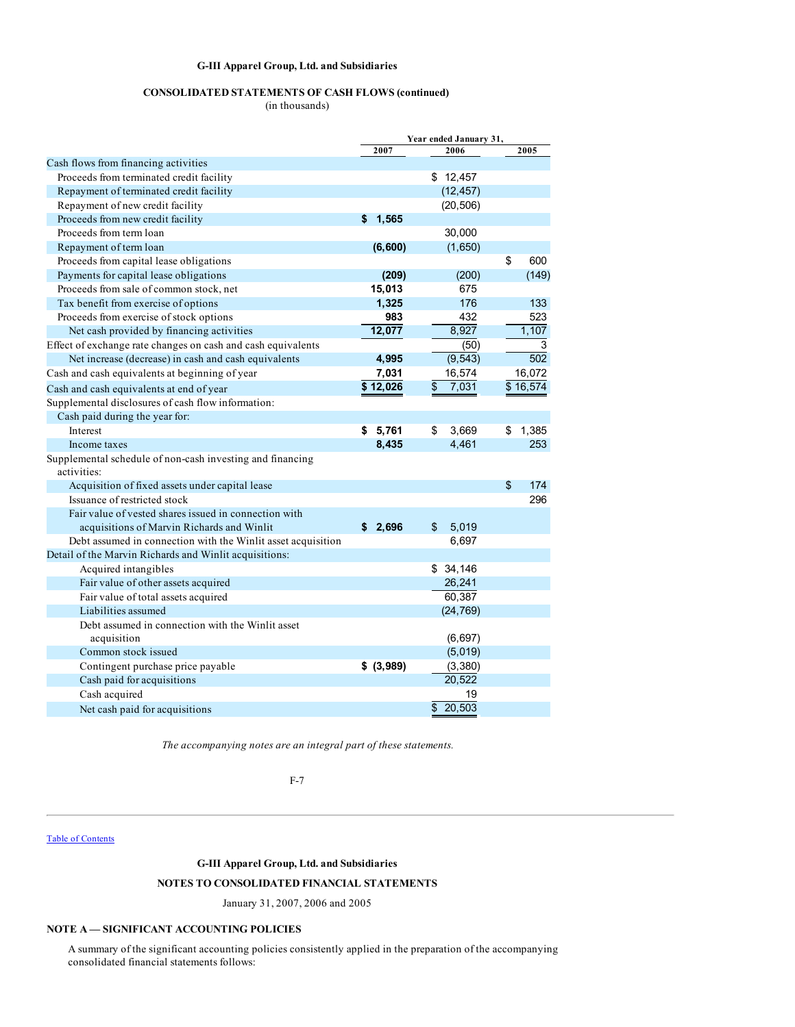# **G-III Apparel Group, Ltd. and Subsidiaries**

# **CONSOLIDATED STATEMENTS OF CASH FLOWS (continued)**

(in thousands)

<span id="page-35-0"></span>

|                                                                          | Year ended January 31, |              |             |  |
|--------------------------------------------------------------------------|------------------------|--------------|-------------|--|
|                                                                          | 2007                   | 2006         | 2005        |  |
| Cash flows from financing activities                                     |                        |              |             |  |
| Proceeds from terminated credit facility                                 |                        | \$12,457     |             |  |
| Repayment of terminated credit facility                                  |                        | (12, 457)    |             |  |
| Repayment of new credit facility                                         |                        | (20, 506)    |             |  |
| Proceeds from new credit facility                                        | 1,565<br>\$            |              |             |  |
| Proceeds from term loan                                                  |                        | 30,000       |             |  |
| Repayment of term loan                                                   | (6,600)                | (1,650)      |             |  |
| Proceeds from capital lease obligations                                  |                        |              | \$<br>600   |  |
| Payments for capital lease obligations                                   | (209)                  | (200)        | (149)       |  |
| Proceeds from sale of common stock, net                                  | 15,013                 | 675          |             |  |
| Tax benefit from exercise of options                                     | 1,325                  | 176          | 133         |  |
| Proceeds from exercise of stock options                                  | 983                    | 432          | 523         |  |
| Net cash provided by financing activities                                | 12,077                 | 8,927        | 1,107       |  |
| Effect of exchange rate changes on cash and cash equivalents             |                        | (50)         | 3           |  |
| Net increase (decrease) in cash and cash equivalents                     | 4,995                  | (9, 543)     | 502         |  |
| Cash and cash equivalents at beginning of year                           | 7,031                  | 16,574       | 16,072      |  |
| Cash and cash equivalents at end of year                                 | \$12,026               | \$<br>7,031  | \$16,574    |  |
| Supplemental disclosures of cash flow information:                       |                        |              |             |  |
| Cash paid during the year for:                                           |                        |              |             |  |
| Interest                                                                 | \$5,761                | 3,669<br>\$  | 1,385<br>\$ |  |
| Income taxes                                                             | 8,435                  | 4,461        | 253         |  |
| Supplemental schedule of non-cash investing and financing<br>activities: |                        |              |             |  |
| Acquisition of fixed assets under capital lease                          |                        |              | \$<br>174   |  |
| Issuance of restricted stock                                             |                        |              | 296         |  |
| Fair value of vested shares issued in connection with                    |                        |              |             |  |
| acquisitions of Marvin Richards and Winlit                               | \$2,696                | \$<br>5,019  |             |  |
| Debt assumed in connection with the Winlit asset acquisition             |                        | 6,697        |             |  |
| Detail of the Marvin Richards and Winlit acquisitions:                   |                        |              |             |  |
| Acquired intangibles                                                     |                        | \$34,146     |             |  |
| Fair value of other assets acquired                                      |                        | 26,241       |             |  |
| Fair value of total assets acquired                                      |                        | 60,387       |             |  |
| Liabilities assumed                                                      |                        | (24, 769)    |             |  |
| Debt assumed in connection with the Winlit asset<br>acquisition          |                        | (6,697)      |             |  |
| Common stock issued                                                      |                        | (5,019)      |             |  |
| Contingent purchase price payable                                        | \$ (3,989)             | (3,380)      |             |  |
| Cash paid for acquisitions                                               |                        | 20,522       |             |  |
| Cash acquired                                                            |                        | 19           |             |  |
| Net cash paid for acquisitions                                           |                        | \$<br>20,503 |             |  |
|                                                                          |                        |              |             |  |

*The accompanying notes are an integral part of these statements.*

F-7

### Table of [Contents](#page-31-0)

# **G-III Apparel Group, Ltd. and Subsidiaries**

# **NOTES TO CONSOLIDATED FINANCIAL STATEMENTS**

January 31, 2007, 2006 and 2005

# **NOTE A — SIGNIFICANT ACCOUNTING POLICIES**

A summary of the significant accounting policies consistently applied in the preparation of the accompanying consolidated financial statements follows: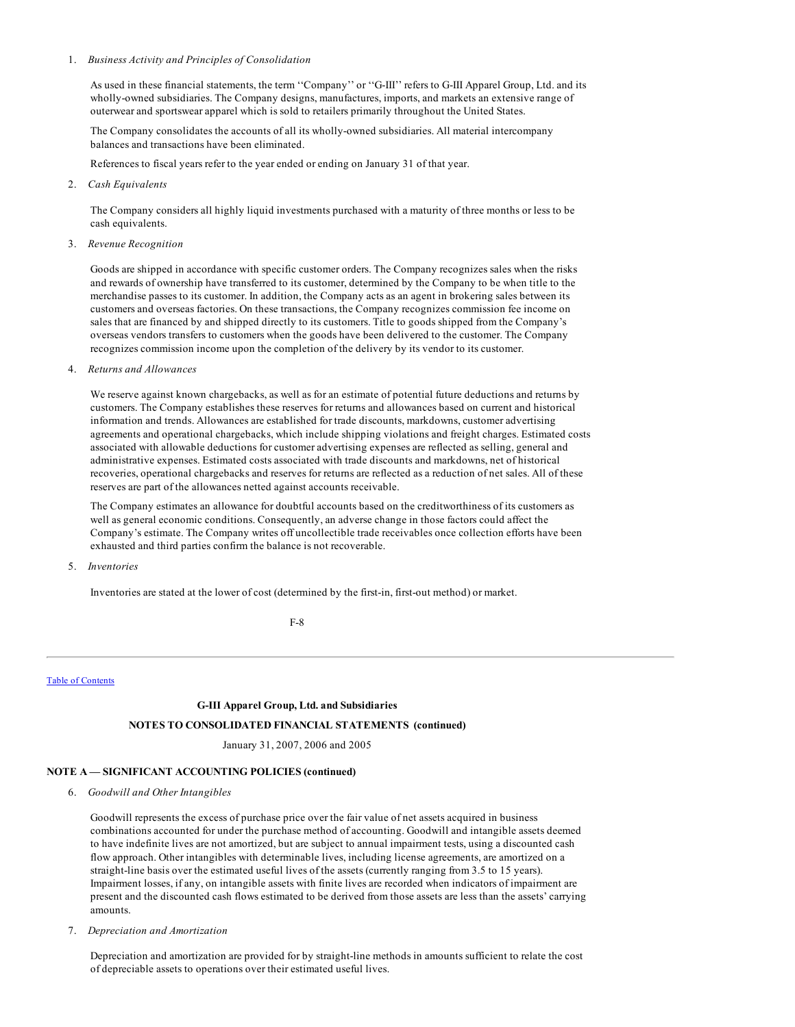### 1. *Business Activity and Principles of Consolidation*

As used in these financial statements, the term "Company" or "G-III" refers to G-III Apparel Group, Ltd. and its wholly-owned subsidiaries. The Company designs, manufactures, imports, and markets an extensive range of outerwear and sportswear apparel which is sold to retailers primarily throughout the United States.

The Company consolidates the accounts of all its wholly-owned subsidiaries. All material intercompany balances and transactions have been eliminated.

References to fiscal years refer to the year ended or ending on January 31 of that year.

2. *Cash Equivalents*

The Company considers all highly liquid investments purchased with a maturity of three months or less to be cash equivalents.

3. *Revenue Recognition*

Goods are shipped in accordance with specific customer orders. The Company recognizes sales when the risks and rewards of ownership have transferred to its customer, determined by the Company to be when title to the merchandise passes to its customer. In addition, the Company acts as an agent in brokering sales between its customers and overseas factories. On these transactions, the Company recognizes commission fee income on sales that are financed by and shipped directly to its customers. Title to goods shipped from the Company's overseas vendors transfers to customers when the goods have been delivered to the customer. The Company recognizes commission income upon the completion of the delivery by its vendor to its customer.

4. *Returns and Allowances*

We reserve against known chargebacks, as well as for an estimate of potential future deductions and returns by customers. The Company establishes these reserves for returns and allowances based on current and historical information and trends. Allowances are established for trade discounts, markdowns, customer advertising agreements and operational chargebacks, which include shipping violations and freight charges. Estimated costs associated with allowable deductions for customer advertising expenses are reflected as selling, general and administrative expenses. Estimated costs associated with trade discounts and markdowns, net of historical recoveries, operational chargebacks and reserves for returns are reflected as a reduction of net sales. All of these reserves are part of the allowances netted against accounts receivable.

The Company estimates an allowance for doubtful accounts based on the creditworthiness of its customers as well as general economic conditions. Consequently, an adverse change in those factors could affect the Company's estimate. The Company writes off uncollectible trade receivables once collection efforts have been exhausted and third parties confirm the balance is not recoverable.

5. *Inventories*

Inventories are stated at the lower of cost (determined by the first-in, first-out method) or market.

F-8

Table of [Contents](#page-31-0)

# **G-III Apparel Group, Ltd. and Subsidiaries**

**(continued) NOTES TO CONSOLIDATED FINANCIAL STATEMENTS**

January 31, 2007, 2006 and 2005

# **NOTE A — SIGNIFICANT ACCOUNTING POLICIES (continued)**

6. *Goodwill and Other Intangibles*

Goodwill represents the excess of purchase price over the fair value of net assets acquired in business combinations accounted for under the purchase method of accounting. Goodwill and intangible assets deemed to have indefinite lives are not amortized, but are subject to annual impairment tests, using a discounted cash flow approach. Other intangibles with determinable lives, including license agreements, are amortized on a straight-line basis over the estimated useful lives of the assets (currently ranging from 3.5 to 15 years). Impairment losses, if any, on intangible assets with finite lives are recorded when indicators of impairment are present and the discounted cash flows estimated to be derived from those assets are less than the assets' carrying amounts.

7. *Depreciation and Amortization*

Depreciation and amortization are provided for by straight-line methods in amounts sufficient to relate the cost of depreciable assets to operations over their estimated useful lives.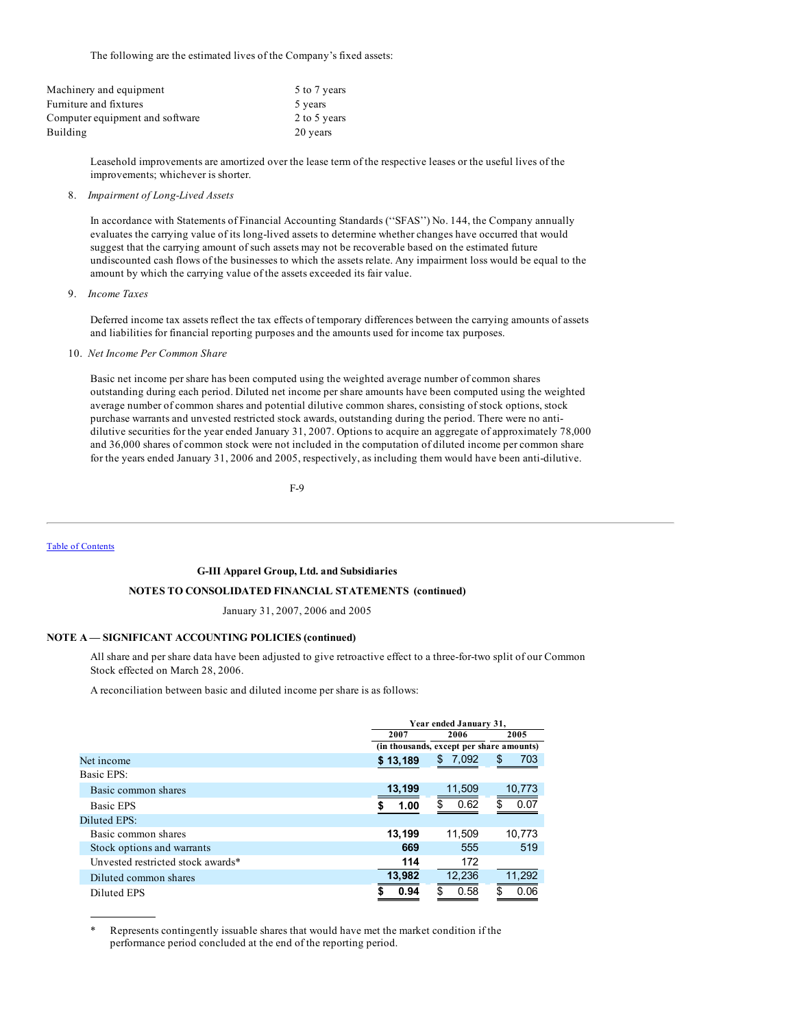The following are the estimated lives of the Company's fixed assets:

| Machinery and equipment         | 5 to 7 years |
|---------------------------------|--------------|
| Furniture and fixtures          | 5 years      |
| Computer equipment and software | 2 to 5 years |
| Building                        | 20 years     |

Leasehold improvements are amortized over the lease term of the respective leases or the useful lives of the improvements; whichever is shorter.

# 8. *Impairment of Long-Lived Assets*

In accordance with Statements of Financial Accounting Standards (''SFAS'') No. 144, the Company annually evaluates the carrying value of its long-lived assets to determine whether changes have occurred that would suggest that the carrying amount of such assets may not be recoverable based on the estimated future undiscounted cash flows of the businesses to which the assets relate. Any impairment loss would be equal to the amount by which the carrying value of the assets exceeded its fair value.

# 9. *Income Taxes*

Deferred income tax assets reflect the tax effects of temporary differences between the carrying amounts of assets and liabilities for financial reporting purposes and the amounts used for income tax purposes.

# 10. *Net Income Per Common Share*

Basic net income per share has been computed using the weighted average number of common shares outstanding during each period. Diluted net income per share amounts have been computed using the weighted average number of common shares and potential dilutive common shares, consisting of stock options, stock purchase warrants and unvested restricted stock awards, outstanding during the period. There were no antidilutive securities for the year ended January 31, 2007. Options to acquire an aggregate of approximately 78,000 and 36,000 shares of common stock were not included in the computation of diluted income per common share for the years ended January 31, 2006 and 2005, respectively, as including them would have been anti-dilutive.

F-9

### Table of [Contents](#page-31-0)

### **G-III Apparel Group, Ltd. and Subsidiaries**

### **(continued) NOTES TO CONSOLIDATED FINANCIAL STATEMENTS**

January 31, 2007, 2006 and 2005

# **NOTE A — SIGNIFICANT ACCOUNTING POLICIES (continued)**

All share and per share data have been adjusted to give retroactive effect to a three-for-two split of our Common Stock effected on March 28, 2006.

A reconciliation between basic and diluted income per share is as follows:

|                                   | Year ended January 31, |                                          |             |  |  |
|-----------------------------------|------------------------|------------------------------------------|-------------|--|--|
|                                   | 2007                   | 2006                                     |             |  |  |
|                                   |                        | (in thousands, except per share amounts) |             |  |  |
| Net income                        | \$13,189               | 7,092<br>S.                              | S<br>703    |  |  |
| Basic EPS:                        |                        |                                          |             |  |  |
| Basic common shares               | 13,199                 | 11,509                                   | 10,773      |  |  |
| <b>Basic EPS</b>                  | 1.00                   | 0.62<br>\$                               | 0.07<br>\$. |  |  |
| Diluted EPS:                      |                        |                                          |             |  |  |
| Basic common shares               | 13,199                 | 11,509                                   | 10,773      |  |  |
| Stock options and warrants        | 669                    | 555                                      | 519         |  |  |
| Unvested restricted stock awards* | 114                    | 172                                      |             |  |  |
| Diluted common shares             | 13,982                 | 12,236                                   | 11,292      |  |  |
| Diluted EPS                       | 0.94                   | 0.58<br>\$.                              | 0.06        |  |  |

Represents contingently issuable shares that would have met the market condition if the performance period concluded at the end of the reporting period.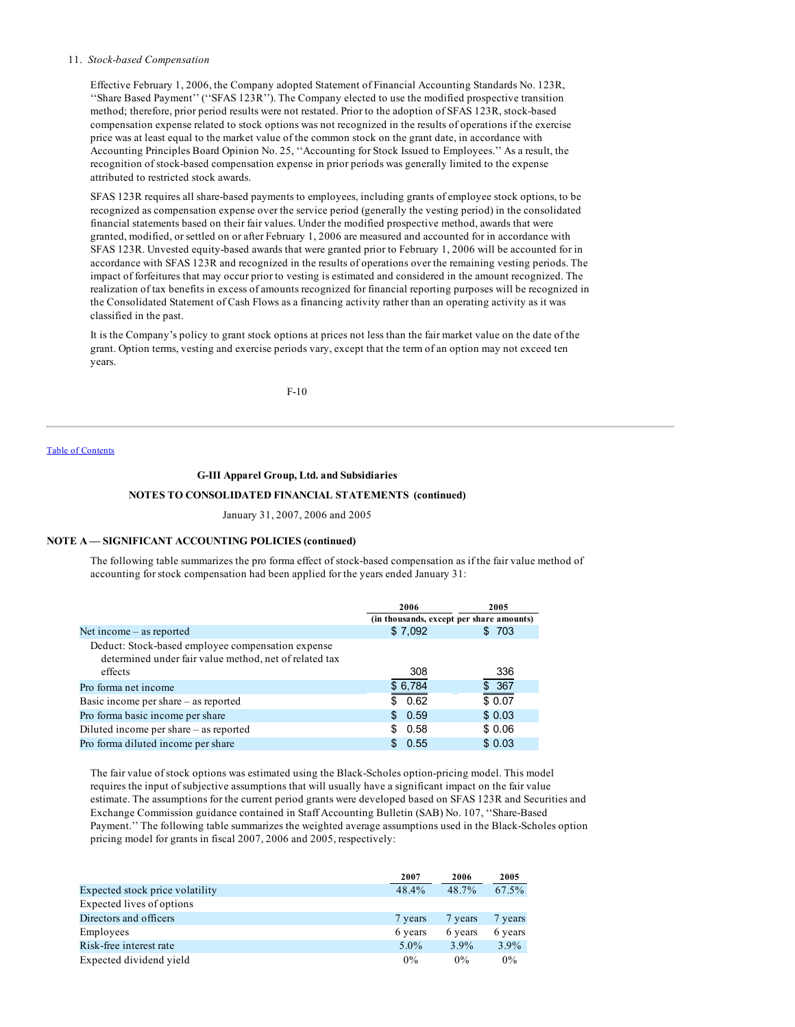### 11. *Stock-based Compensation*

Effective February 1, 2006, the Company adopted Statement of Financial Accounting Standards No. 123R, ''Share Based Payment'' (''SFAS 123R''). The Company elected to use the modified prospective transition method; therefore, prior period results were not restated. Prior to the adoption of SFAS 123R, stock-based compensation expense related to stock options was not recognized in the results of operations if the exercise price was at least equal to the market value of the common stock on the grant date, in accordance with Accounting Principles Board Opinion No. 25, ''Accounting for Stock Issued to Employees.'' As a result, the recognition of stock-based compensation expense in prior periods was generally limited to the expense attributed to restricted stock awards.

SFAS 123R requires all share-based payments to employees, including grants of employee stock options, to be recognized as compensation expense over the service period (generally the vesting period) in the consolidated financial statements based on their fair values. Under the modified prospective method, awards that were granted, modified, or settled on or after February 1, 2006 are measured and accounted for in accordance with SFAS 123R. Unvested equity-based awards that were granted prior to February 1, 2006 will be accounted for in accordance with SFAS 123R and recognized in the results of operations over the remaining vesting periods. The impact of forfeitures that may occur prior to vesting is estimated and considered in the amount recognized. The realization of tax benefits in excess of amounts recognized for financial reporting purposes will be recognized in the Consolidated Statement of Cash Flows as a financing activity rather than an operating activity as it was classified in the past.

It is the Company's policy to grant stock options at prices not less than the fair market value on the date of the grant. Option terms, vesting and exercise periods vary, except that the term of an option may not exceed ten years.

F-10

#### Table of [Contents](#page-31-0)

### **G-III Apparel Group, Ltd. and Subsidiaries**

### **(continued) NOTES TO CONSOLIDATED FINANCIAL STATEMENTS**

January 31, 2007, 2006 and 2005

### **NOTE A — SIGNIFICANT ACCOUNTING POLICIES (continued)**

The following table summarizes the pro forma effect of stock-based compensation as if the fair value method of accounting for stock compensation had been applied for the years ended January 31:

|                                                                                                             | 2006                                     | 2005   |
|-------------------------------------------------------------------------------------------------------------|------------------------------------------|--------|
|                                                                                                             | (in thousands, except per share amounts) |        |
| Net income $-$ as reported                                                                                  | \$7,092                                  | \$ 703 |
| Deduct: Stock-based employee compensation expense<br>determined under fair value method, net of related tax |                                          |        |
| effects                                                                                                     | 308                                      | 336    |
| Pro forma net income                                                                                        | \$6,784                                  | \$367  |
| Basic income per share $-$ as reported                                                                      | 0.62                                     | \$0.07 |
| Pro forma basic income per share                                                                            | 0.59<br>\$.                              | \$0.03 |
| Diluted income per share $-$ as reported                                                                    | 0.58                                     | \$0.06 |
| Pro forma diluted income per share                                                                          | 0.55                                     | \$0.03 |

The fair value of stock options was estimated using the Black-Scholes option-pricing model. This model requires the input of subjective assumptions that will usually have a significant impact on the fair value estimate. The assumptions for the current period grants were developed based on SFAS 123R and Securities and Exchange Commission guidance contained in Staff Accounting Bulletin (SAB) No. 107, ''Share-Based Payment.'' The following table summarizes the weighted average assumptions used in the Black-Scholes option pricing model for grants in fiscal 2007, 2006 and 2005, respectively:

|                                 | 2007    | 2006    | 2005    |
|---------------------------------|---------|---------|---------|
| Expected stock price volatility | 48.4%   | 48.7%   | 67.5%   |
| Expected lives of options       |         |         |         |
| Directors and officers          | 7 years | 7 years | 7 years |
| Employees                       | 6 years | 6 years | 6 years |
| Risk-free interest rate         | $5.0\%$ | $3.9\%$ | $3.9\%$ |
| Expected dividend yield         | $0\%$   | $0\%$   | $0\%$   |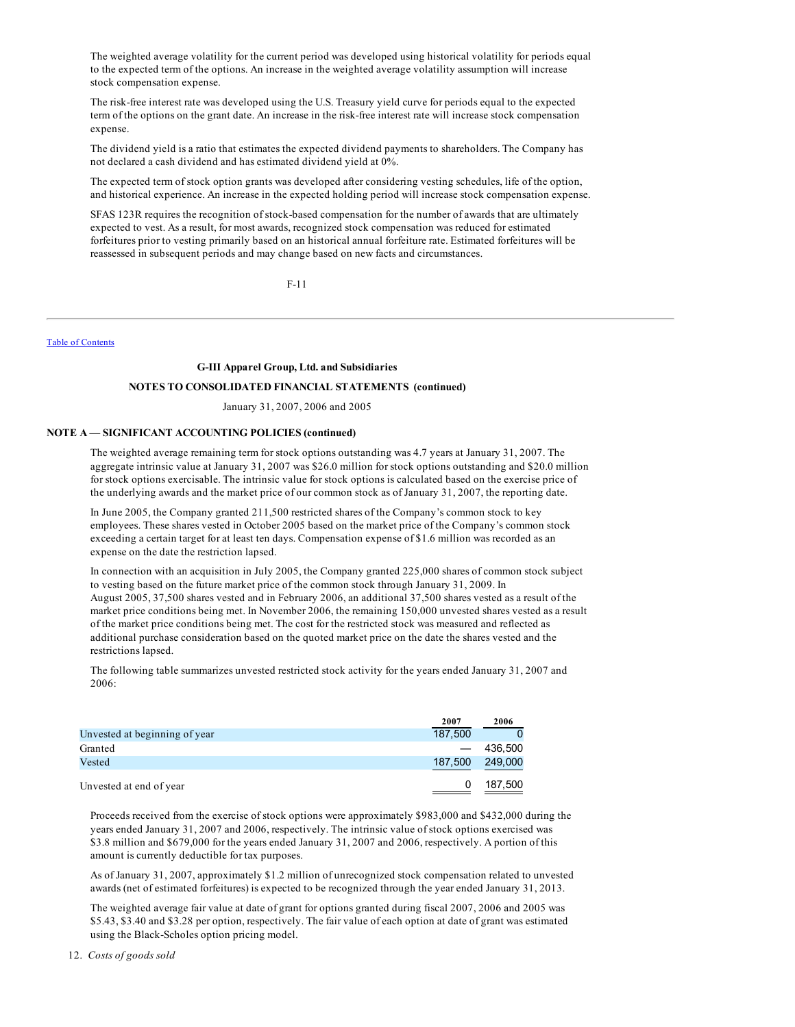The weighted average volatility for the current period was developed using historical volatility for periods equal to the expected term of the options. An increase in the weighted average volatility assumption will increase stock compensation expense.

The risk-free interest rate was developed using the U.S. Treasury yield curve for periods equal to the expected term of the options on the grant date. An increase in the risk-free interest rate will increase stock compensation expense.

The dividend yield is a ratio that estimates the expected dividend payments to shareholders. The Company has not declared a cash dividend and has estimated dividend yield at 0%.

The expected term of stock option grants was developed after considering vesting schedules, life of the option, and historical experience. An increase in the expected holding period will increase stock compensation expense.

SFAS 123R requires the recognition of stock-based compensation for the number of awards that are ultimately expected to vest. As a result, for most awards, recognized stock compensation was reduced for estimated forfeitures prior to vesting primarily based on an historical annual forfeiture rate. Estimated forfeitures will be reassessed in subsequent periods and may change based on new facts and circumstances.

F-11

### Table of [Contents](#page-31-0)

### **G-III Apparel Group, Ltd. and Subsidiaries**

### **(continued) NOTES TO CONSOLIDATED FINANCIAL STATEMENTS**

January 31, 2007, 2006 and 2005

# **NOTE A — SIGNIFICANT ACCOUNTING POLICIES (continued)**

The weighted average remaining term for stock options outstanding was 4.7 years at January 31, 2007. The aggregate intrinsic value at January 31, 2007 was \$26.0 million for stock options outstanding and \$20.0 million for stock options exercisable. The intrinsic value for stock options is calculated based on the exercise price of the underlying awards and the market price of our common stock as of January 31, 2007, the reporting date.

In June 2005, the Company granted 211,500 restricted shares of the Company's common stock to key employees. These shares vested in October 2005 based on the market price of the Company's common stock exceeding a certain target for at least ten days. Compensation expense of \$1.6 million was recorded as an expense on the date the restriction lapsed.

In connection with an acquisition in July 2005, the Company granted 225,000 shares of common stock subject to vesting based on the future market price of the common stock through January 31, 2009. In August 2005, 37,500 shares vested and in February 2006, an additional 37,500 shares vested as a result of the market price conditions being met. In November 2006, the remaining 150,000 unvested shares vested as a result of the market price conditions being met. The cost for the restricted stock was measured and reflected as additional purchase consideration based on the quoted market price on the date the shares vested and the restrictions lapsed.

The following table summarizes unvested restricted stock activity for the years ended January 31, 2007 and 2006:

|                               | 2007    | 2006    |
|-------------------------------|---------|---------|
| Unvested at beginning of year | 187.500 |         |
| Granted                       |         | 436,500 |
| Vested                        | 187,500 | 249,000 |
| Unvested at end of year       |         | 187,500 |

Proceeds received from the exercise of stock options were approximately \$983,000 and \$432,000 during the years ended January 31, 2007 and 2006, respectively. The intrinsic value of stock options exercised was \$3.8 million and \$679,000 for the years ended January 31, 2007 and 2006, respectively. A portion of this amount is currently deductible for tax purposes.

As of January 31, 2007, approximately \$1.2 million of unrecognized stock compensation related to unvested awards (net of estimated forfeitures) is expected to be recognized through the year ended January 31, 2013.

The weighted average fair value at date of grant for options granted during fiscal 2007, 2006 and 2005 was \$5.43, \$3.40 and \$3.28 per option, respectively. The fair value of each option at date of grant was estimated using the Black-Scholes option pricing model.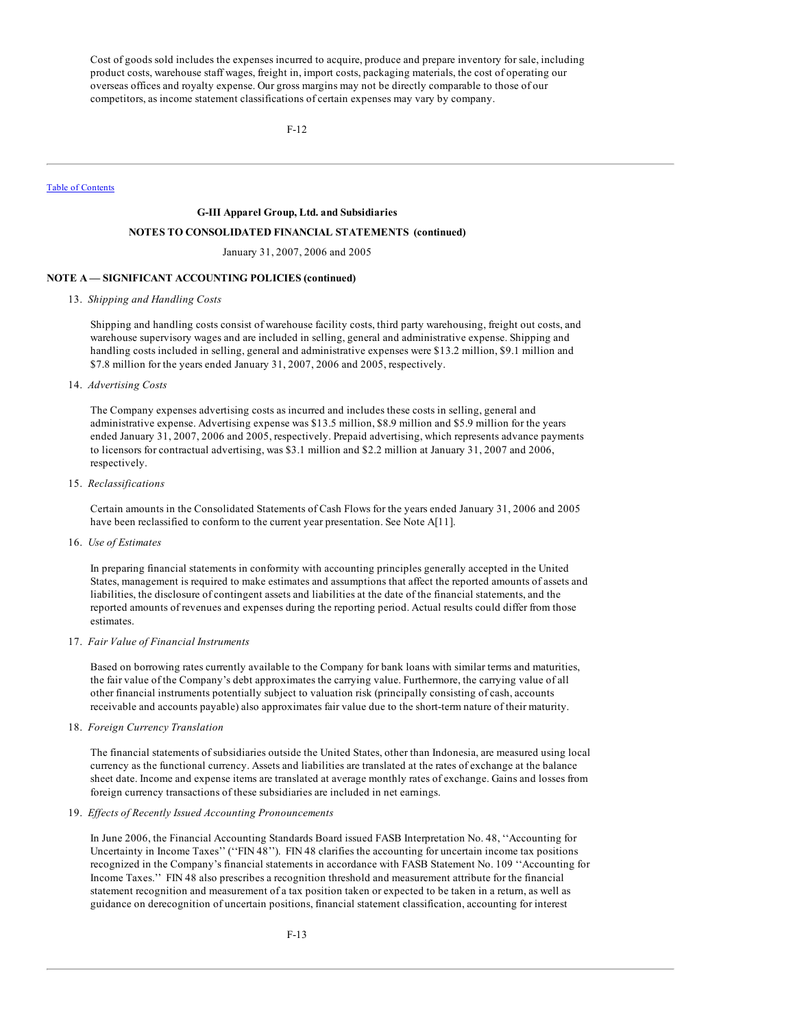Cost of goods sold includes the expenses incurred to acquire, produce and prepare inventory for sale, including product costs, warehouse staff wages, freight in, import costs, packaging materials, the cost of operating our overseas offices and royalty expense. Our gross margins may not be directly comparable to those of our competitors, as income statement classifications of certain expenses may vary by company.

F-12

Table of [Contents](#page-31-0)

# **G-III Apparel Group, Ltd. and Subsidiaries**

### **(continued) NOTES TO CONSOLIDATED FINANCIAL STATEMENTS**

January 31, 2007, 2006 and 2005

# **NOTE A — SIGNIFICANT ACCOUNTING POLICIES (continued)**

13. *Shipping and Handling Costs*

Shipping and handling costs consist of warehouse facility costs, third party warehousing, freight out costs, and warehouse supervisory wages and are included in selling, general and administrative expense. Shipping and handling costs included in selling, general and administrative expenses were \$13.2 million, \$9.1 million and \$7.8 million for the years ended January 31, 2007, 2006 and 2005, respectively.

14. *Advertising Costs*

The Company expenses advertising costs as incurred and includes these costs in selling, general and administrative expense. Advertising expense was \$13.5 million, \$8.9 million and \$5.9 million for the years ended January 31, 2007, 2006 and 2005, respectively. Prepaid advertising, which represents advance payments to licensors for contractual advertising, was \$3.1 million and \$2.2 million at January 31, 2007 and 2006, respectively.

15. *Reclassifications*

Certain amounts in the Consolidated Statements of Cash Flows for the years ended January 31, 2006 and 2005 have been reclassified to conform to the current year presentation. See Note A[11].

16. *Use of Estimates*

In preparing financial statements in conformity with accounting principles generally accepted in the United States, management is required to make estimates and assumptions that affect the reported amounts of assets and liabilities, the disclosure of contingent assets and liabilities at the date of the financial statements, and the reported amounts of revenues and expenses during the reporting period. Actual results could differ from those estimates.

17. *Fair Value of Financial Instruments*

Based on borrowing rates currently available to the Company for bank loans with similar terms and maturities, the fair value of the Company's debt approximates the carrying value. Furthermore, the carrying value of all other financial instruments potentially subject to valuation risk (principally consisting of cash, accounts receivable and accounts payable) also approximates fair value due to the short-term nature of their maturity.

18. *Foreign Currency Translation*

The financial statements of subsidiaries outside the United States, other than Indonesia, are measured using local currency as the functional currency. Assets and liabilities are translated at the rates of exchange at the balance sheet date. Income and expense items are translated at average monthly rates of exchange. Gains and losses from foreign currency transactions of these subsidiaries are included in net earnings.

19. *Ef ects of Recently Issued Accounting Pronouncements*

In June 2006, the Financial Accounting Standards Board issued FASB Interpretation No. 48, ''Accounting for Uncertainty in Income Taxes'' ("FIN 48"). FIN 48 clarifies the accounting for uncertain income tax positions recognized in the Company's financial statements in accordance with FASB Statement No. 109 ''Accounting for Income Taxes.'' FIN 48 also prescribes a recognition threshold and measurement attribute for the financial statement recognition and measurement of a tax position taken or expected to be taken in a return, as well as guidance on derecognition of uncertain positions, financial statement classification, accounting for interest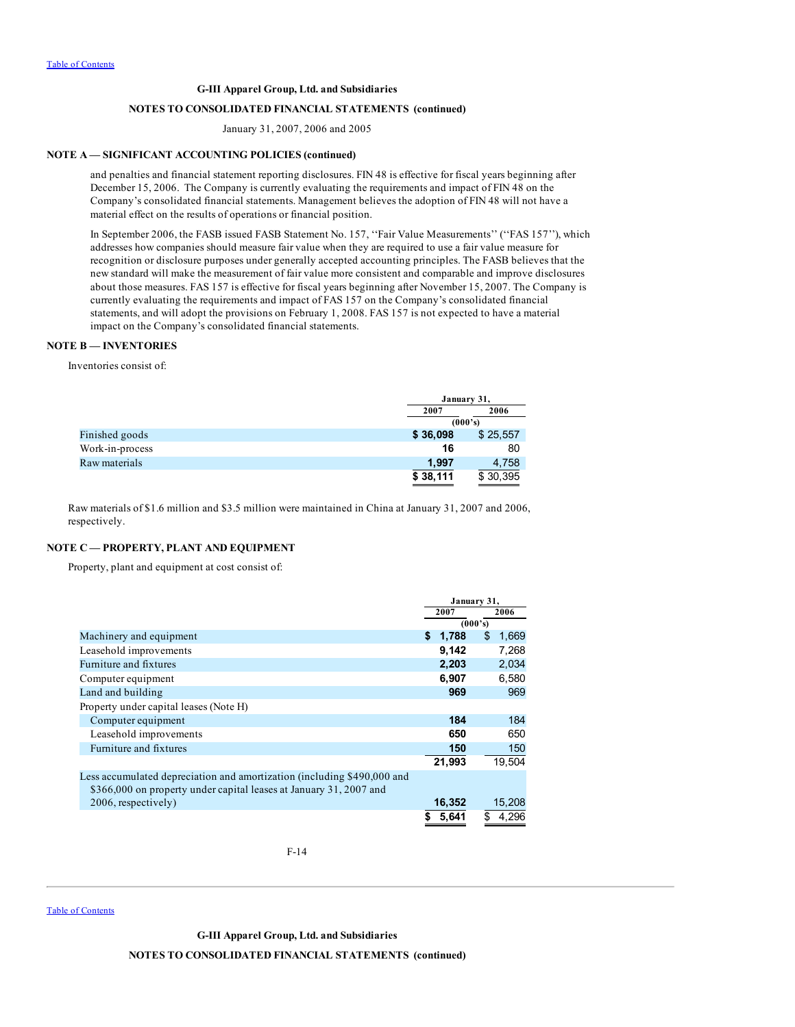### **G-III Apparel Group, Ltd. and Subsidiaries**

### **(continued) NOTES TO CONSOLIDATED FINANCIAL STATEMENTS**

January 31, 2007, 2006 and 2005

## **NOTE A — SIGNIFICANT ACCOUNTING POLICIES (continued)**

and penalties and financial statement reporting disclosures. FIN 48 is effective for fiscal years beginning after December 15, 2006. The Company is currently evaluating the requirements and impact of FIN 48 on the Company's consolidated financial statements. Management believes the adoption of FIN 48 will not have a material effect on the results of operations or financial position.

In September 2006, the FASB issued FASB Statement No. 157, ''Fair Value Measurements'' (''FAS 157''), which addresses how companies should measure fair value when they are required to use a fair value measure for recognition or disclosure purposes under generally accepted accounting principles. The FASB believes that the new standard will make the measurement of fair value more consistent and comparable and improve disclosures about those measures. FAS 157 is effective for fiscal years beginning after November 15, 2007. The Company is currently evaluating the requirements and impact of FAS 157 on the Company's consolidated financial statements, and will adopt the provisions on February 1, 2008. FAS 157 is not expected to have a material impact on the Company's consolidated financial statements.

# **NOTE B — INVENTORIES**

Inventories consist of:

|                 |          | January 31, |  |
|-----------------|----------|-------------|--|
|                 | 2007     | 2006        |  |
|                 | (000's)  |             |  |
| Finished goods  | \$36,098 | \$25,557    |  |
| Work-in-process | 16       | 80          |  |
| Raw materials   | 1.997    | 4,758       |  |
|                 | \$38,111 | \$30,395    |  |
|                 |          |             |  |

Raw materials of \$1.6 million and \$3.5 million were maintained in China at January 31, 2007 and 2006, respectively.

# **NOTE C — PROPERTY, PLANT AND EQUIPMENT**

Property, plant and equipment at cost consist of:

|                                                                                                                                               | January 31, |         |             |
|-----------------------------------------------------------------------------------------------------------------------------------------------|-------------|---------|-------------|
|                                                                                                                                               | 2007        |         | 2006        |
|                                                                                                                                               |             | (000's) |             |
| Machinery and equipment                                                                                                                       | \$          | 1,788   | \$<br>1,669 |
| Leasehold improvements                                                                                                                        |             | 9,142   | 7,268       |
| Furniture and fixtures                                                                                                                        |             | 2,203   | 2,034       |
| Computer equipment                                                                                                                            |             | 6,907   | 6,580       |
| Land and building                                                                                                                             |             | 969     | 969         |
| Property under capital leases (Note H)                                                                                                        |             |         |             |
| Computer equipment                                                                                                                            |             | 184     | 184         |
| Leasehold improvements                                                                                                                        |             | 650     | 650         |
| Furniture and fixtures                                                                                                                        |             | 150     | 150         |
|                                                                                                                                               |             | 21.993  | 19,504      |
| Less accumulated depreciation and amortization (including \$490,000 and<br>\$366,000 on property under capital leases at January 31, 2007 and |             |         |             |
| 2006, respectively)                                                                                                                           |             | 16,352  | 15,208      |
|                                                                                                                                               | \$          | 5,641   | \$<br>4.296 |

F-14

### Table of [Contents](#page-31-0)

**G-III Apparel Group, Ltd. and Subsidiaries**

**(continued) NOTES TO CONSOLIDATED FINANCIAL STATEMENTS**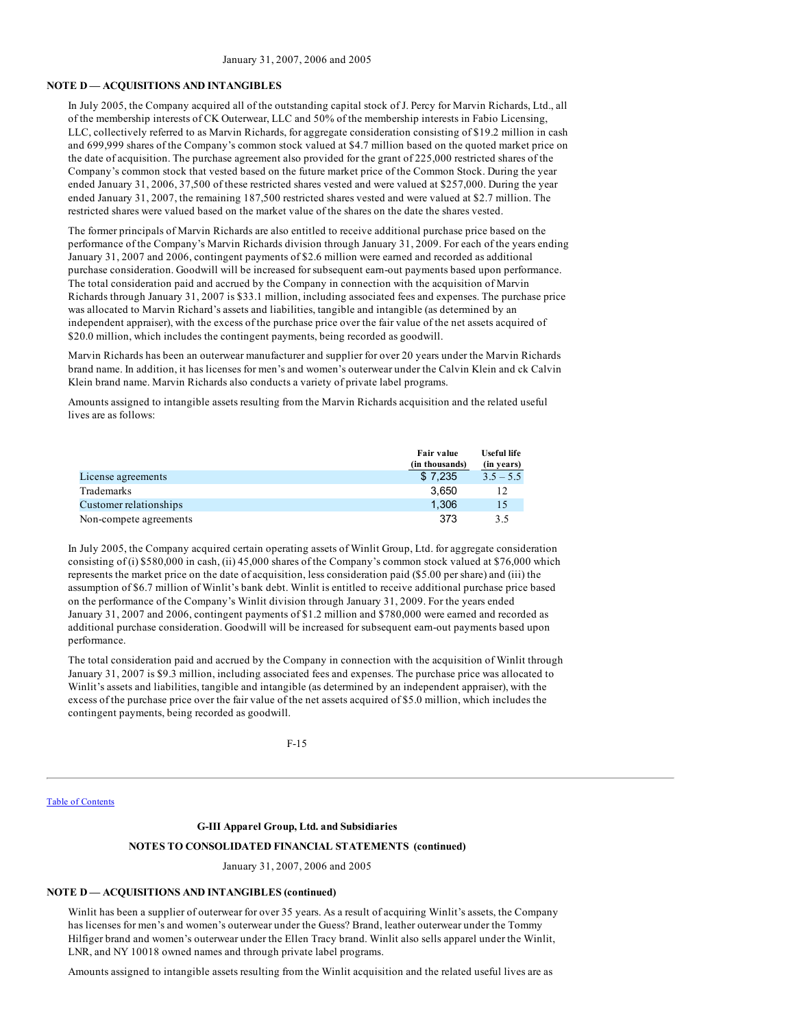# **NOTE D — ACQUISITIONS AND INTANGIBLES**

In July 2005, the Company acquired all of the outstanding capital stock of J. Percy for Marvin Richards, Ltd., all of the membership interests of CK Outerwear, LLC and 50% of the membership interests in Fabio Licensing, LLC, collectively referred to as Marvin Richards, for aggregate consideration consisting of \$19.2 million in cash and 699,999 shares of the Company's common stock valued at \$4.7 million based on the quoted market price on the date of acquisition. The purchase agreement also provided for the grant of 225,000 restricted shares of the Company's common stock that vested based on the future market price of the Common Stock. During the year ended January 31, 2006, 37,500 of these restricted shares vested and were valued at \$257,000. During the year ended January 31, 2007, the remaining 187,500 restricted shares vested and were valued at \$2.7 million. The restricted shares were valued based on the market value of the shares on the date the shares vested.

The former principals of Marvin Richards are also entitled to receive additional purchase price based on the performance of the Company's Marvin Richards division through January 31, 2009. For each of the years ending January 31, 2007 and 2006, contingent payments of \$2.6 million were earned and recorded as additional purchase consideration. Goodwill will be increased for subsequent earn-out payments based upon performance. The total consideration paid and accrued by the Company in connection with the acquisition of Marvin Richards through January 31, 2007 is \$33.1 million, including associated fees and expenses. The purchase price was allocated to Marvin Richard's assets and liabilities, tangible and intangible (as determined by an independent appraiser), with the excess of the purchase price over the fair value of the net assets acquired of \$20.0 million, which includes the contingent payments, being recorded as goodwill.

Marvin Richards has been an outerwear manufacturer and supplier for over 20 years under the Marvin Richards brand name. In addition, it has licenses for men's and women's outerwear under the Calvin Klein and ck Calvin Klein brand name. Marvin Richards also conducts a variety of private label programs.

Amounts assigned to intangible assets resulting from the Marvin Richards acquisition and the related useful lives are as follows:

|                        | Fair value<br>(in thousands) | <b>Useful life</b><br>(in years) |
|------------------------|------------------------------|----------------------------------|
| License agreements     | \$7.235                      | $3.5 - 5.5$                      |
| Trademarks             | 3.650                        | 12                               |
| Customer relationships | 1.306                        | 15                               |
| Non-compete agreements | 373                          | 3.5                              |

In July 2005, the Company acquired certain operating assets of Winlit Group, Ltd. for aggregate consideration consisting of (i) \$580,000 in cash, (ii) 45,000 shares of the Company's common stock valued at \$76,000 which represents the market price on the date of acquisition, less consideration paid (\$5.00 per share) and (iii) the assumption of \$6.7 million of Winlit's bank debt. Winlit is entitled to receive additional purchase price based on the performance of the Company's Winlit division through January 31, 2009. For the years ended January 31, 2007 and 2006, contingent payments of \$1.2 million and \$780,000 were earned and recorded as additional purchase consideration. Goodwill will be increased for subsequent earn-out payments based upon performance.

The total consideration paid and accrued by the Company in connection with the acquisition of Winlit through January 31, 2007 is \$9.3 million, including associated fees and expenses. The purchase price was allocated to Winlit's assets and liabilities, tangible and intangible (as determined by an independent appraiser), with the excess of the purchase price over the fair value of the net assets acquired of \$5.0 million, which includes the contingent payments, being recorded as goodwill.

F-15

Table of [Contents](#page-31-0)

# **G-III Apparel Group, Ltd. and Subsidiaries**

#### **(continued) NOTES TO CONSOLIDATED FINANCIAL STATEMENTS**

January 31, 2007, 2006 and 2005

#### **(continued) NOTE D — ACQUISITIONS AND INTANGIBLES**

Winlit has been a supplier of outerwear for over 35 years. As a result of acquiring Winlit's assets, the Company has licenses for men's and women's outerwear under the Guess? Brand, leather outerwear under the Tommy Hilfiger brand and women's outerwear under the Ellen Tracy brand. Winlit also sells apparel under the Winlit, LNR, and NY 10018 owned names and through private label programs.

Amounts assigned to intangible assets resulting from the Winlit acquisition and the related useful lives are as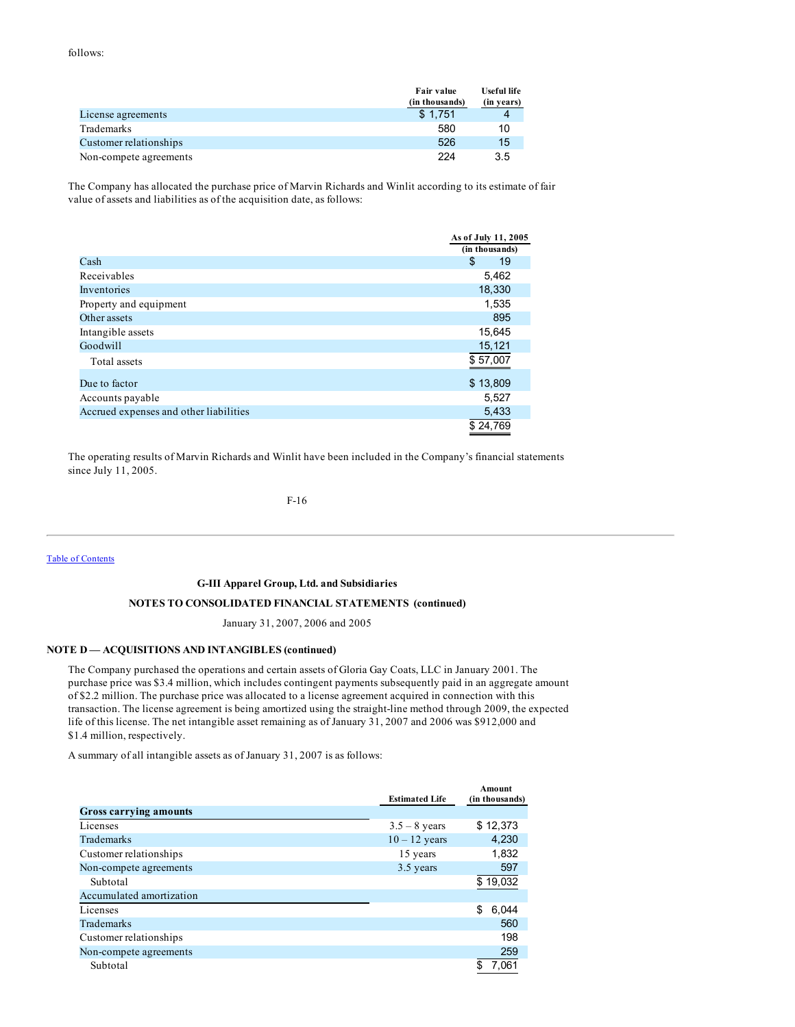# follows:

|                        | Fair value<br>(in thousands) | <b>Useful life</b><br>(in years) |
|------------------------|------------------------------|----------------------------------|
| License agreements     | \$1.751                      |                                  |
| Trademarks             | 580                          | 10                               |
| Customer relationships | 526                          | 15                               |
| Non-compete agreements | 224                          | 3.5                              |

The Company has allocated the purchase price of Marvin Richards and Winlit according to its estimate of fair value of assets and liabilities as of the acquisition date, as follows:

|                                        | As of July 11, 2005 |  |
|----------------------------------------|---------------------|--|
|                                        | (in thousands)      |  |
| Cash                                   | \$<br>19            |  |
| Receivables                            | 5,462               |  |
| Inventories                            | 18,330              |  |
| Property and equipment                 | 1,535               |  |
| Other assets                           | 895                 |  |
| Intangible assets                      | 15,645              |  |
| Goodwill                               | 15,121              |  |
| Total assets                           | \$57,007            |  |
| Due to factor                          | \$13,809            |  |
| Accounts payable                       | 5,527               |  |
| Accrued expenses and other liabilities | 5,433               |  |
|                                        | \$24.769            |  |

The operating results of Marvin Richards and Winlit have been included in the Company's financial statements since July 11, 2005.

F-16

Table of [Contents](#page-31-0)

**G-III Apparel Group, Ltd. and Subsidiaries**

### **(continued) NOTES TO CONSOLIDATED FINANCIAL STATEMENTS**

January 31, 2007, 2006 and 2005

### **(continued) NOTE D — ACQUISITIONS AND INTANGIBLES**

The Company purchased the operations and certain assets of Gloria Gay Coats, LLC in January 2001. The purchase price was \$3.4 million, which includes contingent payments subsequently paid in an aggregate amount of \$2.2 million. The purchase price was allocated to a license agreement acquired in connection with this transaction. The license agreement is being amortized using the straight-line method through 2009, the expected life of this license. The net intangible asset remaining as of January 31, 2007 and 2006 was \$912,000 and \$1.4 million, respectively.

A summary of all intangible assets as of January 31, 2007 is as follows:

|                               |                       | Amount            |
|-------------------------------|-----------------------|-------------------|
|                               | <b>Estimated Life</b> | (in thousands)    |
| <b>Gross carrying amounts</b> |                       |                   |
| Licenses                      | $3.5 - 8$ years       | \$12,373          |
| <b>Trademarks</b>             | $10 - 12$ years       | 4.230             |
| Customer relationships        | 15 years              | 1.832             |
| Non-compete agreements        | 3.5 years             | 597               |
| Subtotal                      |                       | \$19,032          |
| Accumulated amortization      |                       |                   |
| Licenses                      |                       | \$<br>6.044       |
| <b>Trademarks</b>             |                       | 560               |
| Customer relationships        |                       | 198               |
| Non-compete agreements        |                       | 259               |
| Subtotal                      |                       | 7.06 <sup>-</sup> |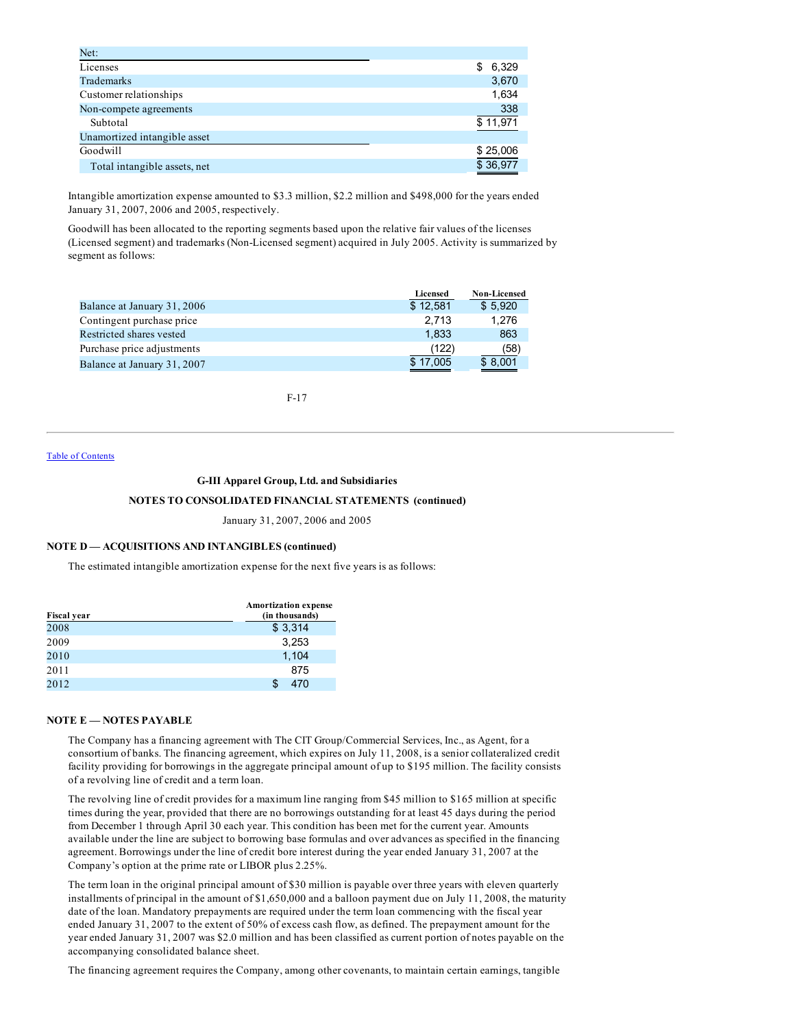| Net:                         |            |
|------------------------------|------------|
| Licenses                     | 6,329<br>S |
| Trademarks                   | 3,670      |
| Customer relationships       | 1,634      |
| Non-compete agreements       | 338        |
| Subtotal                     | \$11,971   |
| Unamortized intangible asset |            |
| Goodwill                     | \$25,006   |
| Total intangible assets, net | \$36,977   |
|                              |            |

Intangible amortization expense amounted to \$3.3 million, \$2.2 million and \$498,000 for the years ended January 31, 2007, 2006 and 2005, respectively.

Goodwill has been allocated to the reporting segments based upon the relative fair values of the licenses (Licensed segment) and trademarks (Non-Licensed segment) acquired in July 2005. Activity is summarized by segment as follows:

|                             | <b>Licensed</b> | <b>Non-Licensed</b> |
|-----------------------------|-----------------|---------------------|
| Balance at January 31, 2006 | \$12.581        | \$5,920             |
| Contingent purchase price   | 2.713           | 1.276               |
| Restricted shares vested    | 1.833           | 863                 |
| Purchase price adjustments  | (122)           | (58)                |
| Balance at January 31, 2007 | \$17,005        | \$8,001             |

F-17

### Table of [Contents](#page-31-0)

# **G-III Apparel Group, Ltd. and Subsidiaries**

### **(continued) NOTES TO CONSOLIDATED FINANCIAL STATEMENTS**

January 31, 2007, 2006 and 2005

#### **(continued) NOTE D — ACQUISITIONS AND INTANGIBLES**

The estimated intangible amortization expense for the next five years is as follows:

| <b>Fiscal year</b> | <b>Amortization expense</b><br>(in thousands) |
|--------------------|-----------------------------------------------|
| 2008               | \$3,314                                       |
| 2009               | 3,253                                         |
| 2010               | 1,104                                         |
| 2011               | 875                                           |
| 2012               | 470<br>\$                                     |

# **NOTE E — NOTES PAYABLE**

The Company has a financing agreement with The CIT Group/Commercial Services, Inc., as Agent, for a consortium of banks. The financing agreement, which expires on July 11, 2008, is a senior collateralized credit facility providing for borrowings in the aggregate principal amount of up to \$195 million. The facility consists of a revolving line of credit and a term loan.

The revolving line of credit provides for a maximum line ranging from \$45 million to \$165 million at specific times during the year, provided that there are no borrowings outstanding for at least 45 days during the period from December 1 through April 30 each year. This condition has been met for the current year. Amounts available under the line are subject to borrowing base formulas and over advances as specified in the financing agreement. Borrowings under the line of credit bore interest during the year ended January 31, 2007 at the Company's option at the prime rate or LIBOR plus 2.25%.

The term loan in the original principal amount of \$30 million is payable over three years with eleven quarterly installments of principal in the amount of \$1,650,000 and a balloon payment due on July 11, 2008, the maturity date of the loan. Mandatory prepayments are required under the term loan commencing with the fiscal year ended January 31, 2007 to the extent of 50% of excess cash flow, as defined. The prepayment amount for the year ended January 31, 2007 was \$2.0 million and has been classified as current portion of notes payable on the accompanying consolidated balance sheet.

The financing agreement requires the Company, among other covenants, to maintain certain earnings, tangible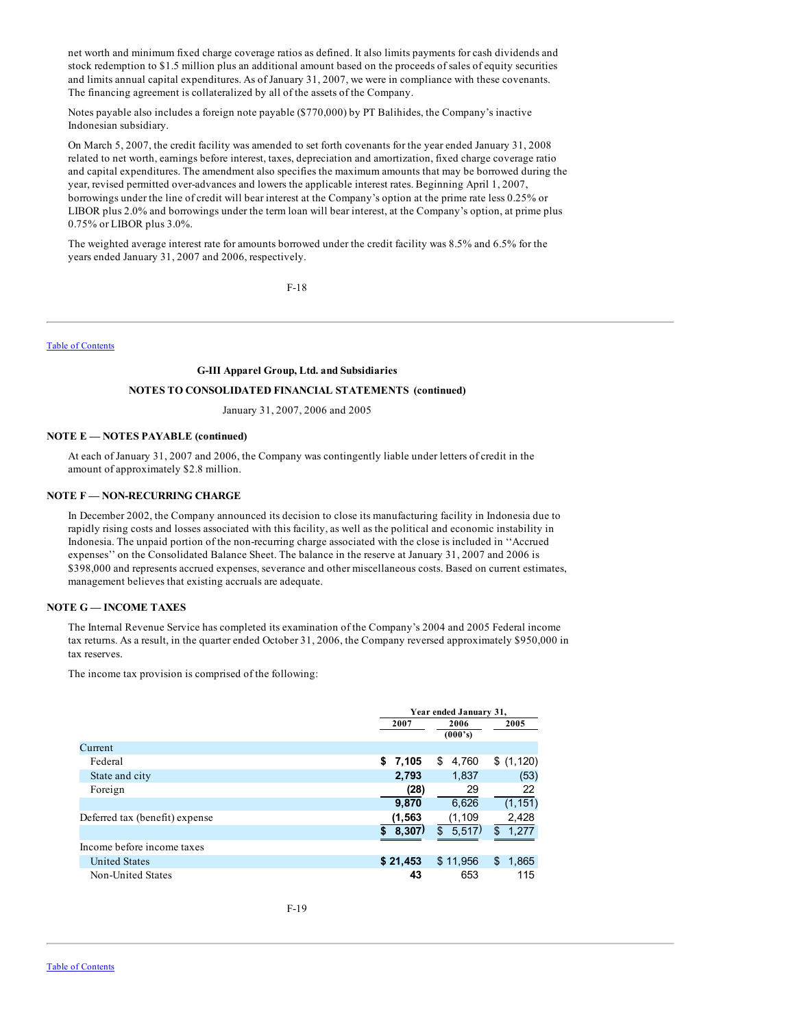net worth and minimum fixed charge coverage ratios as defined. It also limits payments for cash dividends and stock redemption to \$1.5 million plus an additional amount based on the proceeds of sales of equity securities and limits annual capital expenditures. As of January 31, 2007, we were in compliance with these covenants. The financing agreement is collateralized by all of the assets of the Company.

Notes payable also includes a foreign note payable (\$770,000) by PT Balihides, the Company's inactive Indonesian subsidiary.

On March 5, 2007, the credit facility was amended to set forth covenants for the year ended January 31, 2008 related to net worth, earnings before interest, taxes, depreciation and amortization, fixed charge coverage ratio and capital expenditures. The amendment also specifies the maximum amounts that may be borrowed during the year, revised permitted over-advances and lowers the applicable interest rates. Beginning April 1, 2007, borrowings under the line of credit will bear interest at the Company's option at the prime rate less 0.25% or LIBOR plus 2.0% and borrowings under the term loan will bear interest, at the Company's option, at prime plus 0.75% or LIBOR plus 3.0%.

The weighted average interest rate for amounts borrowed under the credit facility was 8.5% and 6.5% for the years ended January 31, 2007 and 2006, respectively.

F-18

Table of [Contents](#page-31-0)

# **G-III Apparel Group, Ltd. and Subsidiaries**

### **(continued) NOTES TO CONSOLIDATED FINANCIAL STATEMENTS**

January 31, 2007, 2006 and 2005

### **(continued) NOTE E — NOTES PAYABLE**

At each of January 31, 2007 and 2006, the Company was contingently liable under letters of credit in the amount of approximately \$2.8 million.

### **NOTE F — NON-RECURRING CHARGE**

In December 2002, the Company announced its decision to close its manufacturing facility in Indonesia due to rapidly rising costs and losses associated with this facility, as well as the political and economic instability in Indonesia. The unpaid portion of the non-recurring charge associated with the close is included in ''Accrued expenses'' on the Consolidated Balance Sheet. The balance in the reserve at January 31, 2007 and 2006 is \$398,000 and represents accrued expenses, severance and other miscellaneous costs. Based on current estimates, management believes that existing accruals are adequate.

# **NOTE G — INCOME TAXES**

The Internal Revenue Service has completed its examination of the Company's 2004 and 2005 Federal income tax returns. As a result, in the quarter ended October 31, 2006, the Company reversed approximately \$950,000 in tax reserves.

The income tax provision is comprised of the following:

|                                |             | Year ended January 31,  |              |  |
|--------------------------------|-------------|-------------------------|--------------|--|
|                                | 2007        | 2006                    |              |  |
|                                |             | (000's)                 |              |  |
| Current                        |             |                         |              |  |
| Federal                        | \$<br>7,105 | \$<br>4,760             | \$(1,120)    |  |
| State and city                 | 2,793       | 1.837                   | (53)         |  |
| Foreign                        | (28)        | 29                      | 22           |  |
|                                | 9,870       | 6,626                   | (1, 151)     |  |
| Deferred tax (benefit) expense | (1, 563)    | (1, 109)                | 2,428        |  |
|                                | 8,307<br>S  | $\mathfrak{L}$<br>5,517 | \$.<br>1,277 |  |
| Income before income taxes     |             |                         |              |  |
| <b>United States</b>           | \$21,453    | \$11,956                | \$<br>1,865  |  |
| Non-United States              | 43          | 653                     | 115          |  |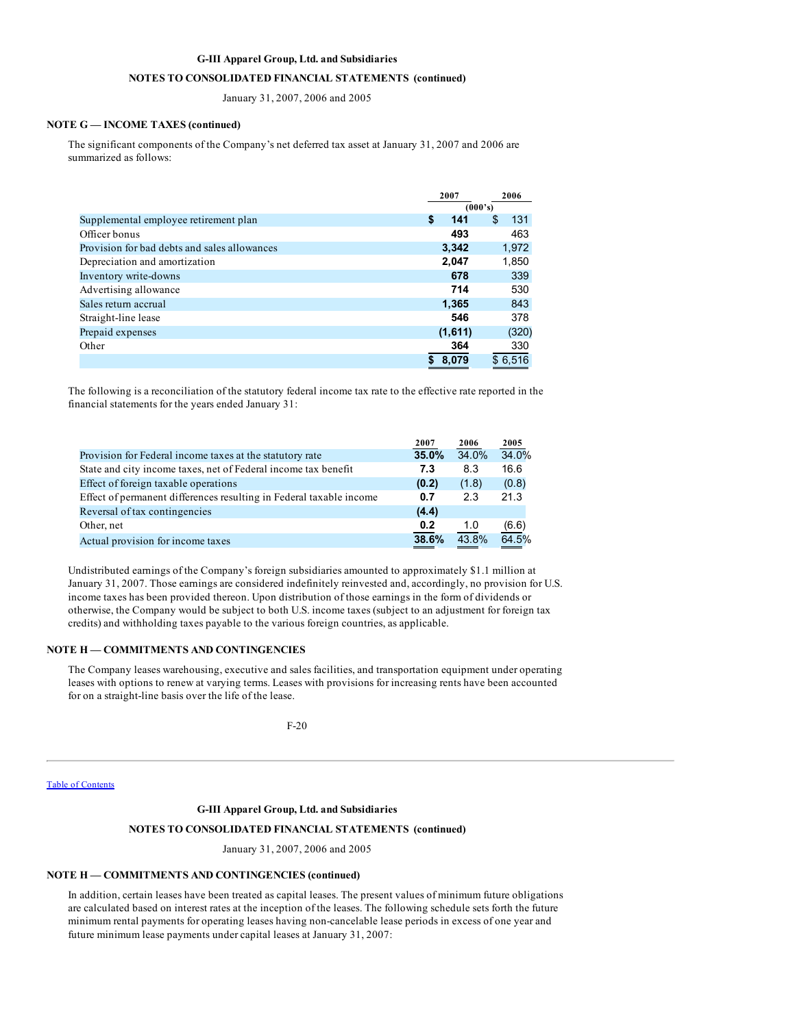# **G-III Apparel Group, Ltd. and Subsidiaries**

### **(continued) NOTES TO CONSOLIDATED FINANCIAL STATEMENTS**

January 31, 2007, 2006 and 2005

### **(continued) NOTE G — INCOME TAXES**

The significant components of the Company's net deferred tax asset at January 31, 2007 and 2006 are summarized as follows:

|                                              | 2007 |         | 2006      |  |
|----------------------------------------------|------|---------|-----------|--|
|                                              |      | (000's) |           |  |
| Supplemental employee retirement plan        | \$   | 141     | 131<br>\$ |  |
| Officer bonus                                |      | 493     | 463       |  |
| Provision for bad debts and sales allowances |      | 3,342   | 1,972     |  |
| Depreciation and amortization                |      | 2,047   | 1,850     |  |
| Inventory write-downs                        |      | 678     | 339       |  |
| Advertising allowance                        |      | 714     | 530       |  |
| Sales return accrual                         |      | 1.365   | 843       |  |
| Straight-line lease                          |      | 546     | 378       |  |
| Prepaid expenses                             |      | (1,611) | (320)     |  |
| Other                                        |      | 364     | 330       |  |
|                                              | S    | 8.079   | \$6.516   |  |

The following is a reconciliation of the statutory federal income tax rate to the effective rate reported in the financial statements for the years ended January 31:

|                                                                     | 2007  | 2006  | 2005  |
|---------------------------------------------------------------------|-------|-------|-------|
| Provision for Federal income taxes at the statutory rate            | 35.0% | 34.0% | 34.0% |
| State and city income taxes, net of Federal income tax benefit      | 7.3   | 8.3   | 16.6  |
| Effect of foreign taxable operations                                | (0.2) | (1.8) | (0.8) |
| Effect of permanent differences resulting in Federal taxable income | 0.7   | 2.3   | 21.3  |
| Reversal of tax contingencies                                       | (4.4) |       |       |
| Other, net                                                          | 0.2   | 1.0   | (6.6) |
| Actual provision for income taxes                                   | 38.6% | 43.8% | 64.5% |

Undistributed earnings of the Company's foreign subsidiaries amounted to approximately \$1.1 million at January 31, 2007. Those earnings are considered indefinitely reinvested and, accordingly, no provision for U.S. income taxes has been provided thereon. Upon distribution of those earnings in the form of dividends or otherwise, the Company would be subject to both U.S. income taxes (subject to an adjustment for foreign tax credits) and withholding taxes payable to the various foreign countries, as applicable.

# **NOTE H — COMMITMENTS AND CONTINGENCIES**

The Company leases warehousing, executive and sales facilities, and transportation equipment under operating leases with options to renew at varying terms. Leases with provisions for increasing rents have been accounted for on a straight-line basis over the life of the lease.

F-20

Table of [Contents](#page-31-0)

### **G-III Apparel Group, Ltd. and Subsidiaries**

#### **(continued) NOTES TO CONSOLIDATED FINANCIAL STATEMENTS**

January 31, 2007, 2006 and 2005

### **(continued) NOTE H — COMMITMENTS AND CONTINGENCIES**

In addition, certain leases have been treated as capital leases. The present values of minimum future obligations are calculated based on interest rates at the inception of the leases. The following schedule sets forth the future minimum rental payments for operating leases having non-cancelable lease periods in excess of one year and future minimum lease payments under capital leases at January 31, 2007: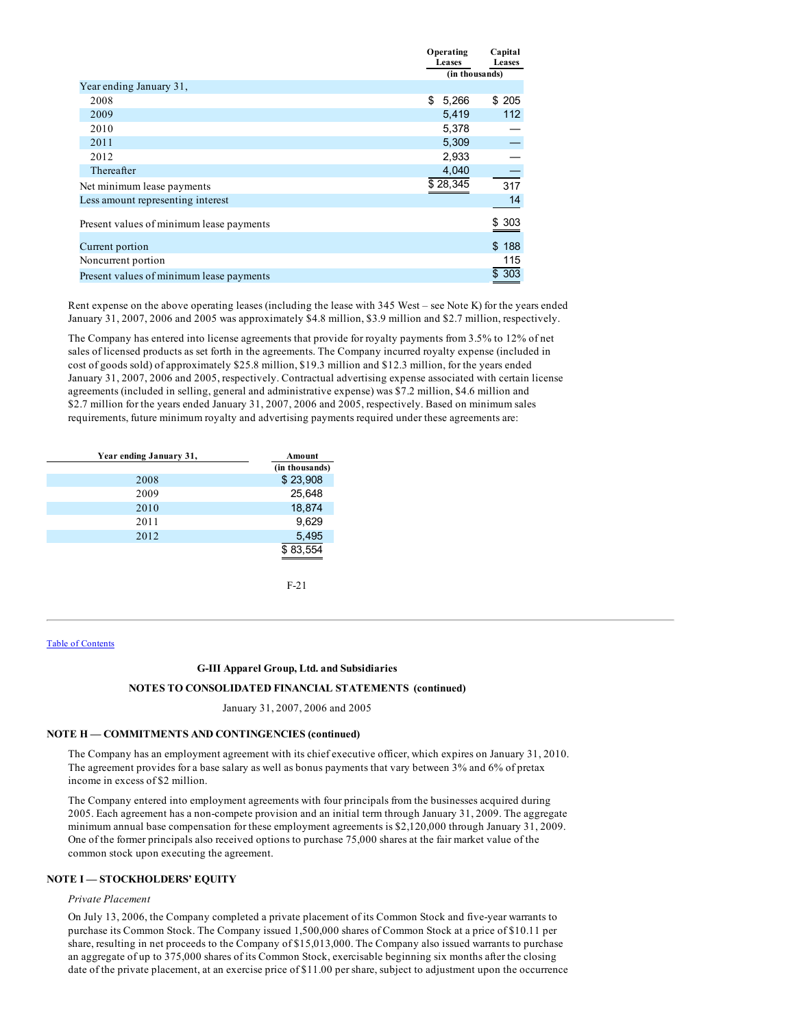|                                          | Operating<br>Leases | Capital<br>Leases |
|------------------------------------------|---------------------|-------------------|
| Year ending January 31,                  |                     | (in thousands)    |
| 2008                                     | \$<br>5,266         | \$205             |
| 2009                                     | 5,419               | 112               |
| 2010                                     | 5,378               |                   |
| 2011                                     | 5,309               |                   |
| 2012                                     | 2,933               |                   |
| Thereafter                               | 4,040               | $\equiv$          |
| Net minimum lease payments               | \$28,345            | 317               |
| Less amount representing interest        |                     | 14                |
| Present values of minimum lease payments |                     | \$303             |
| Current portion                          |                     | 188<br>\$         |
| Noncurrent portion                       |                     | 115               |
| Present values of minimum lease payments |                     | \$ 303            |

Rent expense on the above operating leases (including the lease with 345 West – see Note K) for the years ended January 31, 2007, 2006 and 2005 was approximately \$4.8 million, \$3.9 million and \$2.7 million, respectively.

The Company has entered into license agreements that provide for royalty payments from 3.5% to 12% of net sales of licensed products as set forth in the agreements. The Company incurred royalty expense (included in cost of goods sold) of approximately \$25.8 million, \$19.3 million and \$12.3 million, for the years ended January 31, 2007, 2006 and 2005, respectively. Contractual advertising expense associated with certain license agreements (included in selling, general and administrative expense) was \$7.2 million, \$4.6 million and \$2.7 million for the years ended January 31, 2007, 2006 and 2005, respectively. Based on minimum sales requirements, future minimum royalty and advertising payments required under these agreements are:

| Year ending January 31, | Amount         |
|-------------------------|----------------|
|                         | (in thousands) |
| 2008                    | \$23,908       |
| 2009                    | 25,648         |
| 2010                    | 18,874         |
| 2011                    | 9,629          |
| 2012                    | 5,495          |
|                         | \$83,554       |
|                         |                |
|                         | $F-21$         |

#### Table of [Contents](#page-31-0)

### **G-III Apparel Group, Ltd. and Subsidiaries**

### **(continued) NOTES TO CONSOLIDATED FINANCIAL STATEMENTS**

January 31, 2007, 2006 and 2005

### **(continued) NOTE H — COMMITMENTS AND CONTINGENCIES**

The Company has an employment agreement with its chief executive officer, which expires on January 31, 2010. The agreement provides for a base salary as well as bonus payments that vary between 3% and 6% of pretax income in excess of \$2 million.

The Company entered into employment agreements with four principals from the businesses acquired during 2005. Each agreement has a non-compete provision and an initial term through January 31, 2009. The aggregate minimum annual base compensation for these employment agreements is \$2,120,000 through January 31, 2009. One of the former principals also received options to purchase 75,000 shares at the fair market value of the common stock upon executing the agreement.

# **NOTE I — STOCKHOLDERS' EQUITY**

# *Private Placement*

On July 13, 2006, the Company completed a private placement of its Common Stock and five-year warrants to purchase its Common Stock. The Company issued 1,500,000 shares of Common Stock at a price of \$10.11 per share, resulting in net proceeds to the Company of \$15,013,000. The Company also issued warrants to purchase an aggregate of up to 375,000 shares of its Common Stock, exercisable beginning six months after the closing date of the private placement, at an exercise price of \$11.00 per share, subject to adjustment upon the occurrence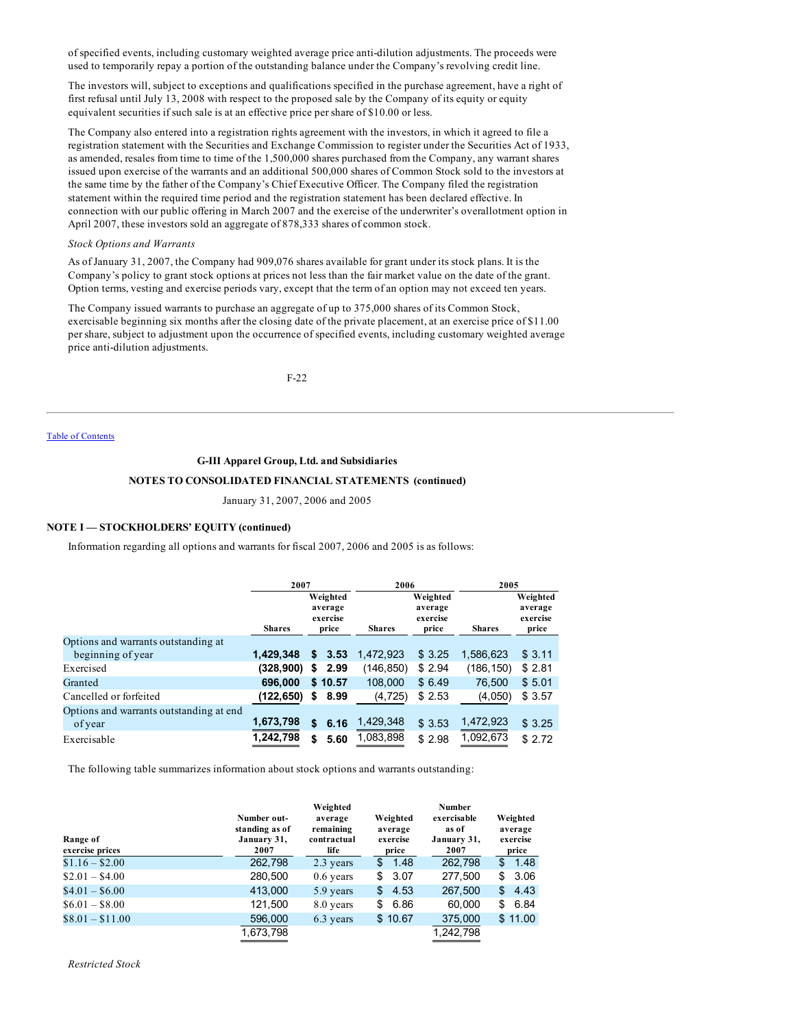of specified events, including customary weighted average price anti-dilution adjustments. The proceeds were used to temporarily repay a portion of the outstanding balance under the Company's revolving credit line.

The investors will, subject to exceptions and qualifications specified in the purchase agreement, have a right of first refusal until July 13, 2008 with respect to the proposed sale by the Company of its equity or equity equivalent securities if such sale is at an effective price per share of \$10.00 or less.

The Company also entered into a registration rights agreement with the investors, in which it agreed to file a registration statement with the Securities and Exchange Commission to register under the Securities Act of 1933, as amended, resales from time to time of the 1,500,000 shares purchased from the Company, any warrant shares issued upon exercise of the warrants and an additional 500,000 shares of Common Stock sold to the investors at the same time by the father of the Company's Chief Executive Officer. The Company filed the registration statement within the required time period and the registration statement has been declared effective. In connection with our public offering in March 2007 and the exercise of the underwriter's overallotment option in April 2007, these investors sold an aggregate of 878,333 shares of common stock.

### *Stock Options and Warrants*

As of January 31, 2007, the Company had 909,076 shares available for grant under its stock plans. It is the Company's policy to grant stock options at prices not less than the fair market value on the date of the grant. Option terms, vesting and exercise periods vary, except that the term of an option may not exceed ten years.

The Company issued warrants to purchase an aggregate of up to 375,000 shares of its Common Stock, exercisable beginning six months after the closing date of the private placement, at an exercise price of \$11.00 per share, subject to adjustment upon the occurrence of specified events, including customary weighted average price anti-dilution adjustments.

F-22

# Table of [Contents](#page-31-0)

### **G-III Apparel Group, Ltd. and Subsidiaries**

### **(continued) NOTES TO CONSOLIDATED FINANCIAL STATEMENTS**

January 31, 2007, 2006 and 2005

### **(continued) NOTE I — STOCKHOLDERS' EQUITY**

Information regarding all options and warrants for fiscal 2007, 2006 and 2005 is as follows:

|                                          | 2007          |                                          | 2006          |                                          | 2005          |                                          |  |
|------------------------------------------|---------------|------------------------------------------|---------------|------------------------------------------|---------------|------------------------------------------|--|
|                                          | <b>Shares</b> | Weighted<br>average<br>exercise<br>price | <b>Shares</b> | Weighted<br>average<br>exercise<br>price | <b>Shares</b> | Weighted<br>average<br>exercise<br>price |  |
| Options and warrants outstanding at      |               |                                          |               |                                          |               |                                          |  |
| beginning of year                        | 1,429,348     | 3.53<br>S                                | 1,472,923     | \$3.25                                   | 1,586,623     | \$3.11                                   |  |
| Exercised                                | (328,900)     | 2.99<br>S                                | (146,850)     | \$2.94                                   | (186, 150)    | \$2.81                                   |  |
| Granted                                  | 696,000       | \$10.57                                  | 108,000       | \$6.49                                   | 76.500        | \$5.01                                   |  |
| Cancelled or forfeited                   | (122, 650)    | 8.99<br>\$                               | (4, 725)      | \$2.53                                   | (4,050)       | \$3.57                                   |  |
| Options and warrants outstanding at end. |               |                                          |               |                                          |               |                                          |  |
| of year                                  | 1,673,798     | 6.16<br>\$                               | 1,429,348     | \$3.53                                   | 1,472,923     | \$3.25                                   |  |
| Exercisable                              | 1,242,798     | 5.60<br>S                                | 1,083,898     | \$2.98                                   | 1,092,673     | \$2.72                                   |  |

The following table summarizes information about stock options and warrants outstanding:

| Range of<br>exercise prices | Number out-<br>standing as of<br>January 31,<br>2007 | Weighted<br>average<br>remaining<br>contractual<br>life | Weighted<br>average<br>exercise<br>price | <b>Number</b><br>exercisable<br>as of<br>January 31,<br>2007 | Weighted<br>average<br>exercise<br>price |
|-----------------------------|------------------------------------------------------|---------------------------------------------------------|------------------------------------------|--------------------------------------------------------------|------------------------------------------|
| $$1.16 - $2.00$             | 262,798                                              | 2.3 years                                               | 1.48<br>\$                               | 262,798                                                      | 1.48<br>\$                               |
| $$2.01 - $4.00$             | 280,500                                              | $0.6$ years                                             | \$<br>3.07                               | 277,500                                                      | \$<br>3.06                               |
| $$4.01 - $6.00$             | 413,000                                              | 5.9 years                                               | 4.53<br>\$                               | 267,500                                                      | 4.43<br>\$                               |
| $$6.01 - $8.00$             | 121,500                                              | 8.0 years                                               | \$<br>6.86                               | 60.000                                                       | \$<br>6.84                               |
| $$8.01 - $11.00$            | 596,000                                              | 6.3 years                                               | \$10.67                                  | 375,000                                                      | \$11.00                                  |
|                             | 1,673,798                                            |                                                         |                                          | 1,242,798                                                    |                                          |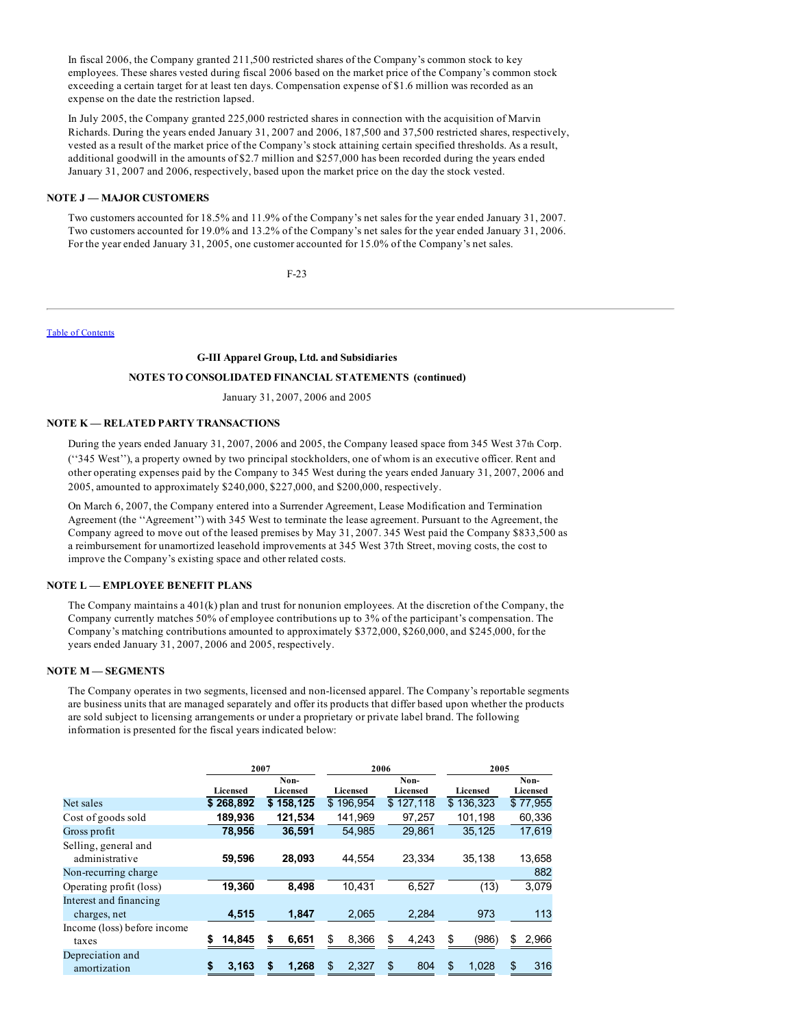In fiscal 2006, the Company granted 211,500 restricted shares of the Company's common stock to key employees. These shares vested during fiscal 2006 based on the market price of the Company's common stock exceeding a certain target for at least ten days. Compensation expense of \$1.6 million was recorded as an expense on the date the restriction lapsed.

In July 2005, the Company granted 225,000 restricted shares in connection with the acquisition of Marvin Richards. During the years ended January 31, 2007 and 2006, 187,500 and 37,500 restricted shares, respectively, vested as a result of the market price of the Company's stock attaining certain specified thresholds. As a result, additional goodwill in the amounts of \$2.7 million and \$257,000 has been recorded during the years ended January 31, 2007 and 2006, respectively, based upon the market price on the day the stock vested.

# **NOTE J — MAJOR CUSTOMERS**

Two customers accounted for 18.5% and 11.9% of the Company's net sales for the year ended January 31, 2007. Two customers accounted for 19.0% and 13.2% of the Company's net sales for the year ended January 31, 2006. For the year ended January 31, 2005, one customer accounted for 15.0% of the Company's net sales.

F-23

### Table of [Contents](#page-31-0)

# **G-III Apparel Group, Ltd. and Subsidiaries**

### **(continued) NOTES TO CONSOLIDATED FINANCIAL STATEMENTS**

January 31, 2007, 2006 and 2005

# **NOTE K — RELATED PARTY TRANSACTIONS**

During the years ended January 31, 2007, 2006 and 2005, the Company leased space from 345 West 37th Corp. (''345 West''), a property owned by two principal stockholders, one of whom is an executive officer. Rent and other operating expenses paid by the Company to 345 West during the years ended January 31, 2007, 2006 and 2005, amounted to approximately \$240,000, \$227,000, and \$200,000, respectively.

On March 6, 2007, the Company entered into a Surrender Agreement, Lease Modification and Termination Agreement (the ''Agreement'') with 345 West to terminate the lease agreement. Pursuant to the Agreement, the Company agreed to move out of the leased premises by May 31, 2007. 345 West paid the Company \$833,500 as a reimbursement for unamortized leasehold improvements at 345 West 37th Street, moving costs, the cost to improve the Company's existing space and other related costs.

# **NOTE L — EMPLOYEE BENEFIT PLANS**

The Company maintains a 401(k) plan and trust for nonunion employees. At the discretion of the Company, the Company currently matches 50% of employee contributions up to 3% of the participant's compensation. The Company's matching contributions amounted to approximately \$372,000, \$260,000, and \$245,000, for the years ended January 31, 2007, 2006 and 2005, respectively.

# **NOTE M — SEGMENTS**

The Company operates in two segments, licensed and non-licensed apparel. The Company's reportable segments are business units that are managed separately and offer its products that differ based upon whether the products are sold subject to licensing arrangements or under a proprietary or private label brand. The following information is presented for the fiscal years indicated below:

|                             | 2007            |            |                 | 2006        | 2005            |             |  |
|-----------------------------|-----------------|------------|-----------------|-------------|-----------------|-------------|--|
|                             |                 | Non-       |                 | Non-        |                 | Non-        |  |
|                             | <b>Licensed</b> | Licensed   | <b>Licensed</b> | Licensed    | <b>Licensed</b> | Licensed    |  |
| Net sales                   | \$268,892       | \$158,125  | \$196,954       | \$127,118   | \$136,323       | \$77,955    |  |
| Cost of goods sold          | 189,936         | 121,534    | 141,969         | 97,257      | 101,198         | 60,336      |  |
| Gross profit                | 78,956          | 36,591     | 54,985          | 29,861      | 35,125          | 17,619      |  |
| Selling, general and        |                 |            |                 |             |                 |             |  |
| administrative              | 59,596          | 28,093     | 44.554          | 23.334      | 35.138          | 13,658      |  |
| Non-recurring charge        |                 |            |                 |             |                 | 882         |  |
| Operating profit (loss)     | 19,360          | 8.498      | 10.431          | 6,527       | (13)            | 3,079       |  |
| Interest and financing      |                 |            |                 |             |                 |             |  |
| charges, net                | 4,515           | 1,847      | 2,065           | 2,284       | 973             | 113         |  |
| Income (loss) before income |                 |            |                 |             |                 |             |  |
| taxes                       | 14,845<br>S     | 6,651<br>S | 8,366<br>\$     | 4,243<br>\$ | (986)<br>S      | 2,966<br>\$ |  |
| Depreciation and            |                 |            |                 |             |                 |             |  |
| amortization                | \$<br>3,163     | 1,268      | 2,327<br>S.     | \$<br>804   | 1,028           | \$<br>316   |  |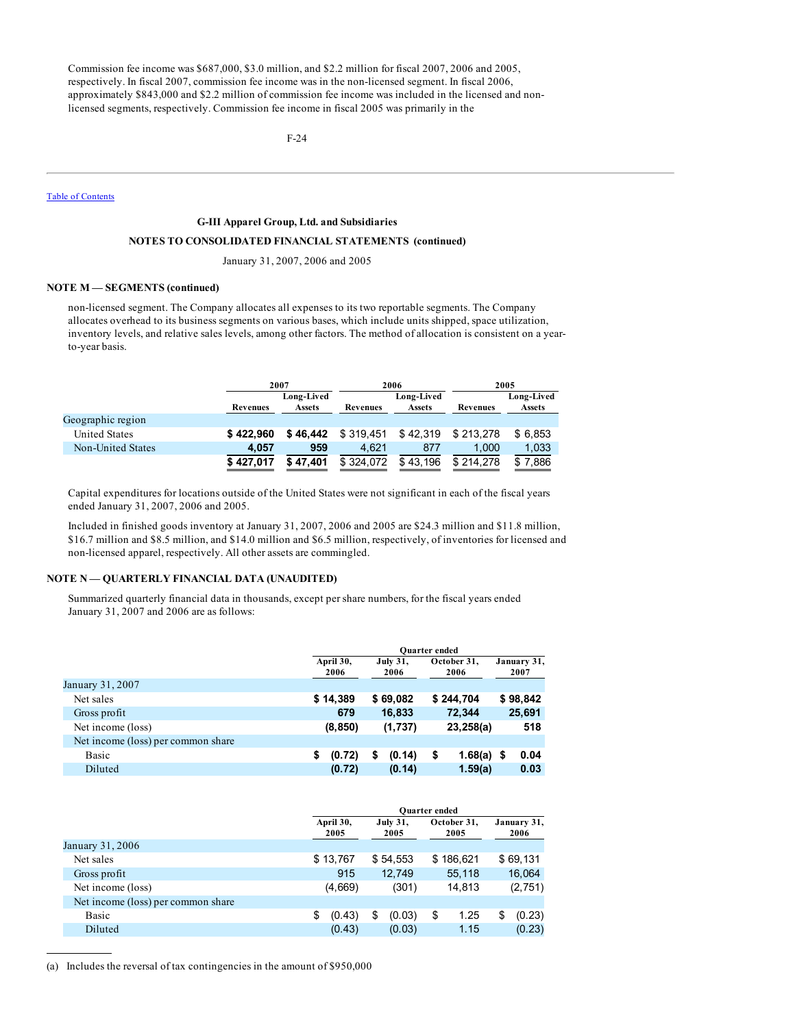Commission fee income was \$687,000, \$3.0 million, and \$2.2 million for fiscal 2007, 2006 and 2005, respectively. In fiscal 2007, commission fee income was in the non-licensed segment. In fiscal 2006, approximately \$843,000 and \$2.2 million of commission fee income was included in the licensed and nonlicensed segments, respectively. Commission fee income in fiscal 2005 was primarily in the

F-24

### Table of [Contents](#page-31-0)

### **G-III Apparel Group, Ltd. and Subsidiaries**

### **(continued) NOTES TO CONSOLIDATED FINANCIAL STATEMENTS**

January 31, 2007, 2006 and 2005

### **(continued) NOTE M — SEGMENTS**

non-licensed segment. The Company allocates all expenses to its two reportable segments. The Company allocates overhead to its business segments on various bases, which include units shipped, space utilization, inventory levels, and relative sales levels, among other factors. The method of allocation is consistent on a yearto-year basis.

|                      | 2007      |                      |           | 2006                 | 2005            |                      |
|----------------------|-----------|----------------------|-----------|----------------------|-----------------|----------------------|
|                      | Revenues  | Long-Lived<br>Assets | Revenues  | Long-Lived<br>Assets | <b>Revenues</b> | Long-Lived<br>Assets |
| Geographic region    |           |                      |           |                      |                 |                      |
| <b>United States</b> | \$422,960 | \$46,442             | \$319.451 | \$42,319             | \$213.278       | \$ 6,853             |
| Non-United States    | 4.057     | 959                  | 4.621     | 877                  | 1.000           | 1,033                |
|                      | \$427.017 | \$47.401             | \$324.072 | \$43.196             | \$214.278       | 7,886                |

Capital expenditures for locations outside of the United States were not significant in each of the fiscal years ended January 31, 2007, 2006 and 2005.

Included in finished goods inventory at January 31, 2007, 2006 and 2005 are \$24.3 million and \$11.8 million, \$16.7 million and \$8.5 million, and \$14.0 million and \$6.5 million, respectively, of inventories for licensed and non-licensed apparel, respectively. All other assets are commingled.

# **NOTE N — QUARTERLY FINANCIAL DATA (UNAUDITED)**

Summarized quarterly financial data in thousands, except per share numbers, for the fiscal years ended January 31, 2007 and 2006 are as follows:

|                                    |                   | <b>Ouarter</b> ended    |                     |                     |  |  |
|------------------------------------|-------------------|-------------------------|---------------------|---------------------|--|--|
|                                    | April 30,<br>2006 | <b>July 31,</b><br>2006 | October 31,<br>2006 | January 31,<br>2007 |  |  |
| January 31, 2007                   |                   |                         |                     |                     |  |  |
| Net sales                          | \$14,389          | \$69.082                | \$244.704           | \$98,842            |  |  |
| Gross profit                       | 679               | 16,833                  | 72.344              | 25,691              |  |  |
| Net income (loss)                  | (8, 850)          | (1,737)                 | 23,258(a)           | 518                 |  |  |
| Net income (loss) per common share |                   |                         |                     |                     |  |  |
| <b>Basic</b>                       | S<br>(0.72)       | (0.14)<br>S             | \$<br>$1.68(a)$ \$  | 0.04                |  |  |
| Diluted                            | (0.72)            | (0.14)                  | 1.59(a)             | 0.03                |  |  |
|                                    |                   |                         |                     |                     |  |  |

|                                    | <b>Ouarter</b> ended |                 |        |    |                     |    |                     |
|------------------------------------|----------------------|-----------------|--------|----|---------------------|----|---------------------|
|                                    | April 30,<br>2005    | <b>July 31,</b> | 2005   |    | October 31,<br>2005 |    | January 31,<br>2006 |
| January 31, 2006                   |                      |                 |        |    |                     |    |                     |
| Net sales                          | \$13,767             | \$54.553        |        |    | \$186.621           |    | \$69,131            |
| Gross profit                       | 915                  |                 | 12.749 |    | 55,118              |    | 16,064              |
| Net income (loss)                  | (4,669)              |                 | (301)  |    | 14,813              |    | (2,751)             |
| Net income (loss) per common share |                      |                 |        |    |                     |    |                     |
| Basic                              | \$<br>(0.43)         | S               | (0.03) | \$ | 1.25                | \$ | (0.23)              |
| Diluted                            | (0.43)               |                 | (0.03) |    | 1.15                |    | (0.23)              |
|                                    |                      |                 |        |    |                     |    |                     |

(a) Includes the reversal of tax contingencies in the amount of \$950,000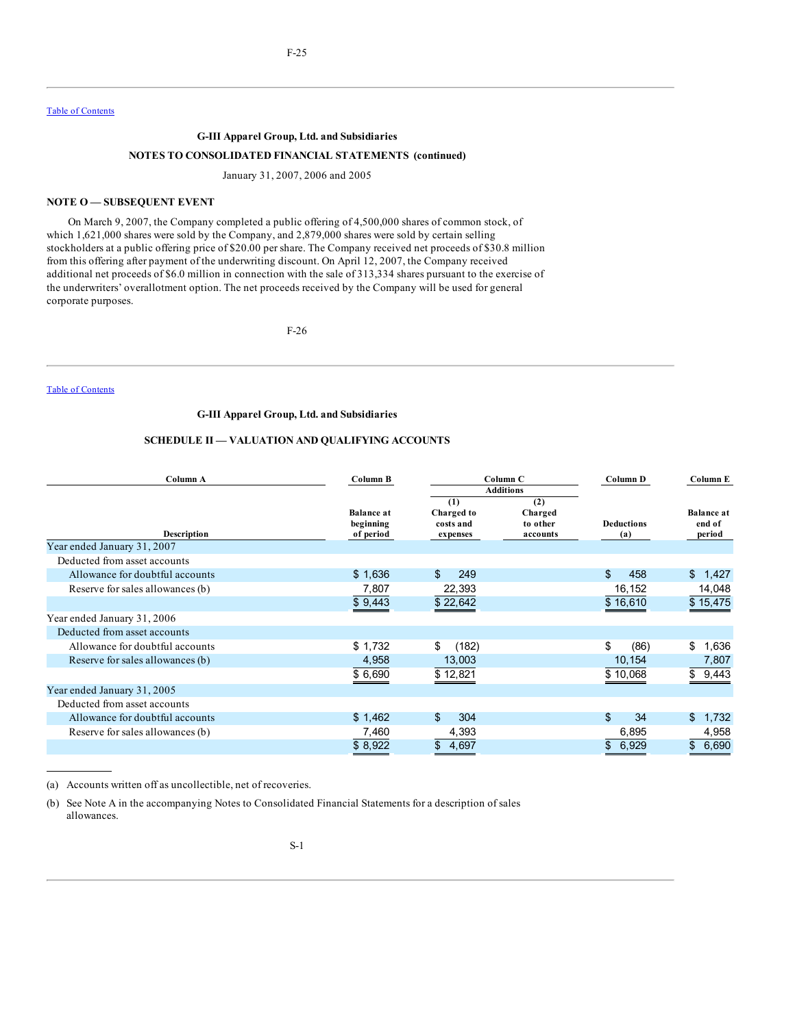### <span id="page-51-0"></span>Table of [Contents](#page-31-0)

### **G-III Apparel Group, Ltd. and Subsidiaries**

### **(continued) NOTES TO CONSOLIDATED FINANCIAL STATEMENTS**

January 31, 2007, 2006 and 2005

# **NOTE O — SUBSEQUENT EVENT**

On March 9, 2007, the Company completed a public offering of 4,500,000 shares of common stock, of which 1,621,000 shares were sold by the Company, and 2,879,000 shares were sold by certain selling stockholders at a public offering price of \$20.00 per share. The Company received net proceeds of \$30.8 million from this offering after payment of the underwriting discount. On April 12, 2007, the Company received additional net proceeds of \$6.0 million in connection with the sale of 313,334 shares pursuant to the exercise of the underwriters' overallotment option. The net proceeds received by the Company will be used for general corporate purposes.

F-26

Table of [Contents](#page-31-0)

# **G-III Apparel Group, Ltd. and Subsidiaries**

# **SCHEDULE II — VALUATION AND QUALIFYING ACCOUNTS**

| Column A                         | Column B                                    |                                                   | Column C<br><b>Additions</b>           | Column D                 | Column E                              |  |
|----------------------------------|---------------------------------------------|---------------------------------------------------|----------------------------------------|--------------------------|---------------------------------------|--|
| <b>Description</b>               | <b>Balance</b> at<br>beginning<br>of period | (1)<br><b>Charged</b> to<br>costs and<br>expenses | (2)<br>Charged<br>to other<br>accounts | <b>Deductions</b><br>(a) | <b>Balance</b> at<br>end of<br>period |  |
| Year ended January 31, 2007      |                                             |                                                   |                                        |                          |                                       |  |
| Deducted from asset accounts     |                                             |                                                   |                                        |                          |                                       |  |
| Allowance for doubtful accounts  | \$1,636                                     | \$<br>249                                         |                                        | \$<br>458                | \$<br>1,427                           |  |
| Reserve for sales allowances (b) | 7,807                                       | 22,393                                            |                                        | 16,152                   | 14,048                                |  |
|                                  | \$9,443                                     | \$22,642                                          |                                        | \$16,610                 | \$15,475                              |  |
| Year ended January 31, 2006      |                                             |                                                   |                                        |                          |                                       |  |
| Deducted from asset accounts     |                                             |                                                   |                                        |                          |                                       |  |
| Allowance for doubtful accounts  | \$1,732                                     | \$<br>(182)                                       |                                        | \$<br>(86)               | \$<br>1,636                           |  |
| Reserve for sales allowances (b) | 4,958                                       | 13,003                                            |                                        | 10,154                   | 7,807                                 |  |
|                                  | \$6,690                                     | \$12,821                                          |                                        | \$10,068                 | 9,443                                 |  |
| Year ended January 31, 2005      |                                             |                                                   |                                        |                          |                                       |  |
| Deducted from asset accounts     |                                             |                                                   |                                        |                          |                                       |  |
| Allowance for doubtful accounts  | \$1,462                                     | \$<br>304                                         |                                        | \$<br>34                 | \$<br>1,732                           |  |
| Reserve for sales allowances (b) | 7,460                                       | 4,393                                             |                                        | 6,895                    | 4,958                                 |  |
|                                  | \$8,922                                     | 4,697                                             |                                        | 6,929                    | 6,690                                 |  |

(a) Accounts written off as uncollectible, net of recoveries.

(b) See Note A in the accompanying Notes to Consolidated Financial Statements for a description of sales allowances.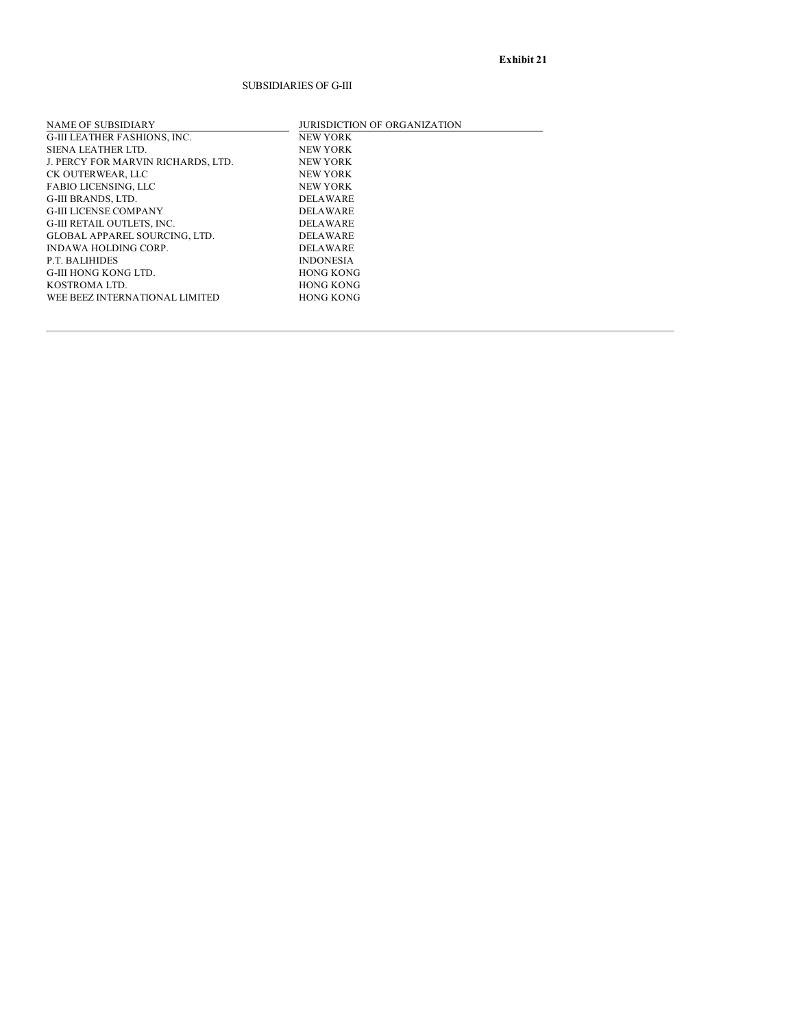**Exhibit 21**

# SUBSIDIARIES OF G-III

| <b>NAME OF SUBSIDIARY</b>           | <b>JURISDICTION OF ORGANIZATION</b> |
|-------------------------------------|-------------------------------------|
| <b>G-III LEATHER FASHIONS, INC.</b> | <b>NEW YORK</b>                     |
| SIENA LEATHER LTD.                  | <b>NEW YORK</b>                     |
| J. PERCY FOR MARVIN RICHARDS, LTD.  | <b>NEW YORK</b>                     |
| CK OUTERWEAR, LLC                   | <b>NEW YORK</b>                     |
| FABIO LICENSING, LLC                | <b>NEW YORK</b>                     |
| <b>G-III BRANDS, LTD.</b>           | <b>DELAWARE</b>                     |
| <b>G-III LICENSE COMPANY</b>        | <b>DELAWARE</b>                     |
| <b>G-III RETAIL OUTLETS, INC.</b>   | <b>DELAWARE</b>                     |
| GLOBAL APPAREL SOURCING, LTD.       | <b>DELAWARE</b>                     |
| INDAWA HOLDING CORP.                | <b>DELAWARE</b>                     |
| <b>P.T. BALIHIDES</b>               | <b>INDONESIA</b>                    |
| G-III HONG KONG LTD.                | <b>HONG KONG</b>                    |
| KOSTROMA LTD.                       | <b>HONG KONG</b>                    |
| WEE BEEZ INTERNATIONAL LIMITED      | <b>HONG KONG</b>                    |
|                                     |                                     |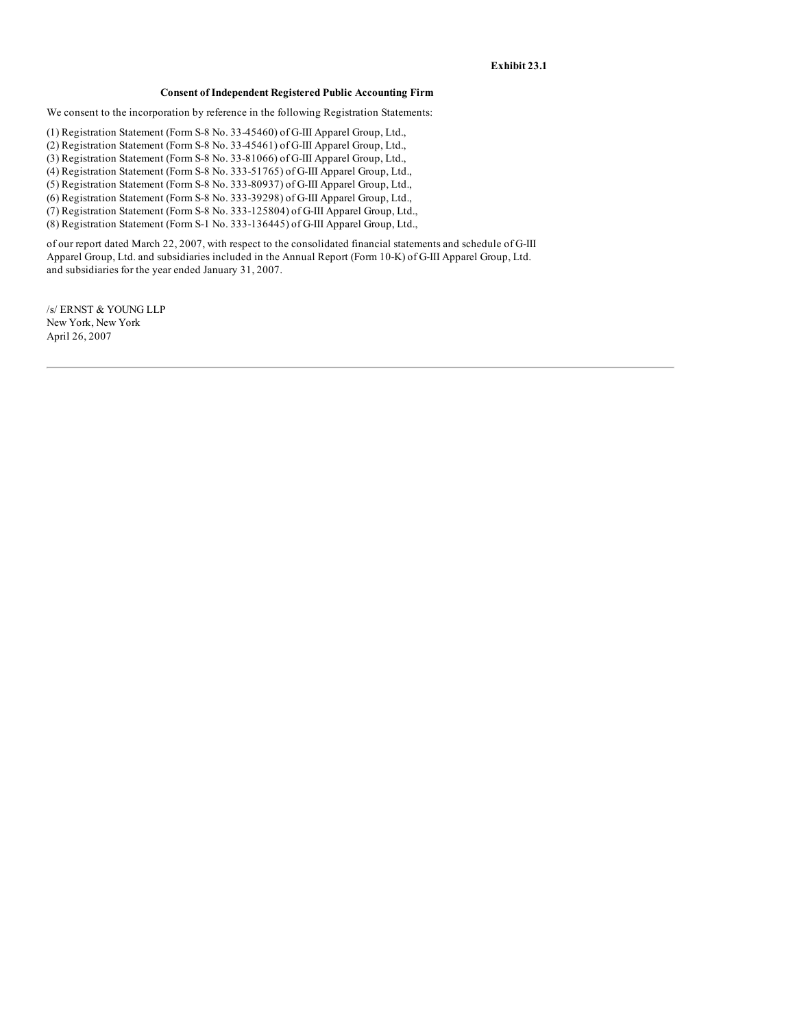# **Exhibit 23.1**

# **Consent of Independent Registered Public Accounting Firm**

We consent to the incorporation by reference in the following Registration Statements:

(1) Registration Statement (Form S-8 No. 33-45460) of G-III Apparel Group, Ltd.,

(2) Registration Statement (Form S-8 No. 33-45461) of G-III Apparel Group, Ltd.,

(3) Registration Statement (Form S-8 No. 33-81066) of G-III Apparel Group, Ltd.,

(4) Registration Statement (Form S-8 No. 333-51765) of G-III Apparel Group, Ltd.,

(5) Registration Statement (Form S-8 No. 333-80937) of G-III Apparel Group, Ltd.,

(6) Registration Statement (Form S-8 No. 333-39298) of G-III Apparel Group, Ltd.,

(7) Registration Statement (Form S-8 No. 333-125804) of G-III Apparel Group, Ltd.,

(8) Registration Statement (Form S-1 No. 333-136445) of G-III Apparel Group, Ltd.,

of our report dated March 22, 2007, with respect to the consolidated financial statements and schedule of G-III Apparel Group, Ltd. and subsidiaries included in the Annual Report (Form 10-K) of G-III Apparel Group, Ltd. and subsidiaries for the year ended January 31, 2007.

/s/ ERNST & YOUNG LLP New York, New York April 26, 2007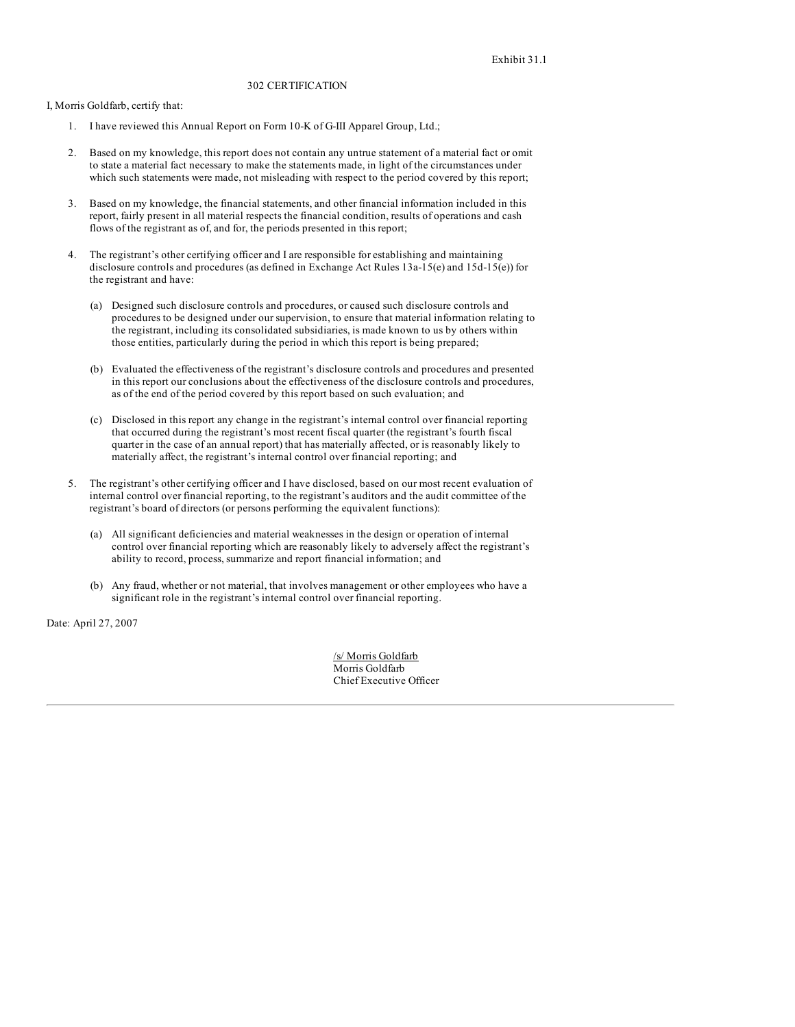Exhibit 31.1

# 302 CERTIFICATION

I, Morris Goldfarb, certify that:

- 1. I have reviewed this Annual Report on Form 10-K of G-III Apparel Group, Ltd.;
- 2. Based on my knowledge, this report does not contain any untrue statement of a material fact or omit to state a material fact necessary to make the statements made, in light of the circumstances under which such statements were made, not misleading with respect to the period covered by this report;
- 3. Based on my knowledge, the financial statements, and other financial information included in this report, fairly present in all material respects the financial condition, results of operations and cash flows of the registrant as of, and for, the periods presented in this report;
- 4. The registrant's other certifying officer and I are responsible for establishing and maintaining disclosure controls and procedures (as defined in Exchange Act Rules 13a-15(e) and 15d-15(e)) for the registrant and have:
	- (a) Designed such disclosure controls and procedures, or caused such disclosure controls and procedures to be designed under our supervision, to ensure that material information relating to the registrant, including its consolidated subsidiaries, is made known to us by others within those entities, particularly during the period in which this report is being prepared;
	- (b) Evaluated the effectiveness of the registrant's disclosure controls and procedures and presented in this report our conclusions about the effectiveness of the disclosure controls and procedures, as of the end of the period covered by this report based on such evaluation; and
	- (c) Disclosed in this report any change in the registrant's internal control over financial reporting that occurred during the registrant's most recent fiscal quarter (the registrant's fourth fiscal quarter in the case of an annual report) that has materially affected, or is reasonably likely to materially affect, the registrant's internal control over financial reporting; and
- 5. The registrant's other certifying officer and I have disclosed, based on our most recent evaluation of internal control over financial reporting, to the registrant's auditors and the audit committee of the registrant's board of directors (or persons performing the equivalent functions):
	- (a) All significant deficiencies and material weaknesses in the design or operation of internal control over financial reporting which are reasonably likely to adversely affect the registrant's ability to record, process, summarize and report financial information; and
	- (b) Any fraud, whether or not material, that involves management or other employees who have a significant role in the registrant's internal control over financial reporting.

Date: April 27, 2007

/s/ Morris Goldfarb Morris Goldfarb Chief Executive Officer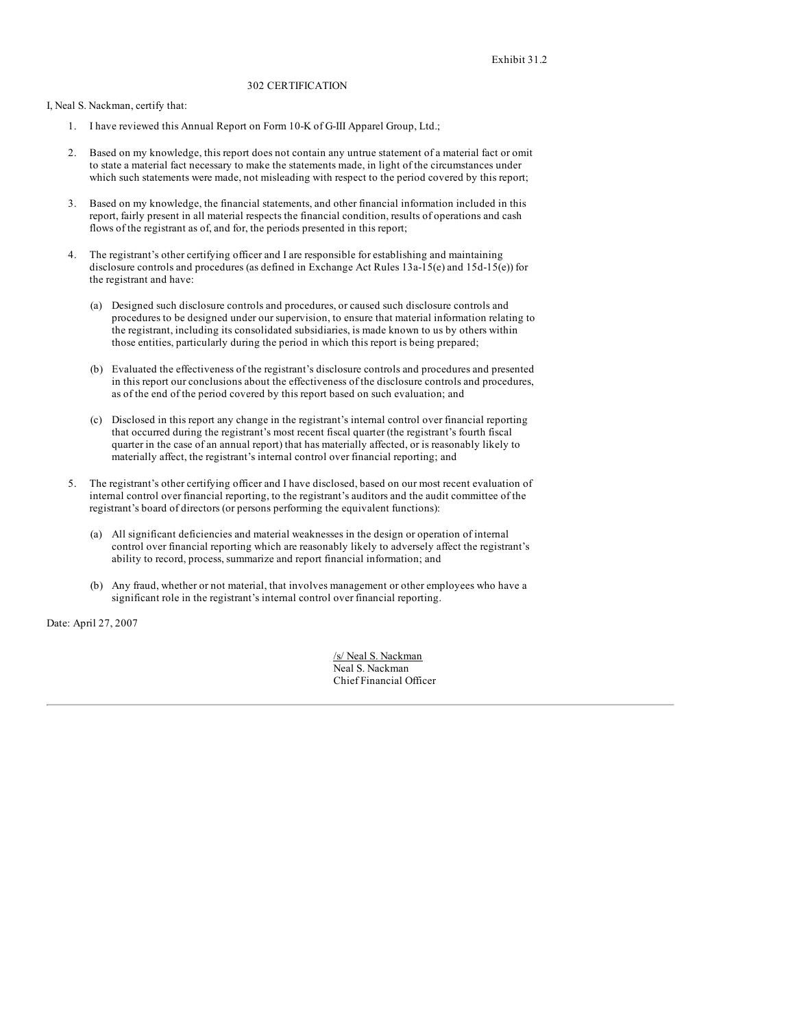Exhibit 31.2

# 302 CERTIFICATION

I, Neal S. Nackman, certify that:

- 1. I have reviewed this Annual Report on Form 10-K of G-III Apparel Group, Ltd.;
- 2. Based on my knowledge, this report does not contain any untrue statement of a material fact or omit to state a material fact necessary to make the statements made, in light of the circumstances under which such statements were made, not misleading with respect to the period covered by this report;
- 3. Based on my knowledge, the financial statements, and other financial information included in this report, fairly present in all material respects the financial condition, results of operations and cash flows of the registrant as of, and for, the periods presented in this report;
- 4. The registrant's other certifying officer and I are responsible for establishing and maintaining disclosure controls and procedures (as defined in Exchange Act Rules 13a-15(e) and 15d-15(e)) for the registrant and have:
	- (a) Designed such disclosure controls and procedures, or caused such disclosure controls and procedures to be designed under our supervision, to ensure that material information relating to the registrant, including its consolidated subsidiaries, is made known to us by others within those entities, particularly during the period in which this report is being prepared;
	- (b) Evaluated the effectiveness of the registrant's disclosure controls and procedures and presented in this report our conclusions about the effectiveness of the disclosure controls and procedures, as of the end of the period covered by this report based on such evaluation; and
	- (c) Disclosed in this report any change in the registrant's internal control over financial reporting that occurred during the registrant's most recent fiscal quarter (the registrant's fourth fiscal quarter in the case of an annual report) that has materially affected, or is reasonably likely to materially affect, the registrant's internal control over financial reporting; and
- 5. The registrant's other certifying officer and I have disclosed, based on our most recent evaluation of internal control over financial reporting, to the registrant's auditors and the audit committee of the registrant's board of directors (or persons performing the equivalent functions):
	- (a) All significant deficiencies and material weaknesses in the design or operation of internal control over financial reporting which are reasonably likely to adversely affect the registrant's ability to record, process, summarize and report financial information; and
	- (b) Any fraud, whether or not material, that involves management or other employees who have a significant role in the registrant's internal control over financial reporting.

Date: April 27, 2007

/s/ Neal S. Nackman Neal S. Nackman Chief Financial Officer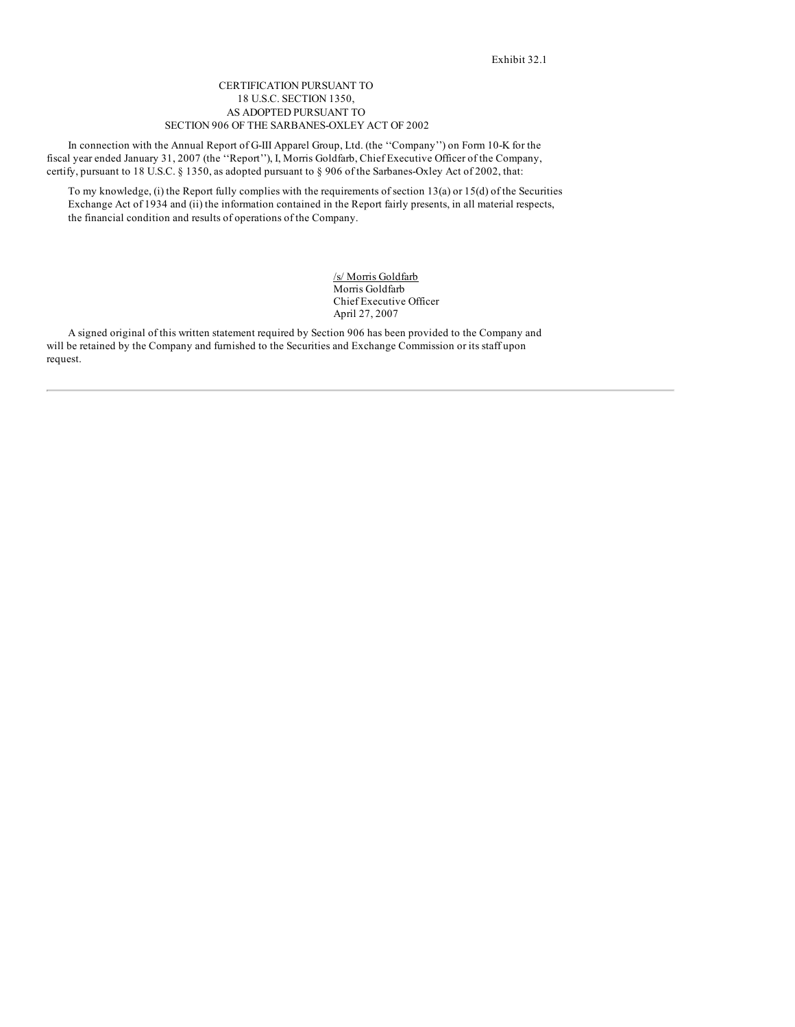# CERTIFICATION PURSUANT TO 18 U.S.C. SECTION 1350, AS ADOPTED PURSUANT TO SECTION 906 OF THE SARBANES-OXLEY ACT OF 2002

In connection with the Annual Report of G-III Apparel Group, Ltd. (the ''Company'') on Form 10-K for the fiscal year ended January 31, 2007 (the ''Report''), I, Morris Goldfarb, Chief Executive Officer of the Company, certify, pursuant to 18 U.S.C. § 1350, as adopted pursuant to § 906 of the Sarbanes-Oxley Act of 2002, that:

To my knowledge, (i) the Report fully complies with the requirements of section  $13(a)$  or  $15(d)$  of the Securities Exchange Act of 1934 and (ii) the information contained in the Report fairly presents, in all material respects, the financial condition and results of operations of the Company.

> /s/ Morris Goldfarb Morris Goldfarb Chief Executive Officer April 27, 2007

A signed original of this written statement required by Section 906 has been provided to the Company and will be retained by the Company and furnished to the Securities and Exchange Commission or its staff upon request.